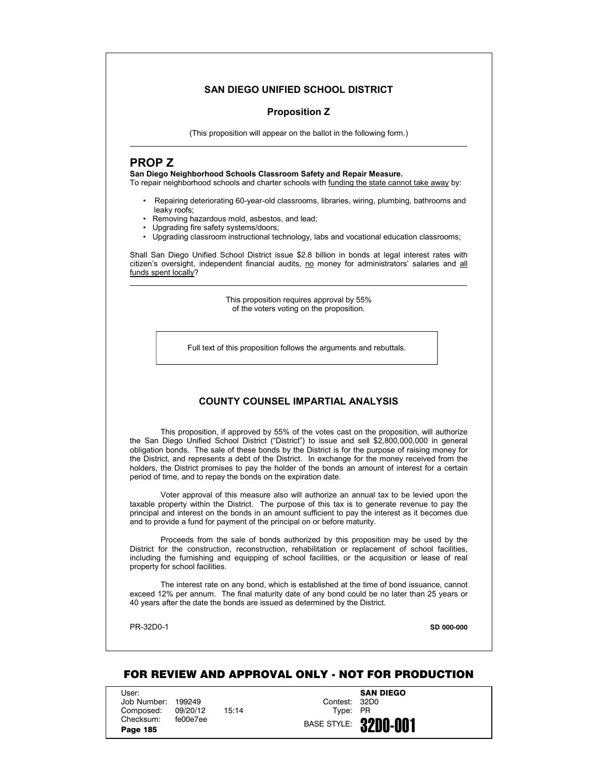# **SAN DIEGO UNIFIED SCHOOL DISTRICT**

# **Proposition Z**

(This proposition will appear on the ballot in the following form.)

# **PROP Z**

# **San Diego Neighborhood Schools Classroom Safety and Repair Measure.**

To repair neighborhood schools and charter schools with funding the state cannot take away by:

- Repairing deteriorating 60-year-old classrooms, libraries, wiring, plumbing, bathrooms and leaky roofs;
- Removing hazardous mold, asbestos, and lead;
- Upgrading fire safety systems/doors;
- Upgrading classroom instructional technology, labs and vocational education classrooms;

Shall San Diego Unified School District issue \$2.8 billion in bonds at legal interest rates with citizen's oversight, independent financial audits, no money for administrators' salaries and all funds spent locally?

> This proposition requires approval by 55% of the voters voting on the proposition.

Full text of this proposition follows the arguments and rebuttals.

# **COUNTY COUNSEL IMPARTIAL ANALYSIS**

This proposition, if approved by 55% of the votes cast on the proposition, will authorize the San Diego Unified School District ("District") to issue and sell \$2,800,000,000 in general obligation bonds. The sale of these bonds by the District is for the purpose of raising money for the District, and represents a debt of the District. In exchange for the money received from the holders, the District promises to pay the holder of the bonds an amount of interest for a certain period of time, and to repay the bonds on the expiration date.

Voter approval of this measure also will authorize an annual tax to be levied upon the taxable property within the District. The purpose of this tax is to generate revenue to pay the principal and interest on the bonds in an amount sufficient to pay the interest as it becomes due and to provide a fund for payment of the principal on or before maturity.

Proceeds from the sale of bonds authorized by this proposition may be used by the District for the construction, reconstruction, rehabilitation or replacement of school facilities, including the furnishing and equipping of school facilities, or the acquisition or lease of real property for school facilities.

The interest rate on any bond, which is established at the time of bond issuance, cannot exceed 12% per annum. The final maturity date of any bond could be no later than 25 years or 40 years after the date the bonds are issued as determined by the District.

PR-32D0-1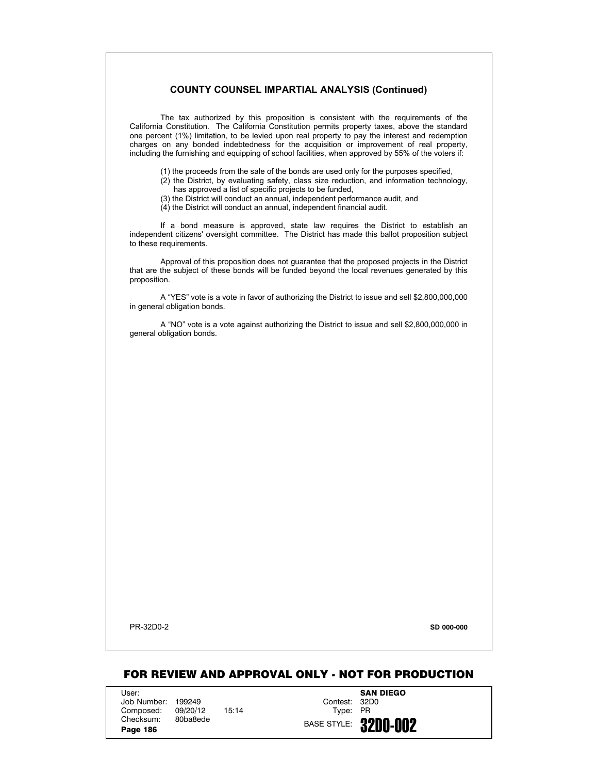# **COUNTY COUNSEL IMPARTIAL ANALYSIS (Continued)**

The tax authorized by this proposition is consistent with the requirements of the California Constitution. The California Constitution permits property taxes, above the standard one percent (1%) limitation, to be levied upon real property to pay the interest and redemption charges on any bonded indebtedness for the acquisition or improvement of real property, including the furnishing and equipping of school facilities, when approved by 55% of the voters if:

- (1) the proceeds from the sale of the bonds are used only for the purposes specified,
- (2) the District, by evaluating safety, class size reduction, and information technology, has approved a list of specific projects to be funded,
- (3) the District will conduct an annual, independent performance audit, and
- (4) the District will conduct an annual, independent financial audit.

If a bond measure is approved, state law requires the District to establish an independent citizens' oversight committee. The District has made this ballot proposition subject to these requirements.

Approval of this proposition does not guarantee that the proposed projects in the District that are the subject of these bonds will be funded beyond the local revenues generated by this proposition.

A "YES" vote is a vote in favor of authorizing the District to issue and sell \$2,800,000,000 in general obligation bonds.

A "NO" vote is a vote against authorizing the District to issue and sell \$2,800,000,000 in general obligation bonds.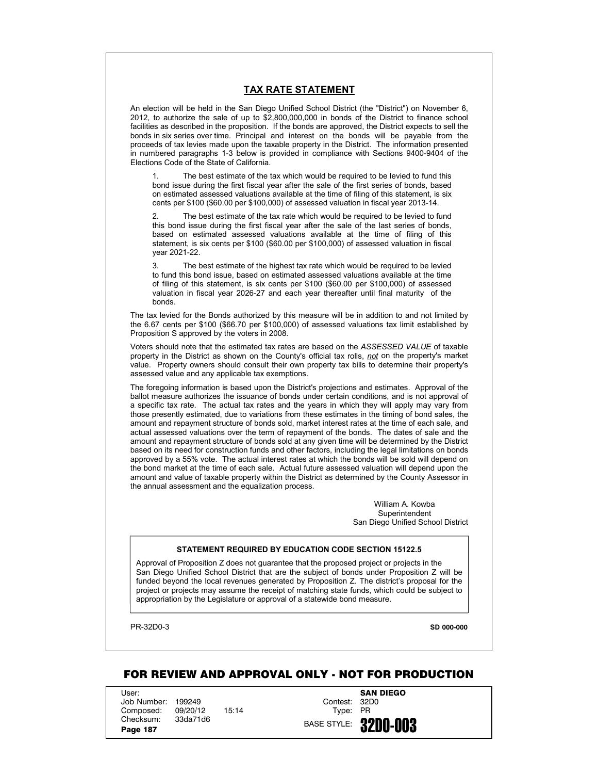# **TAX RATE STATEMENT**

An election will be held in the San Diego Unified School District (the "District") on November 6, 2012, to authorize the sale of up to \$2,800,000,000 in bonds of the District to finance school facilities as described in the proposition. If the bonds are approved, the District expects to sell the bonds in six series over time. Principal and interest on the bonds will be payable from the proceeds of tax levies made upon the taxable property in the District. The information presented in numbered paragraphs 1-3 below is provided in compliance with Sections 9400-9404 of the Elections Code of the State of California.

1. The best estimate of the tax which would be required to be levied to fund this bond issue during the first fiscal year after the sale of the first series of bonds, based on estimated assessed valuations available at the time of filing of this statement, is six cents per \$100 (\$60.00 per \$100,000) of assessed valuation in fiscal year 2013-14.

2. The best estimate of the tax rate which would be required to be levied to fund this bond issue during the first fiscal year after the sale of the last series of bonds, based on estimated assessed valuations available at the time of filing of this statement, is six cents per \$100 (\$60.00 per \$100,000) of assessed valuation in fiscal year 2021-22.

3. The best estimate of the highest tax rate which would be required to be levied to fund this bond issue, based on estimated assessed valuations available at the time of filing of this statement, is six cents per \$100 (\$60.00 per \$100,000) of assessed valuation in fiscal year 2026-27 and each year thereafter until final maturity of the bonds.

The tax levied for the Bonds authorized by this measure will be in addition to and not limited by the 6.67 cents per \$100 (\$66.70 per \$100,000) of assessed valuations tax limit established by Proposition S approved by the voters in 2008.

Voters should note that the estimated tax rates are based on the *ASSESSED VALUE* of taxable property in the District as shown on the County's official tax rolls, *not* on the property's market value. Property owners should consult their own property tax bills to determine their property's assessed value and any applicable tax exemptions.

The foregoing information is based upon the District's projections and estimates. Approval of the ballot measure authorizes the issuance of bonds under certain conditions, and is not approval of a specific tax rate. The actual tax rates and the years in which they will apply may vary from those presently estimated, due to variations from these estimates in the timing of bond sales, the amount and repayment structure of bonds sold, market interest rates at the time of each sale, and actual assessed valuations over the term of repayment of the bonds. The dates of sale and the amount and repayment structure of bonds sold at any given time will be determined by the District based on its need for construction funds and other factors, including the legal limitations on bonds approved by a 55% vote. The actual interest rates at which the bonds will be sold will depend on the bond market at the time of each sale. Actual future assessed valuation will depend upon the amount and value of taxable property within the District as determined by the County Assessor in the annual assessment and the equalization process.

> William A. Kowba Superintendent San Diego Unified School District

# **STATEMENT REQUIRED BY EDUCATION CODE SECTION 15122.5**

Approval of Proposition Z does not guarantee that the proposed project or projects in the San Diego Unified School District that are the subject of bonds under Proposition Z will be funded beyond the local revenues generated by Proposition Z. The district's proposal for the project or projects may assume the receipt of matching state funds, which could be subject to appropriation by the Legislature or approval of a statewide bond measure.

PR-32D0-3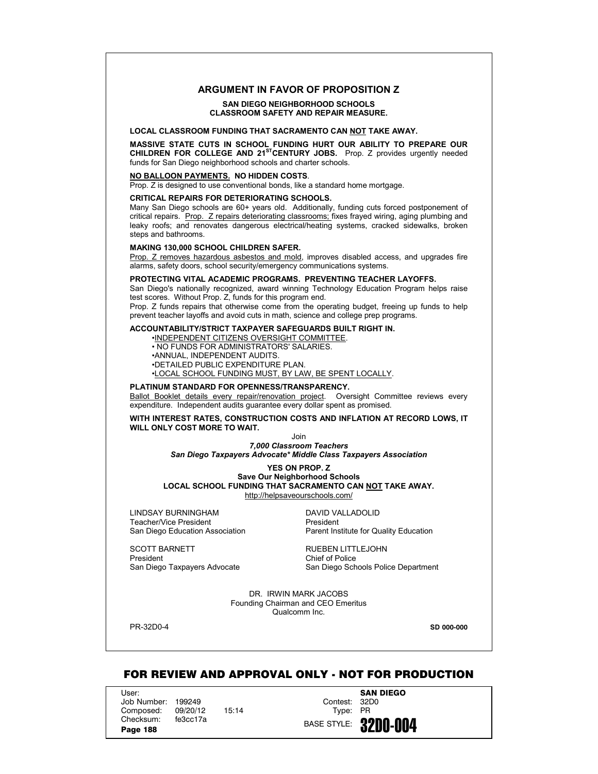# **ARGUMENT IN FAVOR OF PROPOSITION Z**

## **SAN DIEGO NEIGHBORHOOD SCHOOLS CLASSROOM SAFETY AND REPAIR MEASURE.**

## **LOCAL CLASSROOM FUNDING THAT SACRAMENTO CAN NOT TAKE AWAY.**

**MASSIVE STATE CUTS IN SCHOOL FUNDING HURT OUR ABILITY TO PREPARE OUR** CHILDREN FOR COLLEGE AND 21<sup>ST</sup>CENTURY JOBS. Prop. Z provides urgently needed funds for San Diego neighborhood schools and charter schools.

## **NO BALLOON PAYMENTS. NO HIDDEN COSTS**.

Prop. Z is designed to use conventional bonds, like a standard home mortgage.

#### **CRITICAL REPAIRS FOR DETERIORATING SCHOOLS.**

Many San Diego schools are 60+ years old. Additionally, funding cuts forced postponement of critical repairs. Prop. Z repairs deteriorating classrooms; fixes frayed wiring, aging plumbing and leaky roofs; and renovates dangerous electrical/heating systems, cracked sidewalks, broken steps and bathrooms.

#### **MAKING 130,000 SCHOOL CHILDREN SAFER.**

Prop. Z removes hazardous asbestos and mold, improves disabled access, and upgrades fire alarms, safety doors, school security/emergency communications systems.

## **PROTECTING VITAL ACADEMIC PROGRAMS. PREVENTING TEACHER LAYOFFS.**

San Diego's nationally recognized, award winning Technology Education Program helps raise test scores. Without Prop. Z, funds for this program end.

Prop. Z funds repairs that otherwise come from the operating budget, freeing up funds to help prevent teacher layoffs and avoid cuts in math, science and college prep programs.

# **ACCOUNTABILITY/STRICT TAXPAYER SAFEGUARDS BUILT RIGHT IN.**

•INDEPENDENT CITIZENS OVERSIGHT COMMITTEE.

• NO FUNDS FOR ADMINISTRATORS' SALARIES.

•ANNUAL, INDEPENDENT AUDITS.

•DETAILED PUBLIC EXPENDITURE PLAN.

•LOCAL SCHOOL FUNDING MUST, BY LAW, BE SPENT LOCALLY.

# **PLATINUM STANDARD FOR OPENNESS/TRANSPARENCY.**

Ballot Booklet details every repair/renovation project. Oversight Committee reviews every expenditure. Independent audits guarantee every dollar spent as promised.

**WITH INTEREST RATES, CONSTRUCTION COSTS AND INFLATION AT RECORD LOWS, IT WILL ONLY COST MORE TO WAIT.**

Join

*7,000 Classroom Teachers San Diego Taxpayers Advocate\* Middle Class Taxpayers Association*

#### **YES ON PROP. Z Save Our Neighborhood Schools**

**LOCAL SCHOOL FUNDING THAT SACRAMENTO CAN NOT TAKE AWAY.** http://helpsaveourschools.com/

LINDSAY BURNINGHAM DAVID VALLADOLID Teacher/Vice President<br>San Diego Education Association

SCOTT BARNETT RUEBEN LITTLEJOHN President Chief of Police

Parent Institute for Quality Education

San Diego Taxpayers Advocate San Diego Schools Police Department

DR. IRWIN MARK JACOBS Founding Chairman and CEO Emeritus Qualcomm Inc.

PR-32D0-4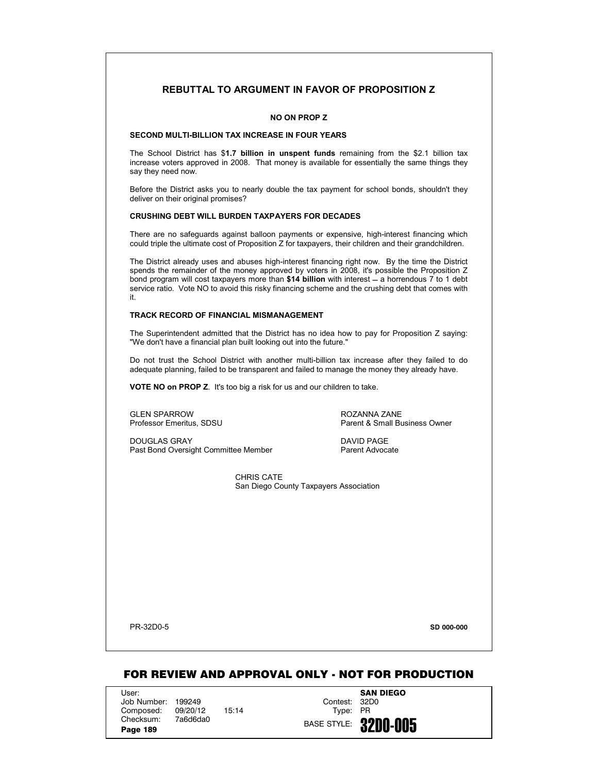# **REBUTTAL TO ARGUMENT IN FAVOR OF PROPOSITION Z**

# **NO ON PROP Z**

## **SECOND MULTI-BILLION TAX INCREASE IN FOUR YEARS**

The School District has \$**1.7 billion in unspent funds** remaining from the \$2.1 billion tax increase voters approved in 2008. That money is available for essentially the same things they say they need now.

Before the District asks you to nearly double the tax payment for school bonds, shouldn't they deliver on their original promises?

# **CRUSHING DEBT WILL BURDEN TAXPAYERS FOR DECADES**

There are no safeguards against balloon payments or expensive, high-interest financing which could triple the ultimate cost of Proposition Z for taxpayers, their children and their grandchildren.

The District already uses and abuses high-interest financing right now. By the time the District spends the remainder of the money approved by voters in 2008, it's possible the Proposition Z bond program will cost taxpayers more than **\$14 billion** with interest ̛ a horrendous 7 to 1 debt service ratio. Vote NO to avoid this risky financing scheme and the crushing debt that comes with it.

# **TRACK RECORD OF FINANCIAL MISMANAGEMENT**

The Superintendent admitted that the District has no idea how to pay for Proposition Z saying: "We don't have a financial plan built looking out into the future."

Do not trust the School District with another multi-billion tax increase after they failed to do adequate planning, failed to be transparent and failed to manage the money they already have.

**VOTE NO on PROP Z**. It's too big a risk for us and our children to take.

GLEN SPARROW<br>Professor Emeritus. SDSU CONTENT MORE PROVIDENT Parent & Small Bu

Parent & Small Business Owner

DOUGLAS GRAY DAVID PAGE Past Bond Oversight Committee Member Parent Advocate

CHRIS CATE San Diego County Taxpayers Association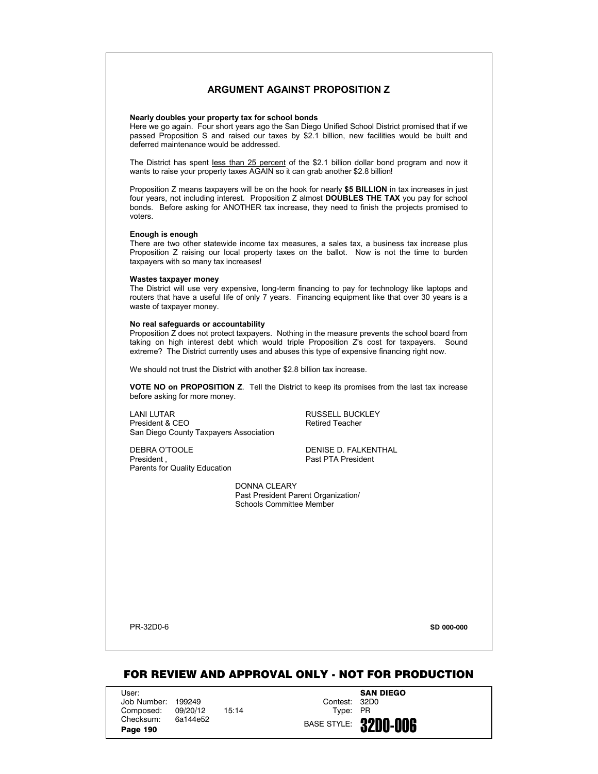# **ARGUMENT AGAINST PROPOSITION Z**

## **Nearly doubles your property tax for school bonds**

Here we go again. Four short years ago the San Diego Unified School District promised that if we passed Proposition S and raised our taxes by \$2.1 billion, new facilities would be built and deferred maintenance would be addressed.

The District has spent less than 25 percent of the \$2.1 billion dollar bond program and now it wants to raise your property taxes AGAIN so it can grab another \$2.8 billion!

Proposition Z means taxpayers will be on the hook for nearly **\$5 BILLION** in tax increases in just four years, not including interest. Proposition Z almost **DOUBLES THE TAX** you pay for school bonds. Before asking for ANOTHER tax increase, they need to finish the projects promised to voters.

## **Enough is enough**

There are two other statewide income tax measures, a sales tax, a business tax increase plus Proposition Z raising our local property taxes on the ballot. Now is not the time to burden taxpayers with so many tax increases!

#### **Wastes taxpayer money**

The District will use very expensive, long-term financing to pay for technology like laptops and routers that have a useful life of only 7 years. Financing equipment like that over 30 years is a waste of taxpayer money.

## **No real safeguards or accountability**

Proposition Z does not protect taxpayers. Nothing in the measure prevents the school board from taking on high interest debt which would triple Proposition Z's cost for taxpayers. Sound extreme? The District currently uses and abuses this type of expensive financing right now.

We should not trust the District with another \$2.8 billion tax increase.

**VOTE NO on PROPOSITION Z**. Tell the District to keep its promises from the last tax increase before asking for more money.

LANI LUTAR<br>
President & CEO<br>
President & CEO President & CEO San Diego County Taxpayers Association

DEBRA O'TOOLE DENISE D. FALKENTHAL<br>President Parents for Quality Education

Past PTA President

DONNA CLEARY Past President Parent Organization/ Schools Committee Member

PR-32D0-6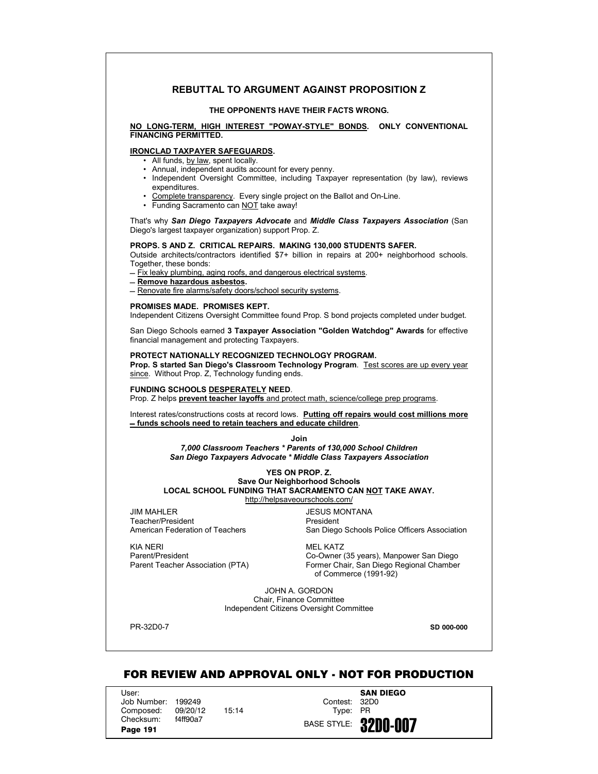# **REBUTTAL TO ARGUMENT AGAINST PROPOSITION Z**

#### **THE OPPONENTS HAVE THEIR FACTS WRONG.**

**NO LONG-TERM, HIGH INTEREST "POWAY-STYLE" BONDS. ONLY CONVENTIONAL FINANCING PERMITTED.**

## **IRONCLAD TAXPAYER SAFEGUARDS.**

- All funds, by law, spent locally.
- Annual, independent audits account for every penny.
- Independent Oversight Committee, including Taxpayer representation (by law), reviews expenditures.
- Complete transparency. Every single project on the Ballot and On-Line.
- Funding Sacramento can NOT take away!

That's why *San Diego Taxpayers Advocate* and *Middle Class Taxpayers Association* (San Diego's largest taxpayer organization) support Prop. Z.

# **PROPS. S AND Z. CRITICAL REPAIRS. MAKING 130,000 STUDENTS SAFER.**

Outside architects/contractors identified \$7+ billion in repairs at 200+ neighborhood schools. Together, these bonds:

- $-$  Fix leaky plumbing, aging roofs, and dangerous electrical systems.
- ̛ **Remove hazardous asbestos.**
- $=$  Renovate fire alarms/safety doors/school security systems.

### **PROMISES MADE. PROMISES KEPT.**

Independent Citizens Oversight Committee found Prop. S bond projects completed under budget.

San Diego Schools earned **3 Taxpayer Association "Golden Watchdog" Awards** for effective financial management and protecting Taxpayers.

## **PROTECT NATIONALLY RECOGNIZED TECHNOLOGY PROGRAM.**

**Prop. S started San Diego's Classroom Technology Program**. Test scores are up every year since. Without Prop. Z, Technology funding ends.

### **FUNDING SCHOOLS DESPERATELY NEED**.

Prop. Z helps **prevent teacher layoffs** and protect math, science/college prep programs.

Interest rates/constructions costs at record lows. **Putting off repairs would cost millions more ̛ funds schools need to retain teachers and educate children**.

## **Join**

*7,000 Classroom Teachers \* Parents of 130,000 School Children San Diego Taxpayers Advocate \* Middle Class Taxpayers Association*

## **YES ON PROP. Z. Save Our Neighborhood Schools**

**LOCAL SCHOOL FUNDING THAT SACRAMENTO CAN NOT TAKE AWAY.**

http://helpsaveourschools.com/

JIM MAHLER JESUS MONTANA Teacher/President **President** President

American Federation of Teachers San Diego Schools Police Officers Association

KIA NERI MEL KATZ

Parent/President Co-Owner (35 years), Manpower San Diego Parent Teacher Association (PTA) Former Chair, San Diego Regional Chamber of Commerce (1991-92)

> JOHN A. GORDON Chair, Finance Committee Independent Citizens Oversight Committee

PR-32D0-7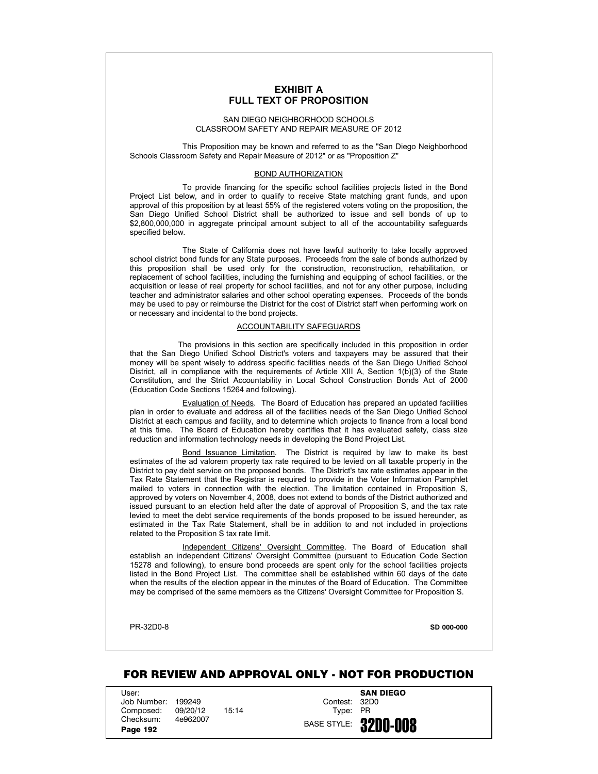# **EXHIBIT A FULL TEXT OF PROPOSITION**

# SAN DIEGO NEIGHBORHOOD SCHOOLS CLASSROOM SAFETY AND REPAIR MEASURE OF 2012

This Proposition may be known and referred to as the "San Diego Neighborhood Schools Classroom Safety and Repair Measure of 2012" or as "Proposition Z"

## BOND AUTHORIZATION

To provide financing for the specific school facilities projects listed in the Bond Project List below, and in order to qualify to receive State matching grant funds, and upon approval of this proposition by at least 55% of the registered voters voting on the proposition, the San Diego Unified School District shall be authorized to issue and sell bonds of up to \$2,800,000,000 in aggregate principal amount subject to all of the accountability safeguards specified below.

The State of California does not have lawful authority to take locally approved school district bond funds for any State purposes. Proceeds from the sale of bonds authorized by this proposition shall be used only for the construction, reconstruction, rehabilitation, or replacement of school facilities, including the furnishing and equipping of school facilities, or the acquisition or lease of real property for school facilities, and not for any other purpose, including teacher and administrator salaries and other school operating expenses. Proceeds of the bonds may be used to pay or reimburse the District for the cost of District staff when performing work on or necessary and incidental to the bond projects.

## ACCOUNTABILITY SAFEGUARDS

The provisions in this section are specifically included in this proposition in order that the San Diego Unified School District's voters and taxpayers may be assured that their money will be spent wisely to address specific facilities needs of the San Diego Unified School District, all in compliance with the requirements of Article XIII A, Section 1(b)(3) of the State Constitution, and the Strict Accountability in Local School Construction Bonds Act of 2000 (Education Code Sections 15264 and following).

Evaluation of Needs. The Board of Education has prepared an updated facilities plan in order to evaluate and address all of the facilities needs of the San Diego Unified School District at each campus and facility, and to determine which projects to finance from a local bond at this time. The Board of Education hereby certifies that it has evaluated safety, class size reduction and information technology needs in developing the Bond Project List.

Bond Issuance Limitation. The District is required by law to make its best estimates of the ad valorem property tax rate required to be levied on all taxable property in the District to pay debt service on the proposed bonds. The District's tax rate estimates appear in the Tax Rate Statement that the Registrar is required to provide in the Voter Information Pamphlet mailed to voters in connection with the election. The limitation contained in Proposition S, approved by voters on November 4, 2008, does not extend to bonds of the District authorized and issued pursuant to an election held after the date of approval of Proposition S, and the tax rate levied to meet the debt service requirements of the bonds proposed to be issued hereunder, as estimated in the Tax Rate Statement, shall be in addition to and not included in projections related to the Proposition S tax rate limit.

Independent Citizens' Oversight Committee. The Board of Education shall establish an independent Citizens' Oversight Committee (pursuant to Education Code Section 15278 and following), to ensure bond proceeds are spent only for the school facilities projects listed in the Bond Project List. The committee shall be established within 60 days of the date when the results of the election appear in the minutes of the Board of Education. The Committee may be comprised of the same members as the Citizens' Oversight Committee for Proposition S.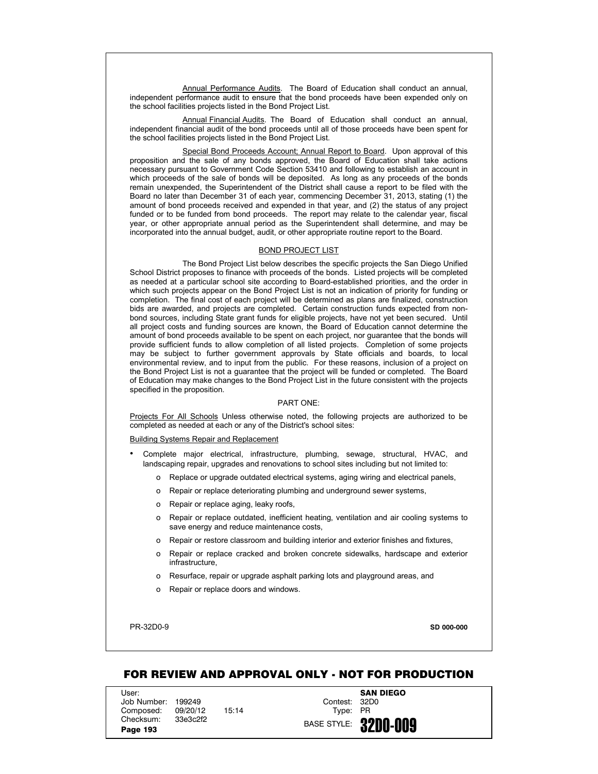Annual Performance Audits. The Board of Education shall conduct an annual, independent performance audit to ensure that the bond proceeds have been expended only on the school facilities projects listed in the Bond Project List.

Annual Financial Audits. The Board of Education shall conduct an annual. independent financial audit of the bond proceeds until all of those proceeds have been spent for the school facilities projects listed in the Bond Project List.

Special Bond Proceeds Account; Annual Report to Board. Upon approval of this proposition and the sale of any bonds approved, the Board of Education shall take actions necessary pursuant to Government Code Section 53410 and following to establish an account in which proceeds of the sale of bonds will be deposited. As long as any proceeds of the bonds remain unexpended, the Superintendent of the District shall cause a report to be filed with the Board no later than December 31 of each year, commencing December 31, 2013, stating (1) the amount of bond proceeds received and expended in that year, and (2) the status of any project funded or to be funded from bond proceeds. The report may relate to the calendar year, fiscal year, or other appropriate annual period as the Superintendent shall determine, and may be incorporated into the annual budget, audit, or other appropriate routine report to the Board.

#### BOND PROJECT LIST

The Bond Project List below describes the specific projects the San Diego Unified School District proposes to finance with proceeds of the bonds. Listed projects will be completed as needed at a particular school site according to Board-established priorities, and the order in which such projects appear on the Bond Project List is not an indication of priority for funding or completion. The final cost of each project will be determined as plans are finalized, construction bids are awarded, and projects are completed. Certain construction funds expected from nonbond sources, including State grant funds for eligible projects, have not yet been secured. Until all project costs and funding sources are known, the Board of Education cannot determine the amount of bond proceeds available to be spent on each project, nor guarantee that the bonds will provide sufficient funds to allow completion of all listed projects. Completion of some projects may be subject to further government approvals by State officials and boards, to local environmental review, and to input from the public. For these reasons, inclusion of a project on the Bond Project List is not a guarantee that the project will be funded or completed. The Board of Education may make changes to the Bond Project List in the future consistent with the projects specified in the proposition.

## PART ONE:

Projects For All Schools Unless otherwise noted, the following projects are authorized to be completed as needed at each or any of the District's school sites:

Building Systems Repair and Replacement

- Complete major electrical, infrastructure, plumbing, sewage, structural, HVAC, and landscaping repair, upgrades and renovations to school sites including but not limited to:
	- o Replace or upgrade outdated electrical systems, aging wiring and electrical panels,
	- o Repair or replace deteriorating plumbing and underground sewer systems,
	- o Repair or replace aging, leaky roofs,
	- o Repair or replace outdated, inefficient heating, ventilation and air cooling systems to save energy and reduce maintenance costs,
	- o Repair or restore classroom and building interior and exterior finishes and fixtures,
	- o Repair or replace cracked and broken concrete sidewalks, hardscape and exterior infrastructure,
	- o Resurface, repair or upgrade asphalt parking lots and playground areas, and
	- o Repair or replace doors and windows.

PR-32D0-9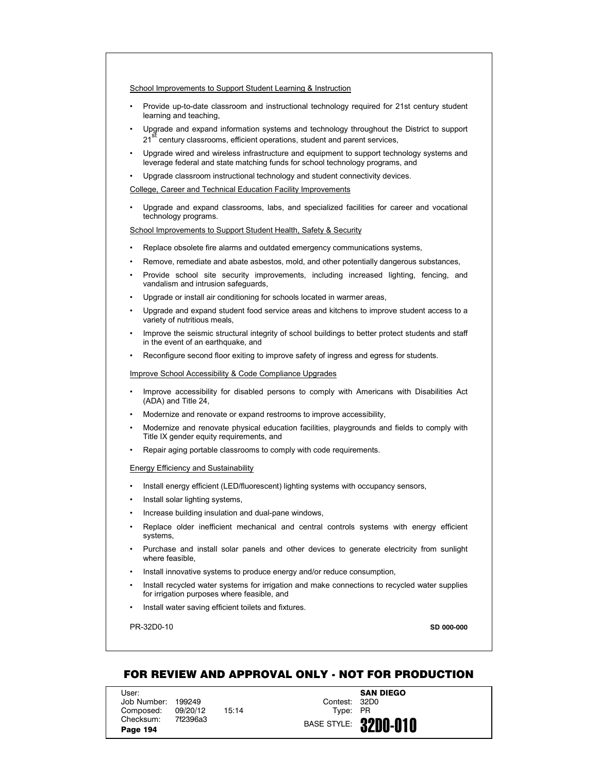- Provide up-to-date classroom and instructional technology required for 21st century student learning and teaching,
- Upgrade and expand information systems and technology throughout the District to support 21<sup>st</sup> century classrooms, efficient operations, student and parent services,
- Upgrade wired and wireless infrastructure and equipment to support technology systems and leverage federal and state matching funds for school technology programs, and
- Upgrade classroom instructional technology and student connectivity devices.

College, Career and Technical Education Facility Improvements

• Upgrade and expand classrooms, labs, and specialized facilities for career and vocational technology programs.

School Improvements to Support Student Health, Safety & Security

- Replace obsolete fire alarms and outdated emergency communications systems,
- Remove, remediate and abate asbestos, mold, and other potentially dangerous substances,
- Provide school site security improvements, including increased lighting, fencing, and vandalism and intrusion safeguards,
- Upgrade or install air conditioning for schools located in warmer areas,
- Upgrade and expand student food service areas and kitchens to improve student access to a variety of nutritious meals,
- Improve the seismic structural integrity of school buildings to better protect students and staff in the event of an earthquake, and
- Reconfigure second floor exiting to improve safety of ingress and egress for students.

Improve School Accessibility & Code Compliance Upgrades

- Improve accessibility for disabled persons to comply with Americans with Disabilities Act (ADA) and Title 24,
- Modernize and renovate or expand restrooms to improve accessibility,
- Modernize and renovate physical education facilities, playgrounds and fields to comply with Title IX gender equity requirements, and
- Repair aging portable classrooms to comply with code requirements.

## Energy Efficiency and Sustainability

- Install energy efficient (LED/fluorescent) lighting systems with occupancy sensors,
- Install solar lighting systems,
- Increase building insulation and dual-pane windows,
- Replace older inefficient mechanical and central controls systems with energy efficient systems,
- Purchase and install solar panels and other devices to generate electricity from sunlight where feasible,
- Install innovative systems to produce energy and/or reduce consumption,
- Install recycled water systems for irrigation and make connections to recycled water supplies for irrigation purposes where feasible, and
- Install water saving efficient toilets and fixtures.

PR-32D0-10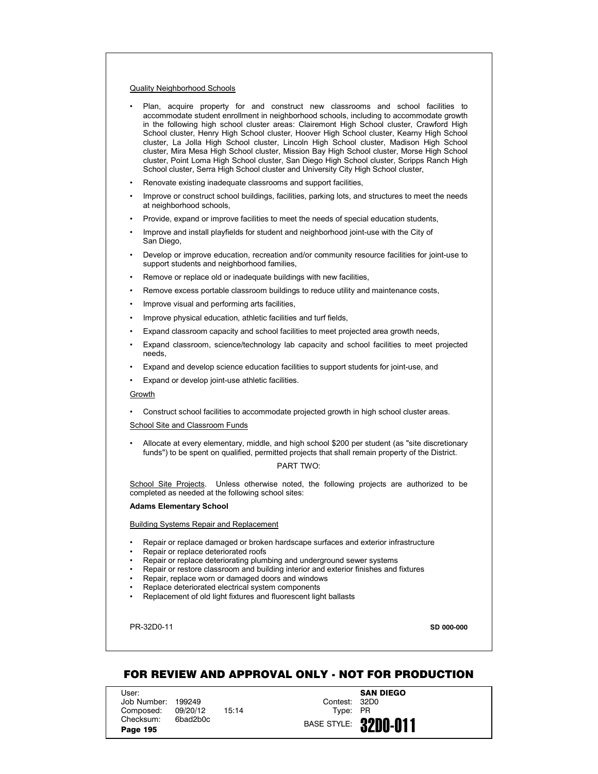## Quality Neighborhood Schools

- Plan, acquire property for and construct new classrooms and school facilities to accommodate student enrollment in neighborhood schools, including to accommodate growth in the following high school cluster areas: Clairemont High School cluster, Crawford High School cluster, Henry High School cluster, Hoover High School cluster, Kearny High School cluster, La Jolla High School cluster, Lincoln High School cluster, Madison High School cluster, Mira Mesa High School cluster, Mission Bay High School cluster, Morse High School cluster, Point Loma High School cluster, San Diego High School cluster, Scripps Ranch High School cluster, Serra High School cluster and University City High School cluster,
- Renovate existing inadequate classrooms and support facilities,
- Improve or construct school buildings, facilities, parking lots, and structures to meet the needs at neighborhood schools,
- Provide, expand or improve facilities to meet the needs of special education students,
- Improve and install playfields for student and neighborhood joint-use with the City of San Diego,
- Develop or improve education, recreation and/or community resource facilities for joint-use to support students and neighborhood families,
- Remove or replace old or inadequate buildings with new facilities,
- Remove excess portable classroom buildings to reduce utility and maintenance costs,
- Improve visual and performing arts facilities,
- Improve physical education, athletic facilities and turf fields,
- Expand classroom capacity and school facilities to meet projected area growth needs,
- Expand classroom, science/technology lab capacity and school facilities to meet projected needs,
- Expand and develop science education facilities to support students for joint-use, and
- Expand or develop joint-use athletic facilities.

### Growth

• Construct school facilities to accommodate projected growth in high school cluster areas.

School Site and Classroom Funds

• Allocate at every elementary, middle, and high school \$200 per student (as "site discretionary funds") to be spent on qualified, permitted projects that shall remain property of the District.

# PART TWO:

School Site Projects. Unless otherwise noted, the following projects are authorized to be completed as needed at the following school sites:

#### **Adams Elementary School**

Building Systems Repair and Replacement

- Repair or replace damaged or broken hardscape surfaces and exterior infrastructure
- Repair or replace deteriorated roofs
- Repair or replace deteriorating plumbing and underground sewer systems
- Repair or restore classroom and building interior and exterior finishes and fixtures
- Repair, replace worn or damaged doors and windows
- Replace deteriorated electrical system components
- Replacement of old light fixtures and fluorescent light ballasts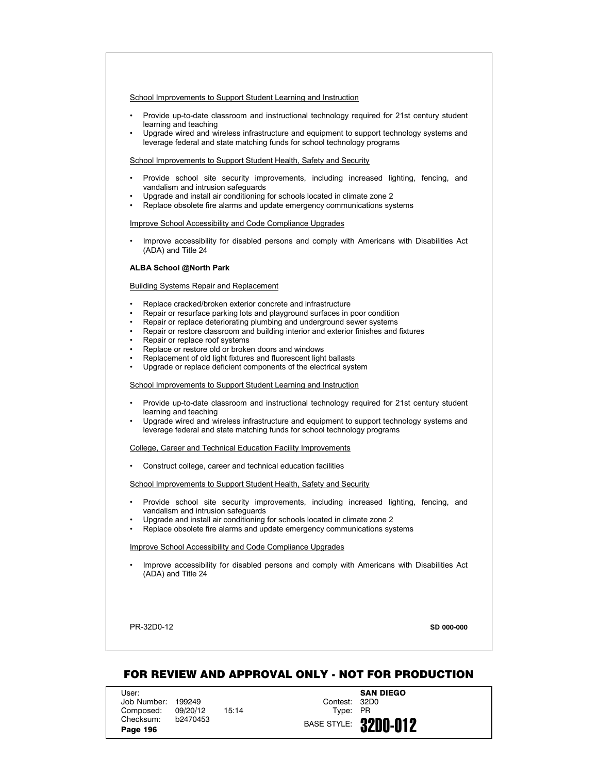- Provide up-to-date classroom and instructional technology required for 21st century student learning and teaching
- Upgrade wired and wireless infrastructure and equipment to support technology systems and leverage federal and state matching funds for school technology programs

School Improvements to Support Student Health, Safety and Security

- Provide school site security improvements, including increased lighting, fencing, and vandalism and intrusion safeguards
- Upgrade and install air conditioning for schools located in climate zone 2
- Replace obsolete fire alarms and update emergency communications systems

Improve School Accessibility and Code Compliance Upgrades

• Improve accessibility for disabled persons and comply with Americans with Disabilities Act (ADA) and Title 24

# **ALBA School @North Park**

Building Systems Repair and Replacement

- Replace cracked/broken exterior concrete and infrastructure
- Repair or resurface parking lots and playground surfaces in poor condition
- Repair or replace deteriorating plumbing and underground sewer systems
- Repair or restore classroom and building interior and exterior finishes and fixtures
- Repair or replace roof systems
- Replace or restore old or broken doors and windows
- Replacement of old light fixtures and fluorescent light ballasts
- Upgrade or replace deficient components of the electrical system

School Improvements to Support Student Learning and Instruction

- Provide up-to-date classroom and instructional technology required for 21st century student learning and teaching
- Upgrade wired and wireless infrastructure and equipment to support technology systems and leverage federal and state matching funds for school technology programs

College, Career and Technical Education Facility Improvements

• Construct college, career and technical education facilities

School Improvements to Support Student Health, Safety and Security

- Provide school site security improvements, including increased lighting, fencing, and vandalism and intrusion safeguards
- Upgrade and install air conditioning for schools located in climate zone 2
- Replace obsolete fire alarms and update emergency communications systems

## Improve School Accessibility and Code Compliance Upgrades

• Improve accessibility for disabled persons and comply with Americans with Disabilities Act (ADA) and Title 24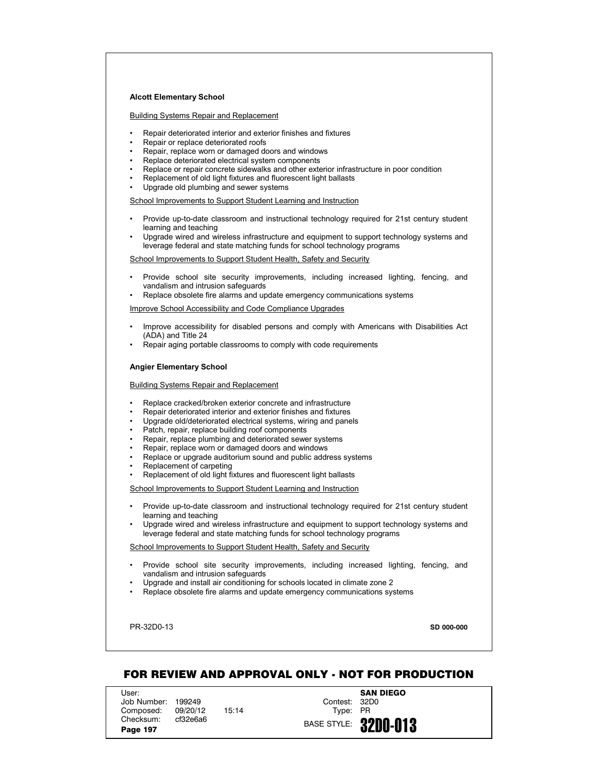#### **Alcott Elementary School**

Building Systems Repair and Replacement

- Repair deteriorated interior and exterior finishes and fixtures
- Repair or replace deteriorated roofs
- Repair, replace worn or damaged doors and windows
- Replace deteriorated electrical system components
- Replace or repair concrete sidewalks and other exterior infrastructure in poor condition
- Replacement of old light fixtures and fluorescent light ballasts
- Upgrade old plumbing and sewer systems

School Improvements to Support Student Learning and Instruction

- Provide up-to-date classroom and instructional technology required for 21st century student learning and teaching
- Upgrade wired and wireless infrastructure and equipment to support technology systems and leverage federal and state matching funds for school technology programs

School Improvements to Support Student Health, Safety and Security

- Provide school site security improvements, including increased lighting, fencing, and vandalism and intrusion safeguards
- Replace obsolete fire alarms and update emergency communications systems

Improve School Accessibility and Code Compliance Upgrades

- Improve accessibility for disabled persons and comply with Americans with Disabilities Act (ADA) and Title 24
- Repair aging portable classrooms to comply with code requirements

#### **Angier Elementary School**

Building Systems Repair and Replacement

- Replace cracked/broken exterior concrete and infrastructure
- Repair deteriorated interior and exterior finishes and fixtures
- Upgrade old/deteriorated electrical systems, wiring and panels
- Patch, repair, replace building roof components
- Repair, replace plumbing and deteriorated sewer systems
- Repair, replace worn or damaged doors and windows
- Replace or upgrade auditorium sound and public address systems
- Replacement of carpeting
- Replacement of old light fixtures and fluorescent light ballasts

School Improvements to Support Student Learning and Instruction

- Provide up-to-date classroom and instructional technology required for 21st century student learning and teaching
- Upgrade wired and wireless infrastructure and equipment to support technology systems and leverage federal and state matching funds for school technology programs

School Improvements to Support Student Health, Safety and Security

- Provide school site security improvements, including increased lighting, fencing, and vandalism and intrusion safeguards
- Upgrade and install air conditioning for schools located in climate zone 2
- Replace obsolete fire alarms and update emergency communications systems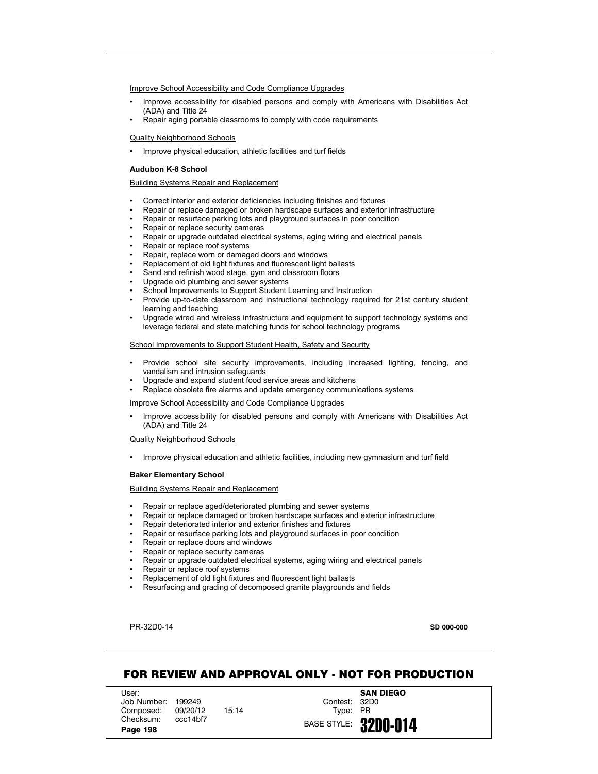## Improve School Accessibility and Code Compliance Upgrades

- Improve accessibility for disabled persons and comply with Americans with Disabilities Act (ADA) and Title 24
- Repair aging portable classrooms to comply with code requirements

### Quality Neighborhood Schools

• Improve physical education, athletic facilities and turf fields

# **Audubon K-8 School**

# Building Systems Repair and Replacement

- Correct interior and exterior deficiencies including finishes and fixtures
- Repair or replace damaged or broken hardscape surfaces and exterior infrastructure
- Repair or resurface parking lots and playground surfaces in poor condition
- Repair or replace security cameras
- Repair or upgrade outdated electrical systems, aging wiring and electrical panels
- Repair or replace roof systems
- Repair, replace worn or damaged doors and windows
- Replacement of old light fixtures and fluorescent light ballasts
- Sand and refinish wood stage, gym and classroom floors
- Upgrade old plumbing and sewer systems
- School Improvements to Support Student Learning and Instruction
- Provide up-to-date classroom and instructional technology required for 21st century student learning and teaching
- Upgrade wired and wireless infrastructure and equipment to support technology systems and leverage federal and state matching funds for school technology programs

#### School Improvements to Support Student Health, Safety and Security

- Provide school site security improvements, including increased lighting, fencing, and vandalism and intrusion safeguards
- Upgrade and expand student food service areas and kitchens
- Replace obsolete fire alarms and update emergency communications systems

# Improve School Accessibility and Code Compliance Upgrades

• Improve accessibility for disabled persons and comply with Americans with Disabilities Act (ADA) and Title 24

#### Quality Neighborhood Schools

• Improve physical education and athletic facilities, including new gymnasium and turf field

# **Baker Elementary School**

# Building Systems Repair and Replacement

- Repair or replace aged/deteriorated plumbing and sewer systems
- Repair or replace damaged or broken hardscape surfaces and exterior infrastructure
- Repair deteriorated interior and exterior finishes and fixtures
- Repair or resurface parking lots and playground surfaces in poor condition
- Repair or replace doors and windows
- Repair or replace security cameras
- Repair or upgrade outdated electrical systems, aging wiring and electrical panels
- Repair or replace roof systems
- Replacement of old light fixtures and fluorescent light ballasts
- Resurfacing and grading of decomposed granite playgrounds and fields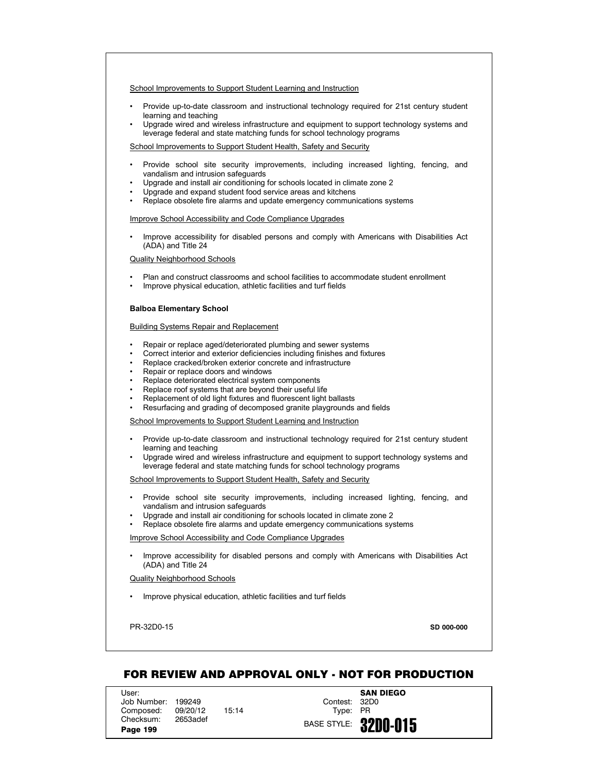- Provide up-to-date classroom and instructional technology required for 21st century student learning and teaching
- Upgrade wired and wireless infrastructure and equipment to support technology systems and leverage federal and state matching funds for school technology programs

School Improvements to Support Student Health, Safety and Security

- Provide school site security improvements, including increased lighting, fencing, and vandalism and intrusion safeguards
- Upgrade and install air conditioning for schools located in climate zone 2
- Upgrade and expand student food service areas and kitchens
- Replace obsolete fire alarms and update emergency communications systems

Improve School Accessibility and Code Compliance Upgrades

• Improve accessibility for disabled persons and comply with Americans with Disabilities Act (ADA) and Title 24

Quality Neighborhood Schools

- Plan and construct classrooms and school facilities to accommodate student enrollment
- Improve physical education, athletic facilities and turf fields

# **Balboa Elementary School**

Building Systems Repair and Replacement

- Repair or replace aged/deteriorated plumbing and sewer systems
- Correct interior and exterior deficiencies including finishes and fixtures
- Replace cracked/broken exterior concrete and infrastructure
- Repair or replace doors and windows
- Replace deteriorated electrical system components
- Replace roof systems that are beyond their useful life
- Replacement of old light fixtures and fluorescent light ballasts
- Resurfacing and grading of decomposed granite playgrounds and fields

School Improvements to Support Student Learning and Instruction

- Provide up-to-date classroom and instructional technology required for 21st century student learning and teaching
- Upgrade wired and wireless infrastructure and equipment to support technology systems and leverage federal and state matching funds for school technology programs

School Improvements to Support Student Health, Safety and Security

- Provide school site security improvements, including increased lighting, fencing, and vandalism and intrusion safeguards
- Upgrade and install air conditioning for schools located in climate zone 2
- Replace obsolete fire alarms and update emergency communications systems

Improve School Accessibility and Code Compliance Upgrades

• Improve accessibility for disabled persons and comply with Americans with Disabilities Act (ADA) and Title 24

## Quality Neighborhood Schools

• Improve physical education, athletic facilities and turf fields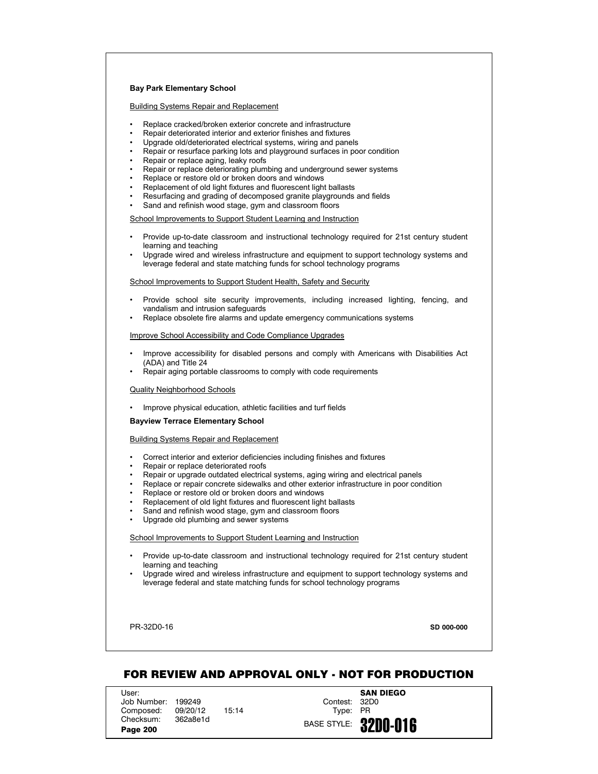# **Bay Park Elementary School**

Building Systems Repair and Replacement

- Replace cracked/broken exterior concrete and infrastructure
- Repair deteriorated interior and exterior finishes and fixtures
- Upgrade old/deteriorated electrical systems, wiring and panels
- Repair or resurface parking lots and playground surfaces in poor condition
- Repair or replace aging, leaky roofs
- Repair or replace deteriorating plumbing and underground sewer systems
- Replace or restore old or broken doors and windows
- Replacement of old light fixtures and fluorescent light ballasts
- Resurfacing and grading of decomposed granite playgrounds and fields
- Sand and refinish wood stage, gym and classroom floors

School Improvements to Support Student Learning and Instruction

- Provide up-to-date classroom and instructional technology required for 21st century student learning and teaching
- Upgrade wired and wireless infrastructure and equipment to support technology systems and leverage federal and state matching funds for school technology programs

## School Improvements to Support Student Health, Safety and Security

- Provide school site security improvements, including increased lighting, fencing, and vandalism and intrusion safeguards
- Replace obsolete fire alarms and update emergency communications systems

Improve School Accessibility and Code Compliance Upgrades

- Improve accessibility for disabled persons and comply with Americans with Disabilities Act (ADA) and Title 24
- Repair aging portable classrooms to comply with code requirements

#### Quality Neighborhood Schools

• Improve physical education, athletic facilities and turf fields

#### **Bayview Terrace Elementary School**

## Building Systems Repair and Replacement

- Correct interior and exterior deficiencies including finishes and fixtures
- Repair or replace deteriorated roofs
- Repair or upgrade outdated electrical systems, aging wiring and electrical panels
- Replace or repair concrete sidewalks and other exterior infrastructure in poor condition
- Replace or restore old or broken doors and windows
- Replacement of old light fixtures and fluorescent light ballasts
- Sand and refinish wood stage, gym and classroom floors
- Upgrade old plumbing and sewer systems

# School Improvements to Support Student Learning and Instruction

- Provide up-to-date classroom and instructional technology required for 21st century student learning and teaching
- Upgrade wired and wireless infrastructure and equipment to support technology systems and leverage federal and state matching funds for school technology programs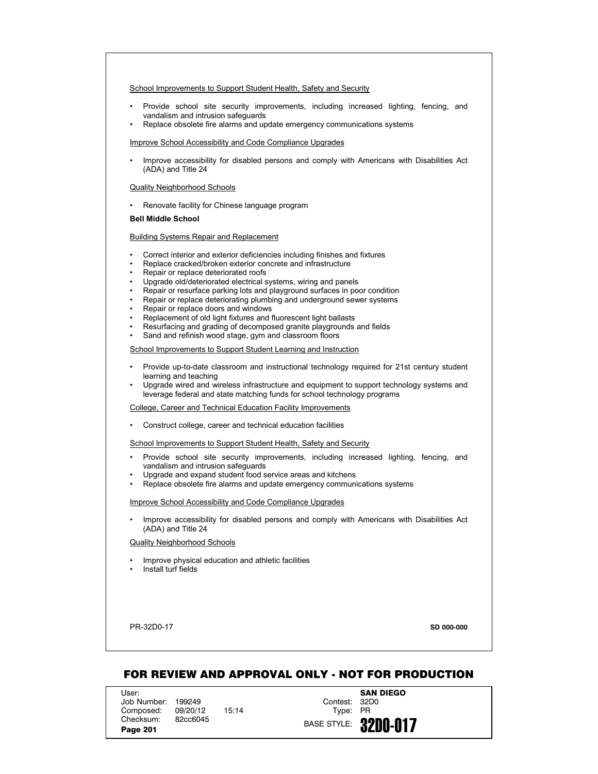School Improvements to Support Student Health, Safety and Security

- Provide school site security improvements, including increased lighting, fencing, and vandalism and intrusion safeguards
- Replace obsolete fire alarms and update emergency communications systems

Improve School Accessibility and Code Compliance Upgrades

• Improve accessibility for disabled persons and comply with Americans with Disabilities Act (ADA) and Title 24

## Quality Neighborhood Schools

• Renovate facility for Chinese language program

## **Bell Middle School**

# Building Systems Repair and Replacement

- Correct interior and exterior deficiencies including finishes and fixtures
- Replace cracked/broken exterior concrete and infrastructure
- Repair or replace deteriorated roofs
- Upgrade old/deteriorated electrical systems, wiring and panels
- Repair or resurface parking lots and playground surfaces in poor condition
- Repair or replace deteriorating plumbing and underground sewer systems
- Repair or replace doors and windows
- Replacement of old light fixtures and fluorescent light ballasts
- Resurfacing and grading of decomposed granite playgrounds and fields
- Sand and refinish wood stage, gym and classroom floors

## School Improvements to Support Student Learning and Instruction

- Provide up-to-date classroom and instructional technology required for 21st century student learning and teaching
- Upgrade wired and wireless infrastructure and equipment to support technology systems and leverage federal and state matching funds for school technology programs

#### College, Career and Technical Education Facility Improvements

• Construct college, career and technical education facilities

#### School Improvements to Support Student Health, Safety and Security

- Provide school site security improvements, including increased lighting, fencing, and vandalism and intrusion safeguards
- Upgrade and expand student food service areas and kitchens
- Replace obsolete fire alarms and update emergency communications systems

## Improve School Accessibility and Code Compliance Upgrades

• Improve accessibility for disabled persons and comply with Americans with Disabilities Act (ADA) and Title 24

# Quality Neighborhood Schools

- Improve physical education and athletic facilities
- Install turf fields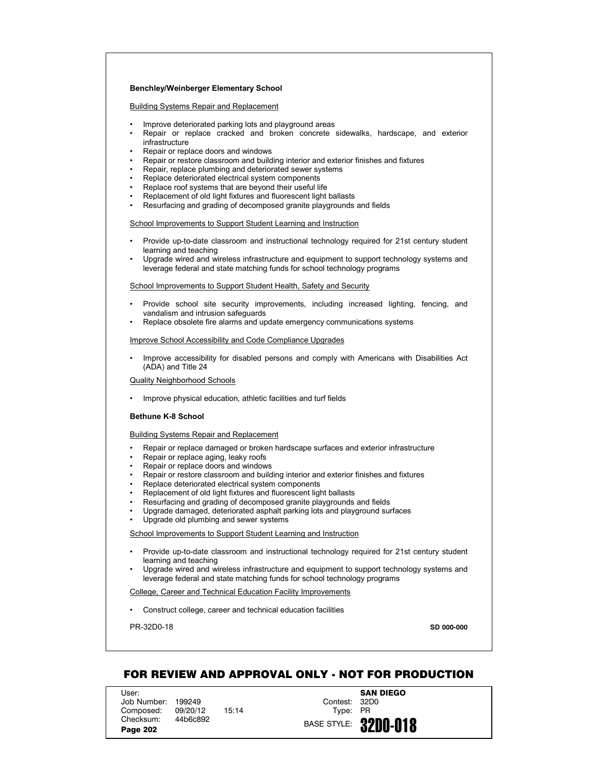## **Benchley/Weinberger Elementary School**

Building Systems Repair and Replacement

- Improve deteriorated parking lots and playground areas
- Repair or replace cracked and broken concrete sidewalks, hardscape, and exterior infrastructure
- Repair or replace doors and windows
- Repair or restore classroom and building interior and exterior finishes and fixtures
- Repair, replace plumbing and deteriorated sewer systems
- Replace deteriorated electrical system components
- Replace roof systems that are beyond their useful life
- Replacement of old light fixtures and fluorescent light ballasts
- Resurfacing and grading of decomposed granite playgrounds and fields

## School Improvements to Support Student Learning and Instruction

- Provide up-to-date classroom and instructional technology required for 21st century student learning and teaching
- Upgrade wired and wireless infrastructure and equipment to support technology systems and leverage federal and state matching funds for school technology programs

## School Improvements to Support Student Health, Safety and Security

- Provide school site security improvements, including increased lighting, fencing, and vandalism and intrusion safeguards
- Replace obsolete fire alarms and update emergency communications systems

#### Improve School Accessibility and Code Compliance Upgrades

• Improve accessibility for disabled persons and comply with Americans with Disabilities Act (ADA) and Title 24

## Quality Neighborhood Schools

• Improve physical education, athletic facilities and turf fields

## **Bethune K-8 School**

## Building Systems Repair and Replacement

- Repair or replace damaged or broken hardscape surfaces and exterior infrastructure
- Repair or replace aging, leaky roofs
- Repair or replace doors and windows
- Repair or restore classroom and building interior and exterior finishes and fixtures
- Replace deteriorated electrical system components
- Replacement of old light fixtures and fluorescent light ballasts
- Resurfacing and grading of decomposed granite playgrounds and fields
- Upgrade damaged, deteriorated asphalt parking lots and playground surfaces
- Upgrade old plumbing and sewer systems

School Improvements to Support Student Learning and Instruction

- Provide up-to-date classroom and instructional technology required for 21st century student learning and teaching
- Upgrade wired and wireless infrastructure and equipment to support technology systems and leverage federal and state matching funds for school technology programs

#### College, Career and Technical Education Facility Improvements

• Construct college, career and technical education facilities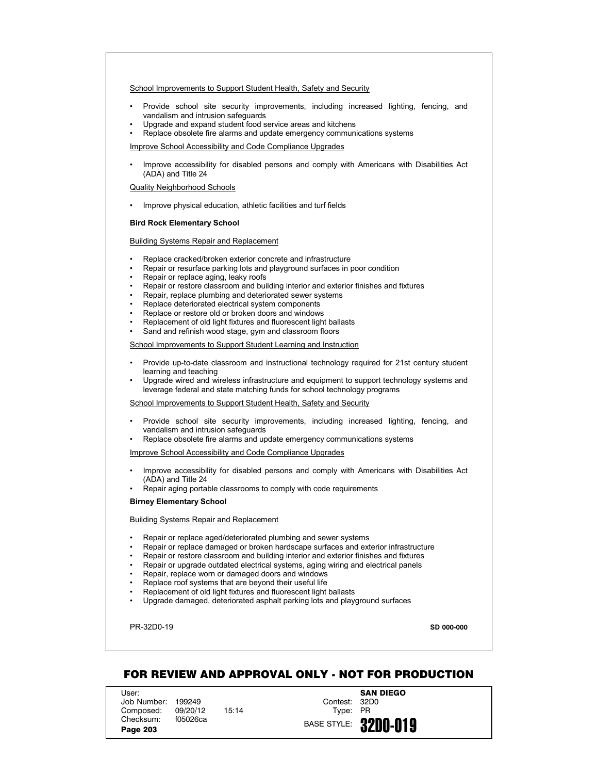## School Improvements to Support Student Health, Safety and Security

- Provide school site security improvements, including increased lighting, fencing, and vandalism and intrusion safeguards
- Upgrade and expand student food service areas and kitchens
- Replace obsolete fire alarms and update emergency communications systems

Improve School Accessibility and Code Compliance Upgrades

• Improve accessibility for disabled persons and comply with Americans with Disabilities Act (ADA) and Title 24

# Quality Neighborhood Schools

• Improve physical education, athletic facilities and turf fields

# **Bird Rock Elementary School**

## Building Systems Repair and Replacement

- Replace cracked/broken exterior concrete and infrastructure
- Repair or resurface parking lots and playground surfaces in poor condition
- Repair or replace aging, leaky roofs
- Repair or restore classroom and building interior and exterior finishes and fixtures
- Repair, replace plumbing and deteriorated sewer systems
- Replace deteriorated electrical system components
- Replace or restore old or broken doors and windows
- Replacement of old light fixtures and fluorescent light ballasts
- Sand and refinish wood stage, gym and classroom floors

## School Improvements to Support Student Learning and Instruction

- Provide up-to-date classroom and instructional technology required for 21st century student learning and teaching
- Upgrade wired and wireless infrastructure and equipment to support technology systems and leverage federal and state matching funds for school technology programs

# School Improvements to Support Student Health, Safety and Security

- Provide school site security improvements, including increased lighting, fencing, and vandalism and intrusion safeguards
- Replace obsolete fire alarms and update emergency communications systems

Improve School Accessibility and Code Compliance Upgrades

- Improve accessibility for disabled persons and comply with Americans with Disabilities Act (ADA) and Title 24
- Repair aging portable classrooms to comply with code requirements

#### **Birney Elementary School**

## Building Systems Repair and Replacement

- Repair or replace aged/deteriorated plumbing and sewer systems
- Repair or replace damaged or broken hardscape surfaces and exterior infrastructure
- Repair or restore classroom and building interior and exterior finishes and fixtures
- Repair or upgrade outdated electrical systems, aging wiring and electrical panels
- Repair, replace worn or damaged doors and windows
- Replace roof systems that are beyond their useful life
- Replacement of old light fixtures and fluorescent light ballasts
- Upgrade damaged, deteriorated asphalt parking lots and playground surfaces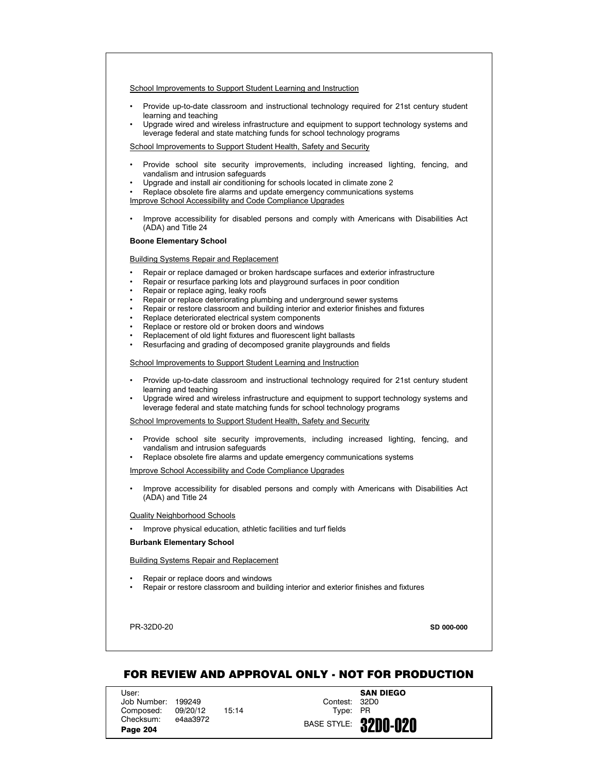- Provide up-to-date classroom and instructional technology required for 21st century student learning and teaching
- Upgrade wired and wireless infrastructure and equipment to support technology systems and leverage federal and state matching funds for school technology programs

School Improvements to Support Student Health, Safety and Security

- Provide school site security improvements, including increased lighting, fencing, and vandalism and intrusion safeguards
- Upgrade and install air conditioning for schools located in climate zone 2
- Replace obsolete fire alarms and update emergency communications systems

Improve School Accessibility and Code Compliance Upgrades

• Improve accessibility for disabled persons and comply with Americans with Disabilities Act (ADA) and Title 24

## **Boone Elementary School**

# Building Systems Repair and Replacement

- Repair or replace damaged or broken hardscape surfaces and exterior infrastructure
- Repair or resurface parking lots and playground surfaces in poor condition
- Repair or replace aging, leaky roofs
- Repair or replace deteriorating plumbing and underground sewer systems
- Repair or restore classroom and building interior and exterior finishes and fixtures
- Replace deteriorated electrical system components
- Replace or restore old or broken doors and windows
- Replacement of old light fixtures and fluorescent light ballasts
- Resurfacing and grading of decomposed granite playgrounds and fields

## School Improvements to Support Student Learning and Instruction

- Provide up-to-date classroom and instructional technology required for 21st century student learning and teaching
- Upgrade wired and wireless infrastructure and equipment to support technology systems and leverage federal and state matching funds for school technology programs

#### School Improvements to Support Student Health, Safety and Security

- Provide school site security improvements, including increased lighting, fencing, and vandalism and intrusion safeguards
- Replace obsolete fire alarms and update emergency communications systems

## Improve School Accessibility and Code Compliance Upgrades

• Improve accessibility for disabled persons and comply with Americans with Disabilities Act (ADA) and Title 24

#### Quality Neighborhood Schools

• Improve physical education, athletic facilities and turf fields

#### **Burbank Elementary School**

## Building Systems Repair and Replacement

- Repair or replace doors and windows
- Repair or restore classroom and building interior and exterior finishes and fixtures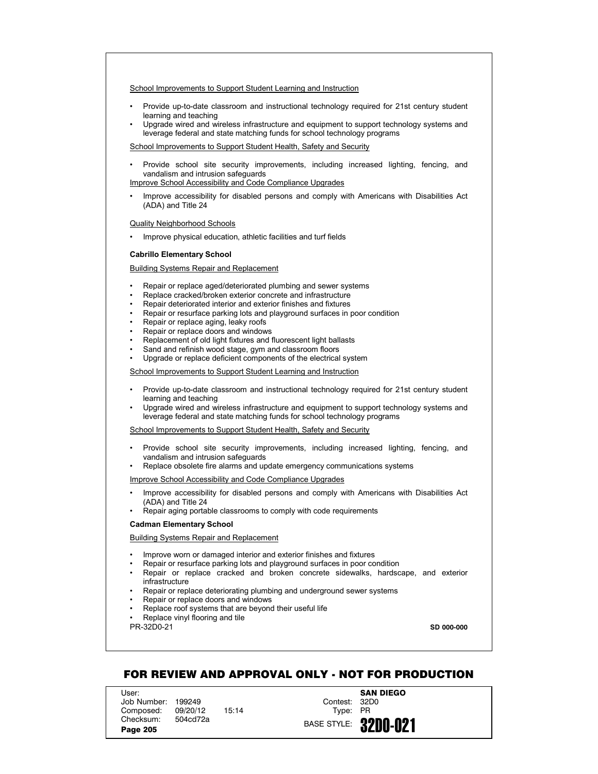- Provide up-to-date classroom and instructional technology required for 21st century student learning and teaching
- Upgrade wired and wireless infrastructure and equipment to support technology systems and leverage federal and state matching funds for school technology programs

School Improvements to Support Student Health, Safety and Security

• Provide school site security improvements, including increased lighting, fencing, and vandalism and intrusion safeguards

Improve School Accessibility and Code Compliance Upgrades

• Improve accessibility for disabled persons and comply with Americans with Disabilities Act (ADA) and Title 24

# Quality Neighborhood Schools

• Improve physical education, athletic facilities and turf fields

## **Cabrillo Elementary School**

## Building Systems Repair and Replacement

- Repair or replace aged/deteriorated plumbing and sewer systems
- Replace cracked/broken exterior concrete and infrastructure
- Repair deteriorated interior and exterior finishes and fixtures
- Repair or resurface parking lots and playground surfaces in poor condition
- Repair or replace aging, leaky roofs
- Repair or replace doors and windows
- Replacement of old light fixtures and fluorescent light ballasts
- Sand and refinish wood stage, gym and classroom floors
- Upgrade or replace deficient components of the electrical system

School Improvements to Support Student Learning and Instruction

- Provide up-to-date classroom and instructional technology required for 21st century student learning and teaching
- Upgrade wired and wireless infrastructure and equipment to support technology systems and leverage federal and state matching funds for school technology programs

School Improvements to Support Student Health, Safety and Security

- Provide school site security improvements, including increased lighting, fencing, and vandalism and intrusion safeguards
- Replace obsolete fire alarms and update emergency communications systems

Improve School Accessibility and Code Compliance Upgrades

- Improve accessibility for disabled persons and comply with Americans with Disabilities Act (ADA) and Title 24
- Repair aging portable classrooms to comply with code requirements

#### **Cadman Elementary School**

Building Systems Repair and Replacement

- Improve worn or damaged interior and exterior finishes and fixtures
- Repair or resurface parking lots and playground surfaces in poor condition
- Repair or replace cracked and broken concrete sidewalks, hardscape, and exterior infrastructure
- Repair or replace deteriorating plumbing and underground sewer systems
- Repair or replace doors and windows
- Replace roof systems that are beyond their useful life

• Replace vinyl flooring and tile

PR-32D0-21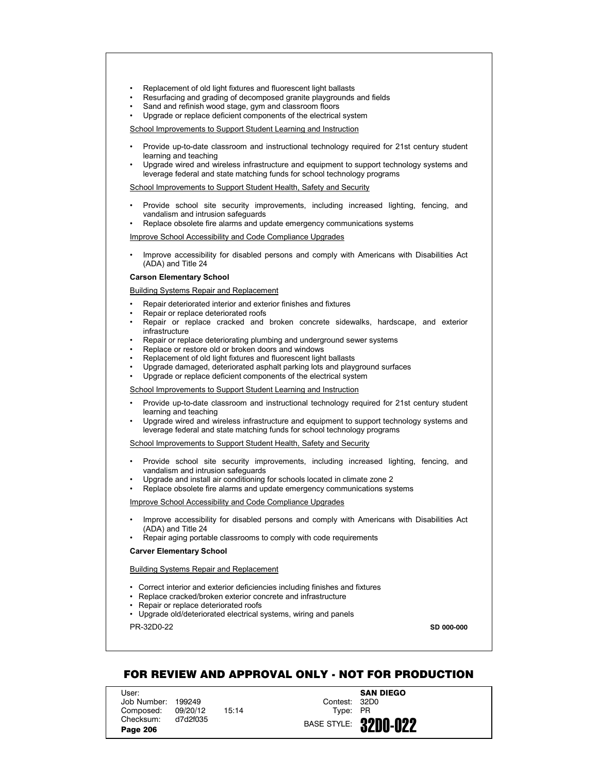- Replacement of old light fixtures and fluorescent light ballasts
- Resurfacing and grading of decomposed granite playgrounds and fields
- Sand and refinish wood stage, gym and classroom floors
- Upgrade or replace deficient components of the electrical system

- Provide up-to-date classroom and instructional technology required for 21st century student learning and teaching
- Upgrade wired and wireless infrastructure and equipment to support technology systems and leverage federal and state matching funds for school technology programs

School Improvements to Support Student Health, Safety and Security

- Provide school site security improvements, including increased lighting, fencing, and vandalism and intrusion safeguards
- Replace obsolete fire alarms and update emergency communications systems

Improve School Accessibility and Code Compliance Upgrades

• Improve accessibility for disabled persons and comply with Americans with Disabilities Act (ADA) and Title 24

#### **Carson Elementary School**

Building Systems Repair and Replacement

- Repair deteriorated interior and exterior finishes and fixtures
- Repair or replace deteriorated roofs
- Repair or replace cracked and broken concrete sidewalks, hardscape, and exterior infrastructure
- Repair or replace deteriorating plumbing and underground sewer systems
- Replace or restore old or broken doors and windows
- Replacement of old light fixtures and fluorescent light ballasts
- Upgrade damaged, deteriorated asphalt parking lots and playground surfaces
- Upgrade or replace deficient components of the electrical system

School Improvements to Support Student Learning and Instruction

- Provide up-to-date classroom and instructional technology required for 21st century student learning and teaching
- Upgrade wired and wireless infrastructure and equipment to support technology systems and leverage federal and state matching funds for school technology programs

School Improvements to Support Student Health, Safety and Security

- Provide school site security improvements, including increased lighting, fencing, and vandalism and intrusion safeguards
- Upgrade and install air conditioning for schools located in climate zone 2
- Replace obsolete fire alarms and update emergency communications systems

Improve School Accessibility and Code Compliance Upgrades

- Improve accessibility for disabled persons and comply with Americans with Disabilities Act (ADA) and Title 24
- Repair aging portable classrooms to comply with code requirements

## **Carver Elementary School**

Building Systems Repair and Replacement

- Correct interior and exterior deficiencies including finishes and fixtures
- Replace cracked/broken exterior concrete and infrastructure
- Repair or replace deteriorated roofs
- Upgrade old/deteriorated electrical systems, wiring and panels

PR-32D0-22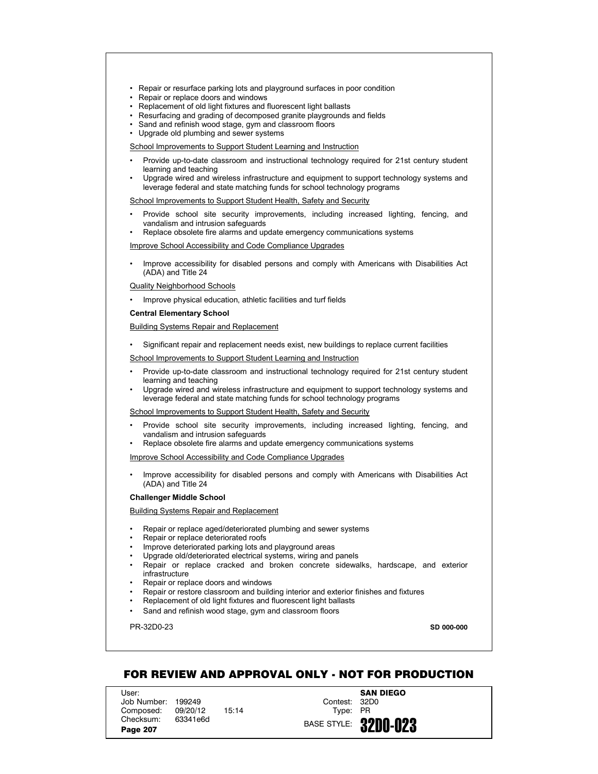- Repair or resurface parking lots and playground surfaces in poor condition
- Repair or replace doors and windows
- Replacement of old light fixtures and fluorescent light ballasts
- Resurfacing and grading of decomposed granite playgrounds and fields
- Sand and refinish wood stage, gym and classroom floors
- Upgrade old plumbing and sewer systems

- Provide up-to-date classroom and instructional technology required for 21st century student learning and teaching
- Upgrade wired and wireless infrastructure and equipment to support technology systems and leverage federal and state matching funds for school technology programs

School Improvements to Support Student Health, Safety and Security

- Provide school site security improvements, including increased lighting, fencing, and vandalism and intrusion safeguards
- Replace obsolete fire alarms and update emergency communications systems

Improve School Accessibility and Code Compliance Upgrades

• Improve accessibility for disabled persons and comply with Americans with Disabilities Act (ADA) and Title 24

## Quality Neighborhood Schools

• Improve physical education, athletic facilities and turf fields

#### **Central Elementary School**

Building Systems Repair and Replacement

• Significant repair and replacement needs exist, new buildings to replace current facilities

School Improvements to Support Student Learning and Instruction

- Provide up-to-date classroom and instructional technology required for 21st century student learning and teaching
- Upgrade wired and wireless infrastructure and equipment to support technology systems and leverage federal and state matching funds for school technology programs

School Improvements to Support Student Health, Safety and Security

- Provide school site security improvements, including increased lighting, fencing, and vandalism and intrusion safeguards
- Replace obsolete fire alarms and update emergency communications systems

Improve School Accessibility and Code Compliance Upgrades

• Improve accessibility for disabled persons and comply with Americans with Disabilities Act (ADA) and Title 24

#### **Challenger Middle School**

Building Systems Repair and Replacement

- Repair or replace aged/deteriorated plumbing and sewer systems
- Repair or replace deteriorated roofs
- Improve deteriorated parking lots and playground areas
- Upgrade old/deteriorated electrical systems, wiring and panels
- Repair or replace cracked and broken concrete sidewalks, hardscape, and exterior infrastructure
- Repair or replace doors and windows
- Repair or restore classroom and building interior and exterior finishes and fixtures
- Replacement of old light fixtures and fluorescent light ballasts
- Sand and refinish wood stage, gym and classroom floors

PR-32D0-23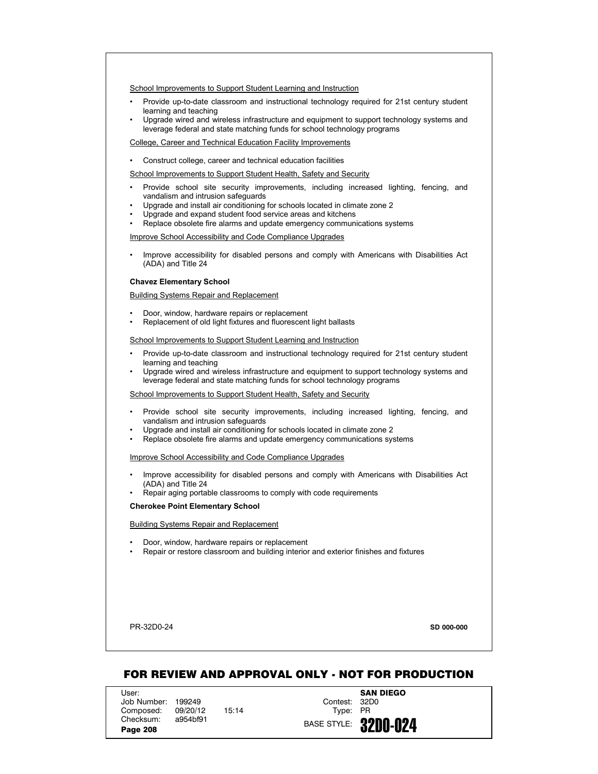- Provide up-to-date classroom and instructional technology required for 21st century student learning and teaching
- Upgrade wired and wireless infrastructure and equipment to support technology systems and leverage federal and state matching funds for school technology programs

# College, Career and Technical Education Facility Improvements

• Construct college, career and technical education facilities

# School Improvements to Support Student Health, Safety and Security

- Provide school site security improvements, including increased lighting, fencing, and vandalism and intrusion safeguards
- Upgrade and install air conditioning for schools located in climate zone 2
- Upgrade and expand student food service areas and kitchens
- Replace obsolete fire alarms and update emergency communications systems

## Improve School Accessibility and Code Compliance Upgrades

• Improve accessibility for disabled persons and comply with Americans with Disabilities Act (ADA) and Title 24

## **Chavez Elementary School**

#### Building Systems Repair and Replacement

- Door, window, hardware repairs or replacement
- Replacement of old light fixtures and fluorescent light ballasts

# School Improvements to Support Student Learning and Instruction

- Provide up-to-date classroom and instructional technology required for 21st century student learning and teaching
- Upgrade wired and wireless infrastructure and equipment to support technology systems and leverage federal and state matching funds for school technology programs

## School Improvements to Support Student Health, Safety and Security

- Provide school site security improvements, including increased lighting, fencing, and vandalism and intrusion safeguards
- Upgrade and install air conditioning for schools located in climate zone 2
- Replace obsolete fire alarms and update emergency communications systems

## Improve School Accessibility and Code Compliance Upgrades

- Improve accessibility for disabled persons and comply with Americans with Disabilities Act (ADA) and Title 24
- Repair aging portable classrooms to comply with code requirements

#### **Cherokee Point Elementary School**

#### Building Systems Repair and Replacement

- Door, window, hardware repairs or replacement
- Repair or restore classroom and building interior and exterior finishes and fixtures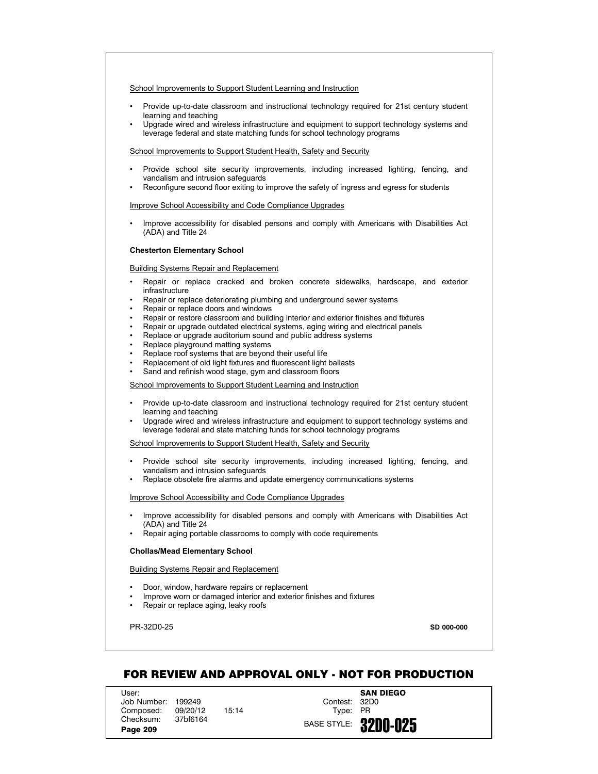- Provide up-to-date classroom and instructional technology required for 21st century student learning and teaching
- Upgrade wired and wireless infrastructure and equipment to support technology systems and leverage federal and state matching funds for school technology programs

## School Improvements to Support Student Health, Safety and Security

- Provide school site security improvements, including increased lighting, fencing, and vandalism and intrusion safeguards
- Reconfigure second floor exiting to improve the safety of ingress and egress for students

## Improve School Accessibility and Code Compliance Upgrades

• Improve accessibility for disabled persons and comply with Americans with Disabilities Act (ADA) and Title 24

## **Chesterton Elementary School**

## Building Systems Repair and Replacement

- Repair or replace cracked and broken concrete sidewalks, hardscape, and exterior infrastructure
- Repair or replace deteriorating plumbing and underground sewer systems
- Repair or replace doors and windows
- Repair or restore classroom and building interior and exterior finishes and fixtures
- Repair or upgrade outdated electrical systems, aging wiring and electrical panels
- Replace or upgrade auditorium sound and public address systems
- Replace playground matting systems
- Replace roof systems that are beyond their useful life
- Replacement of old light fixtures and fluorescent light ballasts
- Sand and refinish wood stage, gym and classroom floors

School Improvements to Support Student Learning and Instruction

- Provide up-to-date classroom and instructional technology required for 21st century student learning and teaching
- Upgrade wired and wireless infrastructure and equipment to support technology systems and leverage federal and state matching funds for school technology programs

School Improvements to Support Student Health, Safety and Security

- Provide school site security improvements, including increased lighting, fencing, and vandalism and intrusion safeguards
- Replace obsolete fire alarms and update emergency communications systems

## Improve School Accessibility and Code Compliance Upgrades

- Improve accessibility for disabled persons and comply with Americans with Disabilities Act (ADA) and Title 24
- Repair aging portable classrooms to comply with code requirements

## **Chollas/Mead Elementary School**

Building Systems Repair and Replacement

- Door, window, hardware repairs or replacement
- Improve worn or damaged interior and exterior finishes and fixtures
- Repair or replace aging, leaky roofs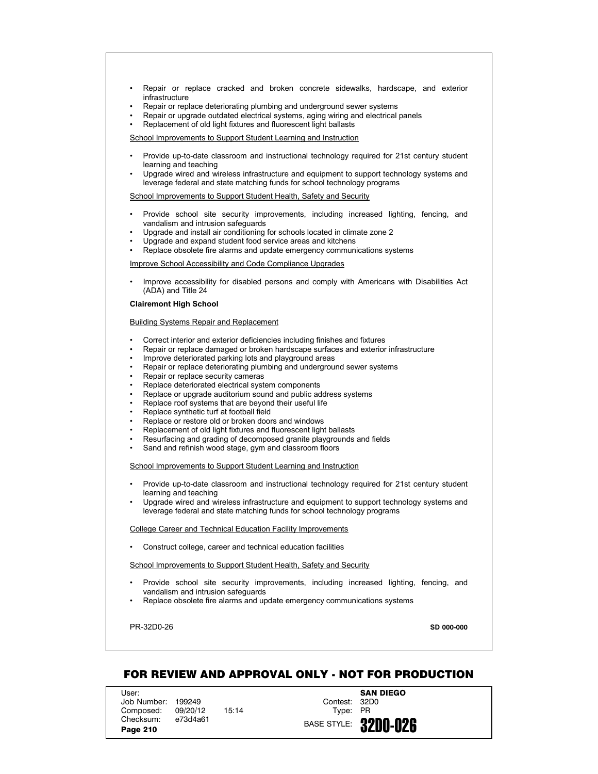- Repair or replace cracked and broken concrete sidewalks, hardscape, and exterior infrastructure
- Repair or replace deteriorating plumbing and underground sewer systems
- Repair or upgrade outdated electrical systems, aging wiring and electrical panels
- Replacement of old light fixtures and fluorescent light ballasts

- Provide up-to-date classroom and instructional technology required for 21st century student learning and teaching
- Upgrade wired and wireless infrastructure and equipment to support technology systems and leverage federal and state matching funds for school technology programs

School Improvements to Support Student Health, Safety and Security

- Provide school site security improvements, including increased lighting, fencing, and vandalism and intrusion safeguards
- Upgrade and install air conditioning for schools located in climate zone 2
- Upgrade and expand student food service areas and kitchens
- Replace obsolete fire alarms and update emergency communications systems

Improve School Accessibility and Code Compliance Upgrades

• Improve accessibility for disabled persons and comply with Americans with Disabilities Act (ADA) and Title 24

# **Clairemont High School**

Building Systems Repair and Replacement

- Correct interior and exterior deficiencies including finishes and fixtures
- Repair or replace damaged or broken hardscape surfaces and exterior infrastructure
- Improve deteriorated parking lots and playground areas
- Repair or replace deteriorating plumbing and underground sewer systems
- Repair or replace security cameras
- Replace deteriorated electrical system components
- Replace or upgrade auditorium sound and public address systems
- Replace roof systems that are beyond their useful life
- Replace synthetic turf at football field
- Replace or restore old or broken doors and windows
- Replacement of old light fixtures and fluorescent light ballasts
- Resurfacing and grading of decomposed granite playgrounds and fields
- Sand and refinish wood stage, gym and classroom floors

School Improvements to Support Student Learning and Instruction

- Provide up-to-date classroom and instructional technology required for 21st century student learning and teaching
- Upgrade wired and wireless infrastructure and equipment to support technology systems and leverage federal and state matching funds for school technology programs

#### College Career and Technical Education Facility Improvements

• Construct college, career and technical education facilities

School Improvements to Support Student Health, Safety and Security

- Provide school site security improvements, including increased lighting, fencing, and vandalism and intrusion safeguards
- Replace obsolete fire alarms and update emergency communications systems

PR-32D0-26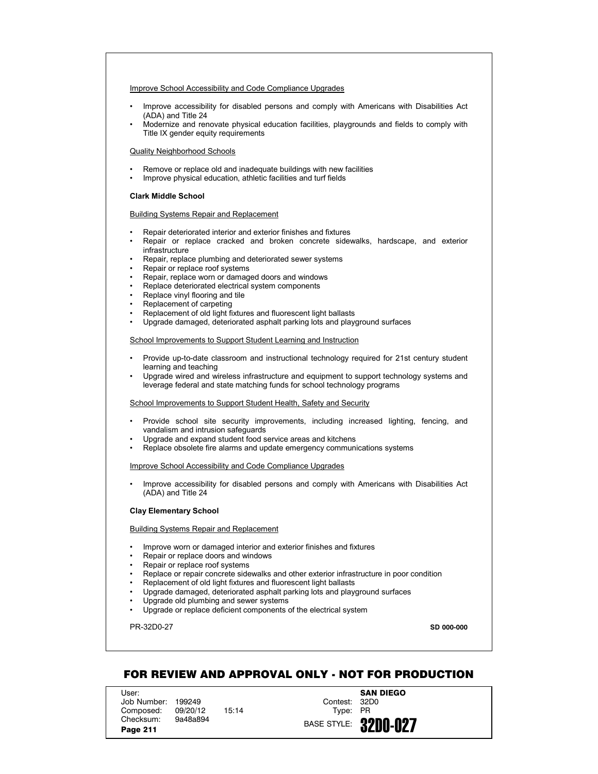## Improve School Accessibility and Code Compliance Upgrades

- Improve accessibility for disabled persons and comply with Americans with Disabilities Act (ADA) and Title 24
- Modernize and renovate physical education facilities, playgrounds and fields to comply with Title IX gender equity requirements

## Quality Neighborhood Schools

- Remove or replace old and inadequate buildings with new facilities
- Improve physical education, athletic facilities and turf fields

## **Clark Middle School**

## Building Systems Repair and Replacement

- Repair deteriorated interior and exterior finishes and fixtures
- Repair or replace cracked and broken concrete sidewalks, hardscape, and exterior infrastructure
- Repair, replace plumbing and deteriorated sewer systems
- Repair or replace roof systems
- Repair, replace worn or damaged doors and windows
- Replace deteriorated electrical system components
- Replace vinyl flooring and tile
- Replacement of carpeting
- Replacement of old light fixtures and fluorescent light ballasts
- Upgrade damaged, deteriorated asphalt parking lots and playground surfaces

# School Improvements to Support Student Learning and Instruction

- Provide up-to-date classroom and instructional technology required for 21st century student learning and teaching
- Upgrade wired and wireless infrastructure and equipment to support technology systems and leverage federal and state matching funds for school technology programs

## School Improvements to Support Student Health, Safety and Security

- Provide school site security improvements, including increased lighting, fencing, and vandalism and intrusion safeguards
- Upgrade and expand student food service areas and kitchens
- Replace obsolete fire alarms and update emergency communications systems

### Improve School Accessibility and Code Compliance Upgrades

• Improve accessibility for disabled persons and comply with Americans with Disabilities Act (ADA) and Title 24

# **Clay Elementary School**

## Building Systems Repair and Replacement

- Improve worn or damaged interior and exterior finishes and fixtures
- Repair or replace doors and windows
- Repair or replace roof systems
- Replace or repair concrete sidewalks and other exterior infrastructure in poor condition
- Replacement of old light fixtures and fluorescent light ballasts
- Upgrade damaged, deteriorated asphalt parking lots and playground surfaces
- Upgrade old plumbing and sewer systems
- Upgrade or replace deficient components of the electrical system

## PR-32D0-27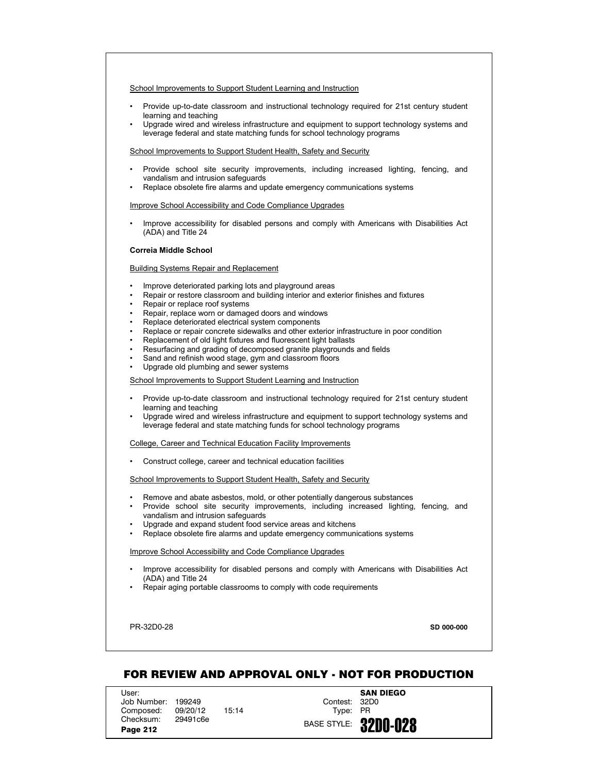- Provide up-to-date classroom and instructional technology required for 21st century student learning and teaching
- Upgrade wired and wireless infrastructure and equipment to support technology systems and leverage federal and state matching funds for school technology programs

School Improvements to Support Student Health, Safety and Security

- Provide school site security improvements, including increased lighting, fencing, and vandalism and intrusion safeguards
- Replace obsolete fire alarms and update emergency communications systems

## Improve School Accessibility and Code Compliance Upgrades

• Improve accessibility for disabled persons and comply with Americans with Disabilities Act (ADA) and Title 24

## **Correia Middle School**

## Building Systems Repair and Replacement

- Improve deteriorated parking lots and playground areas
- Repair or restore classroom and building interior and exterior finishes and fixtures
- Repair or replace roof systems
- Repair, replace worn or damaged doors and windows
- Replace deteriorated electrical system components
- Replace or repair concrete sidewalks and other exterior infrastructure in poor condition
- Replacement of old light fixtures and fluorescent light ballasts
- Resurfacing and grading of decomposed granite playgrounds and fields
- Sand and refinish wood stage, gym and classroom floors
- Upgrade old plumbing and sewer systems

## School Improvements to Support Student Learning and Instruction

- Provide up-to-date classroom and instructional technology required for 21st century student learning and teaching
- Upgrade wired and wireless infrastructure and equipment to support technology systems and leverage federal and state matching funds for school technology programs

## College, Career and Technical Education Facility Improvements

• Construct college, career and technical education facilities

## School Improvements to Support Student Health, Safety and Security

- Remove and abate asbestos, mold, or other potentially dangerous substances
- Provide school site security improvements, including increased lighting, fencing, and vandalism and intrusion safeguards
- Upgrade and expand student food service areas and kitchens
- Replace obsolete fire alarms and update emergency communications systems

### Improve School Accessibility and Code Compliance Upgrades

- Improve accessibility for disabled persons and comply with Americans with Disabilities Act (ADA) and Title 24
- Repair aging portable classrooms to comply with code requirements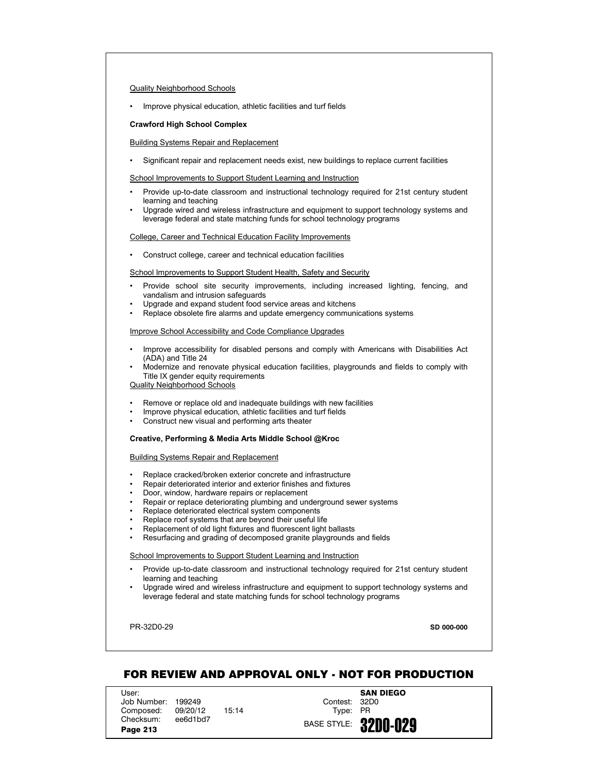## Quality Neighborhood Schools

• Improve physical education, athletic facilities and turf fields

#### **Crawford High School Complex**

## Building Systems Repair and Replacement

• Significant repair and replacement needs exist, new buildings to replace current facilities

School Improvements to Support Student Learning and Instruction

- Provide up-to-date classroom and instructional technology required for 21st century student learning and teaching
- Upgrade wired and wireless infrastructure and equipment to support technology systems and leverage federal and state matching funds for school technology programs

## College, Career and Technical Education Facility Improvements

• Construct college, career and technical education facilities

## School Improvements to Support Student Health, Safety and Security

- Provide school site security improvements, including increased lighting, fencing, and vandalism and intrusion safeguards
- Upgrade and expand student food service areas and kitchens
- Replace obsolete fire alarms and update emergency communications systems

#### Improve School Accessibility and Code Compliance Upgrades

- Improve accessibility for disabled persons and comply with Americans with Disabilities Act (ADA) and Title 24
- Modernize and renovate physical education facilities, playgrounds and fields to comply with Title IX gender equity requirements

Quality Neighborhood Schools

- Remove or replace old and inadequate buildings with new facilities
- Improve physical education, athletic facilities and turf fields
- Construct new visual and performing arts theater

# **Creative, Performing & Media Arts Middle School @Kroc**

Building Systems Repair and Replacement

- Replace cracked/broken exterior concrete and infrastructure
- Repair deteriorated interior and exterior finishes and fixtures
- Door, window, hardware repairs or replacement
- Repair or replace deteriorating plumbing and underground sewer systems
- Replace deteriorated electrical system components
- Replace roof systems that are beyond their useful life
- Replacement of old light fixtures and fluorescent light ballasts
- Resurfacing and grading of decomposed granite playgrounds and fields

## School Improvements to Support Student Learning and Instruction

- Provide up-to-date classroom and instructional technology required for 21st century student learning and teaching
- Upgrade wired and wireless infrastructure and equipment to support technology systems and leverage federal and state matching funds for school technology programs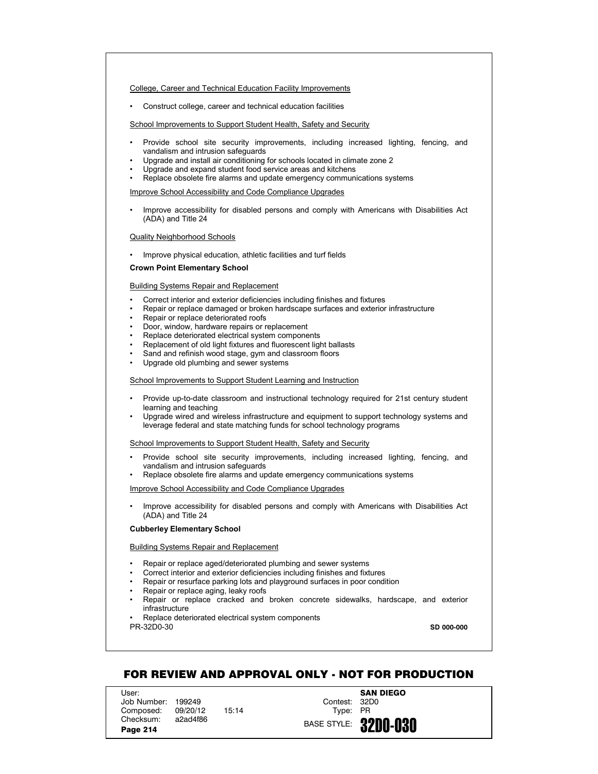College, Career and Technical Education Facility Improvements

• Construct college, career and technical education facilities

School Improvements to Support Student Health, Safety and Security

- Provide school site security improvements, including increased lighting, fencing, and vandalism and intrusion safeguards
- Upgrade and install air conditioning for schools located in climate zone 2
- Upgrade and expand student food service areas and kitchens
- Replace obsolete fire alarms and update emergency communications systems

Improve School Accessibility and Code Compliance Upgrades

• Improve accessibility for disabled persons and comply with Americans with Disabilities Act (ADA) and Title 24

Quality Neighborhood Schools

• Improve physical education, athletic facilities and turf fields

# **Crown Point Elementary School**

## Building Systems Repair and Replacement

- Correct interior and exterior deficiencies including finishes and fixtures
- Repair or replace damaged or broken hardscape surfaces and exterior infrastructure
- Repair or replace deteriorated roofs
- Door, window, hardware repairs or replacement
- Replace deteriorated electrical system components
- Replacement of old light fixtures and fluorescent light ballasts
- Sand and refinish wood stage, gym and classroom floors
- Upgrade old plumbing and sewer systems

## School Improvements to Support Student Learning and Instruction

- Provide up-to-date classroom and instructional technology required for 21st century student learning and teaching
- Upgrade wired and wireless infrastructure and equipment to support technology systems and leverage federal and state matching funds for school technology programs

School Improvements to Support Student Health, Safety and Security

- Provide school site security improvements, including increased lighting, fencing, and vandalism and intrusion safeguards
- Replace obsolete fire alarms and update emergency communications systems

Improve School Accessibility and Code Compliance Upgrades

• Improve accessibility for disabled persons and comply with Americans with Disabilities Act (ADA) and Title 24

## **Cubberley Elementary School**

# Building Systems Repair and Replacement

- Repair or replace aged/deteriorated plumbing and sewer systems
- Correct interior and exterior deficiencies including finishes and fixtures<br>• Renair or resurface parking lots and playground surfaces in poor conditional
- Repair or resurface parking lots and playground surfaces in poor condition
- Repair or replace aging, leaky roofs
- Repair or replace cracked and broken concrete sidewalks, hardscape, and exterior infrastructure

PR-32D0-30 Replace deteriorated electrical system components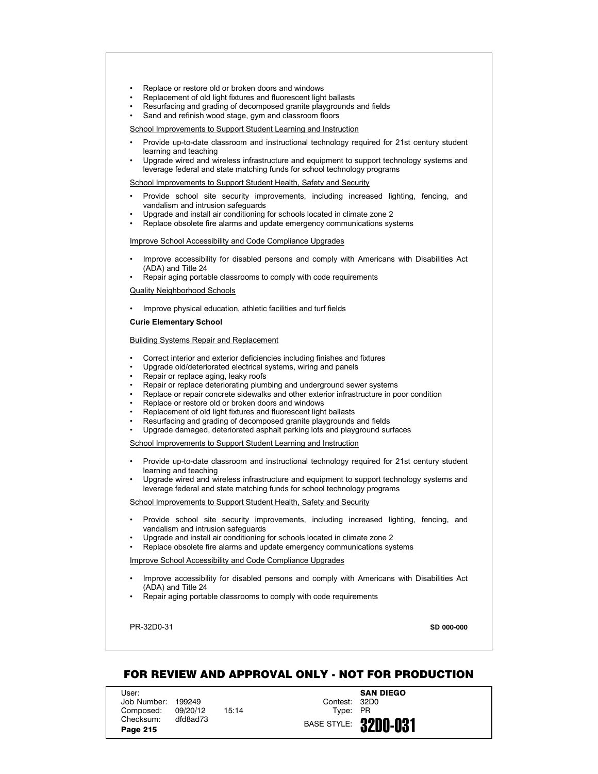- Replace or restore old or broken doors and windows
- Replacement of old light fixtures and fluorescent light ballasts
- Resurfacing and grading of decomposed granite playgrounds and fields
- Sand and refinish wood stage, gym and classroom floors

- Provide up-to-date classroom and instructional technology required for 21st century student learning and teaching
- Upgrade wired and wireless infrastructure and equipment to support technology systems and leverage federal and state matching funds for school technology programs

School Improvements to Support Student Health, Safety and Security

- Provide school site security improvements, including increased lighting, fencing, and vandalism and intrusion safeguards
- Upgrade and install air conditioning for schools located in climate zone 2
- Replace obsolete fire alarms and update emergency communications systems

### Improve School Accessibility and Code Compliance Upgrades

- Improve accessibility for disabled persons and comply with Americans with Disabilities Act (ADA) and Title 24
- Repair aging portable classrooms to comply with code requirements

Quality Neighborhood Schools

• Improve physical education, athletic facilities and turf fields

#### **Curie Elementary School**

## Building Systems Repair and Replacement

- Correct interior and exterior deficiencies including finishes and fixtures
- Upgrade old/deteriorated electrical systems, wiring and panels
- Repair or replace aging, leaky roofs
- Repair or replace deteriorating plumbing and underground sewer systems
- Replace or repair concrete sidewalks and other exterior infrastructure in poor condition
- Replace or restore old or broken doors and windows
- Replacement of old light fixtures and fluorescent light ballasts
- Resurfacing and grading of decomposed granite playgrounds and fields
- Upgrade damaged, deteriorated asphalt parking lots and playground surfaces

School Improvements to Support Student Learning and Instruction

- Provide up-to-date classroom and instructional technology required for 21st century student learning and teaching
- Upgrade wired and wireless infrastructure and equipment to support technology systems and leverage federal and state matching funds for school technology programs

#### School Improvements to Support Student Health, Safety and Security

- Provide school site security improvements, including increased lighting, fencing, and vandalism and intrusion safeguards
- Upgrade and install air conditioning for schools located in climate zone 2
- Replace obsolete fire alarms and update emergency communications systems

Improve School Accessibility and Code Compliance Upgrades

- Improve accessibility for disabled persons and comply with Americans with Disabilities Act (ADA) and Title 24
- Repair aging portable classrooms to comply with code requirements

PR-32D0-31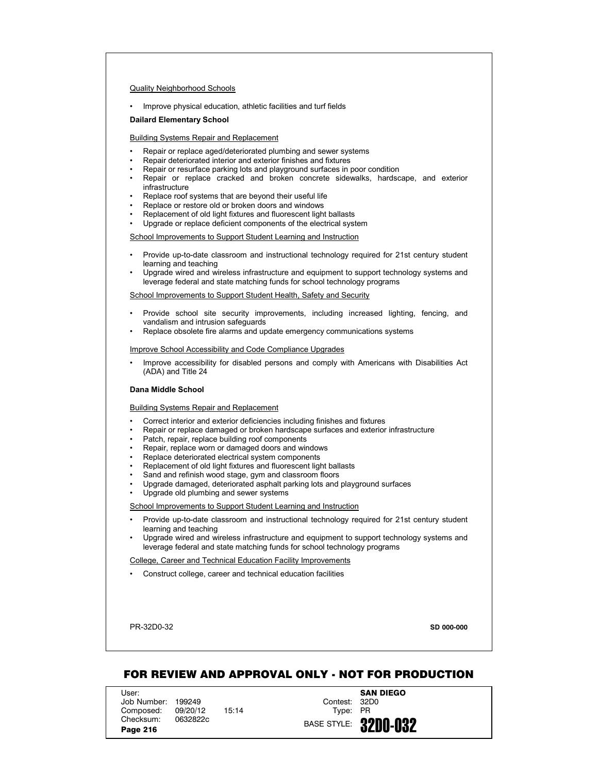## Quality Neighborhood Schools

• Improve physical education, athletic facilities and turf fields

### **Dailard Elementary School**

## Building Systems Repair and Replacement

- Repair or replace aged/deteriorated plumbing and sewer systems
- Repair deteriorated interior and exterior finishes and fixtures
- Repair or resurface parking lots and playground surfaces in poor condition
- Repair or replace cracked and broken concrete sidewalks, hardscape, and exterior infrastructure
- Replace roof systems that are beyond their useful life
- Replace or restore old or broken doors and windows
- Replacement of old light fixtures and fluorescent light ballasts
- Upgrade or replace deficient components of the electrical system

## School Improvements to Support Student Learning and Instruction

- Provide up-to-date classroom and instructional technology required for 21st century student learning and teaching
- Upgrade wired and wireless infrastructure and equipment to support technology systems and leverage federal and state matching funds for school technology programs

# School Improvements to Support Student Health, Safety and Security

- Provide school site security improvements, including increased lighting, fencing, and vandalism and intrusion safeguards
- Replace obsolete fire alarms and update emergency communications systems

#### Improve School Accessibility and Code Compliance Upgrades

• Improve accessibility for disabled persons and comply with Americans with Disabilities Act (ADA) and Title 24

### **Dana Middle School**

#### Building Systems Repair and Replacement

- Correct interior and exterior deficiencies including finishes and fixtures
- Repair or replace damaged or broken hardscape surfaces and exterior infrastructure
- Patch, repair, replace building roof components
- Repair, replace worn or damaged doors and windows
- Replace deteriorated electrical system components
- Replacement of old light fixtures and fluorescent light ballasts
- Sand and refinish wood stage, gym and classroom floors
- Upgrade damaged, deteriorated asphalt parking lots and playground surfaces
- Upgrade old plumbing and sewer systems

## School Improvements to Support Student Learning and Instruction

- Provide up-to-date classroom and instructional technology required for 21st century student learning and teaching
- Upgrade wired and wireless infrastructure and equipment to support technology systems and leverage federal and state matching funds for school technology programs

## College, Career and Technical Education Facility Improvements

• Construct college, career and technical education facilities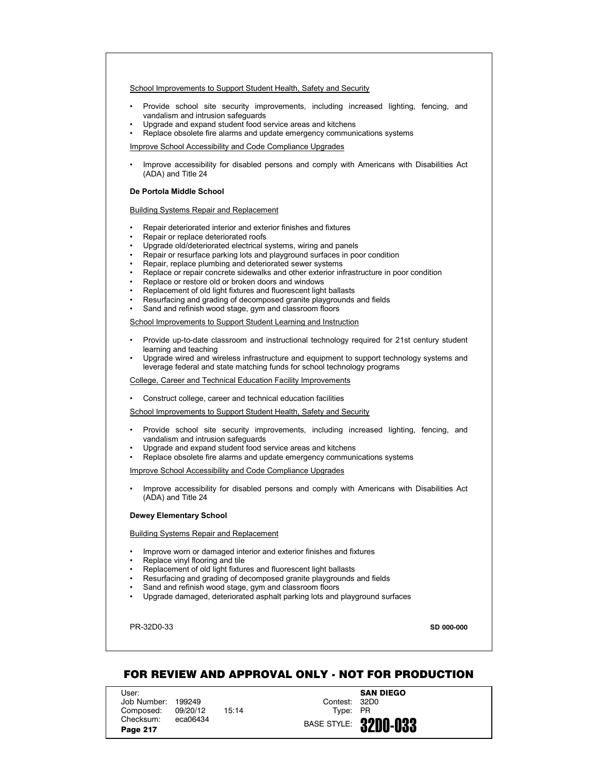School Improvements to Support Student Health, Safety and Security

- Provide school site security improvements, including increased lighting, fencing, and vandalism and intrusion safeguards
- Upgrade and expand student food service areas and kitchens
- Replace obsolete fire alarms and update emergency communications systems

Improve School Accessibility and Code Compliance Upgrades

• Improve accessibility for disabled persons and comply with Americans with Disabilities Act (ADA) and Title 24

# **De Portola Middle School**

Building Systems Repair and Replacement

- Repair deteriorated interior and exterior finishes and fixtures
- Repair or replace deteriorated roofs
- Upgrade old/deteriorated electrical systems, wiring and panels
- Repair or resurface parking lots and playground surfaces in poor condition
- Repair, replace plumbing and deteriorated sewer systems
- Replace or repair concrete sidewalks and other exterior infrastructure in poor condition
- Replace or restore old or broken doors and windows
- Replacement of old light fixtures and fluorescent light ballasts
- Resurfacing and grading of decomposed granite playgrounds and fields
- Sand and refinish wood stage, gym and classroom floors

# School Improvements to Support Student Learning and Instruction

- Provide up-to-date classroom and instructional technology required for 21st century student learning and teaching
- Upgrade wired and wireless infrastructure and equipment to support technology systems and leverage federal and state matching funds for school technology programs

College, Career and Technical Education Facility Improvements

• Construct college, career and technical education facilities

School Improvements to Support Student Health, Safety and Security

- Provide school site security improvements, including increased lighting, fencing, and vandalism and intrusion safeguards
- Upgrade and expand student food service areas and kitchens
- Replace obsolete fire alarms and update emergency communications systems

Improve School Accessibility and Code Compliance Upgrades

• Improve accessibility for disabled persons and comply with Americans with Disabilities Act (ADA) and Title 24

#### **Dewey Elementary School**

Building Systems Repair and Replacement

- Improve worn or damaged interior and exterior finishes and fixtures
- Replace vinyl flooring and tile
- Replacement of old light fixtures and fluorescent light ballasts
- Resurfacing and grading of decomposed granite playgrounds and fields
- Sand and refinish wood stage, gym and classroom floors
- Upgrade damaged, deteriorated asphalt parking lots and playground surfaces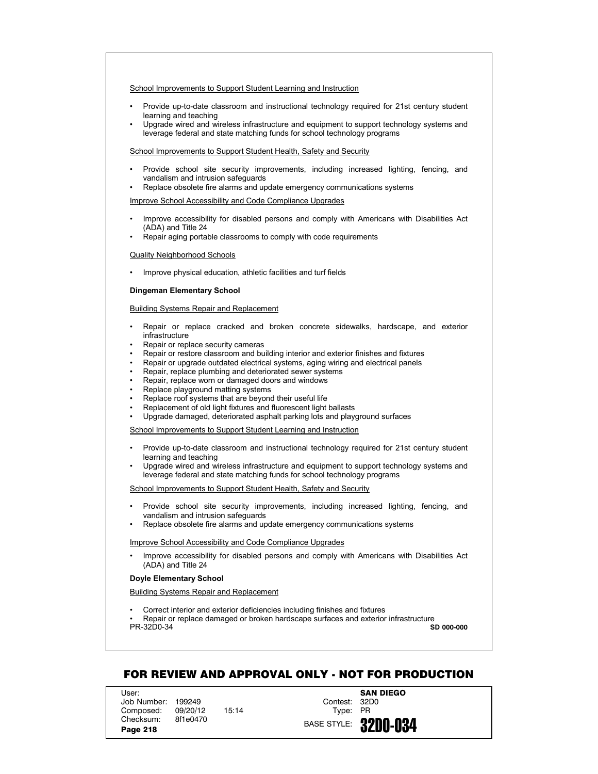- Provide up-to-date classroom and instructional technology required for 21st century student learning and teaching
- Upgrade wired and wireless infrastructure and equipment to support technology systems and leverage federal and state matching funds for school technology programs

# School Improvements to Support Student Health, Safety and Security

- Provide school site security improvements, including increased lighting, fencing, and vandalism and intrusion safeguards
- Replace obsolete fire alarms and update emergency communications systems

## Improve School Accessibility and Code Compliance Upgrades

- Improve accessibility for disabled persons and comply with Americans with Disabilities Act (ADA) and Title 24
- Repair aging portable classrooms to comply with code requirements

## Quality Neighborhood Schools

• Improve physical education, athletic facilities and turf fields

## **Dingeman Elementary School**

## Building Systems Repair and Replacement

- Repair or replace cracked and broken concrete sidewalks, hardscape, and exterior infrastructure
- Repair or replace security cameras
- Repair or restore classroom and building interior and exterior finishes and fixtures
- Repair or upgrade outdated electrical systems, aging wiring and electrical panels
- Repair, replace plumbing and deteriorated sewer systems
- Repair, replace worn or damaged doors and windows
- Replace playground matting systems
- Replace roof systems that are beyond their useful life
- Replacement of old light fixtures and fluorescent light ballasts
- Upgrade damaged, deteriorated asphalt parking lots and playground surfaces

## School Improvements to Support Student Learning and Instruction

- Provide up-to-date classroom and instructional technology required for 21st century student learning and teaching
- Upgrade wired and wireless infrastructure and equipment to support technology systems and leverage federal and state matching funds for school technology programs

# School Improvements to Support Student Health, Safety and Security

- Provide school site security improvements, including increased lighting, fencing, and vandalism and intrusion safeguards
- Replace obsolete fire alarms and update emergency communications systems

## Improve School Accessibility and Code Compliance Upgrades

• Improve accessibility for disabled persons and comply with Americans with Disabilities Act (ADA) and Title 24

# **Doyle Elementary School**

# Building Systems Repair and Replacement

• Correct interior and exterior deficiencies including finishes and fixtures

PR-32D0-34 • Repair or replace damaged or broken hardscape surfaces and exterior infrastructure **SD 000-000**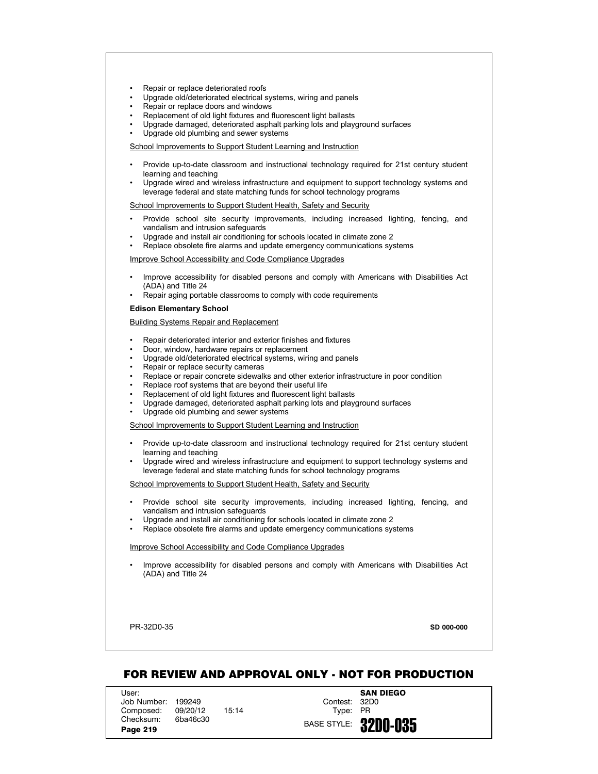- Repair or replace deteriorated roofs
- Upgrade old/deteriorated electrical systems, wiring and panels
- Repair or replace doors and windows
- Replacement of old light fixtures and fluorescent light ballasts
- Upgrade damaged, deteriorated asphalt parking lots and playground surfaces
- Upgrade old plumbing and sewer systems

- Provide up-to-date classroom and instructional technology required for 21st century student learning and teaching
- Upgrade wired and wireless infrastructure and equipment to support technology systems and leverage federal and state matching funds for school technology programs

School Improvements to Support Student Health, Safety and Security

- Provide school site security improvements, including increased lighting, fencing, and vandalism and intrusion safeguards
- Upgrade and install air conditioning for schools located in climate zone 2
- Replace obsolete fire alarms and update emergency communications systems

Improve School Accessibility and Code Compliance Upgrades

- Improve accessibility for disabled persons and comply with Americans with Disabilities Act (ADA) and Title 24
- Repair aging portable classrooms to comply with code requirements

#### **Edison Elementary School**

Building Systems Repair and Replacement

- Repair deteriorated interior and exterior finishes and fixtures
- Door, window, hardware repairs or replacement
- Upgrade old/deteriorated electrical systems, wiring and panels
- Repair or replace security cameras
- Replace or repair concrete sidewalks and other exterior infrastructure in poor condition
- Replace roof systems that are beyond their useful life
- Replacement of old light fixtures and fluorescent light ballasts
- Upgrade damaged, deteriorated asphalt parking lots and playground surfaces
- Upgrade old plumbing and sewer systems

School Improvements to Support Student Learning and Instruction

- Provide up-to-date classroom and instructional technology required for 21st century student learning and teaching
- Upgrade wired and wireless infrastructure and equipment to support technology systems and leverage federal and state matching funds for school technology programs

School Improvements to Support Student Health, Safety and Security

- Provide school site security improvements, including increased lighting, fencing, and vandalism and intrusion safeguards
- Upgrade and install air conditioning for schools located in climate zone 2
- Replace obsolete fire alarms and update emergency communications systems

## Improve School Accessibility and Code Compliance Upgrades

• Improve accessibility for disabled persons and comply with Americans with Disabilities Act (ADA) and Title 24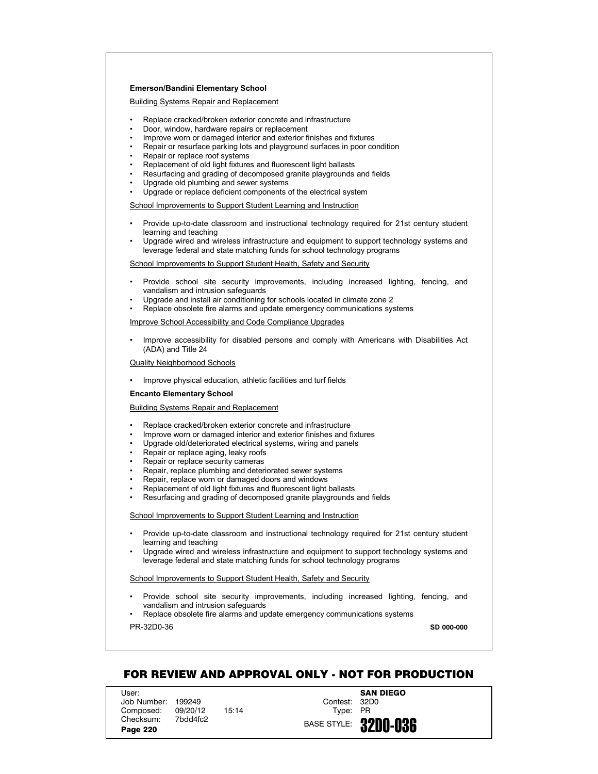## **Emerson/Bandini Elementary School**

Building Systems Repair and Replacement

- Replace cracked/broken exterior concrete and infrastructure
- Door, window, hardware repairs or replacement
- Improve worn or damaged interior and exterior finishes and fixtures
- Repair or resurface parking lots and playground surfaces in poor condition
- Repair or replace roof systems
- Replacement of old light fixtures and fluorescent light ballasts
- Resurfacing and grading of decomposed granite playgrounds and fields
- Upgrade old plumbing and sewer systems
- Upgrade or replace deficient components of the electrical system

School Improvements to Support Student Learning and Instruction

- Provide up-to-date classroom and instructional technology required for 21st century student learning and teaching
- Upgrade wired and wireless infrastructure and equipment to support technology systems and leverage federal and state matching funds for school technology programs

School Improvements to Support Student Health, Safety and Security

- Provide school site security improvements, including increased lighting, fencing, and vandalism and intrusion safeguards
- Upgrade and install air conditioning for schools located in climate zone 2
- Replace obsolete fire alarms and update emergency communications systems

Improve School Accessibility and Code Compliance Upgrades

• Improve accessibility for disabled persons and comply with Americans with Disabilities Act (ADA) and Title 24

Quality Neighborhood Schools

• Improve physical education, athletic facilities and turf fields

## **Encanto Elementary School**

Building Systems Repair and Replacement

- Replace cracked/broken exterior concrete and infrastructure
- Improve worn or damaged interior and exterior finishes and fixtures
- Upgrade old/deteriorated electrical systems, wiring and panels
- Repair or replace aging, leaky roofs
- Repair or replace security cameras
- Repair, replace plumbing and deteriorated sewer systems
- Repair, replace worn or damaged doors and windows
- Replacement of old light fixtures and fluorescent light ballasts
- Resurfacing and grading of decomposed granite playgrounds and fields

School Improvements to Support Student Learning and Instruction

- Provide up-to-date classroom and instructional technology required for 21st century student learning and teaching
- Upgrade wired and wireless infrastructure and equipment to support technology systems and leverage federal and state matching funds for school technology programs

School Improvements to Support Student Health, Safety and Security

- Provide school site security improvements, including increased lighting, fencing, and vandalism and intrusion safeguards
- Replace obsolete fire alarms and update emergency communications systems

PR-32D0-36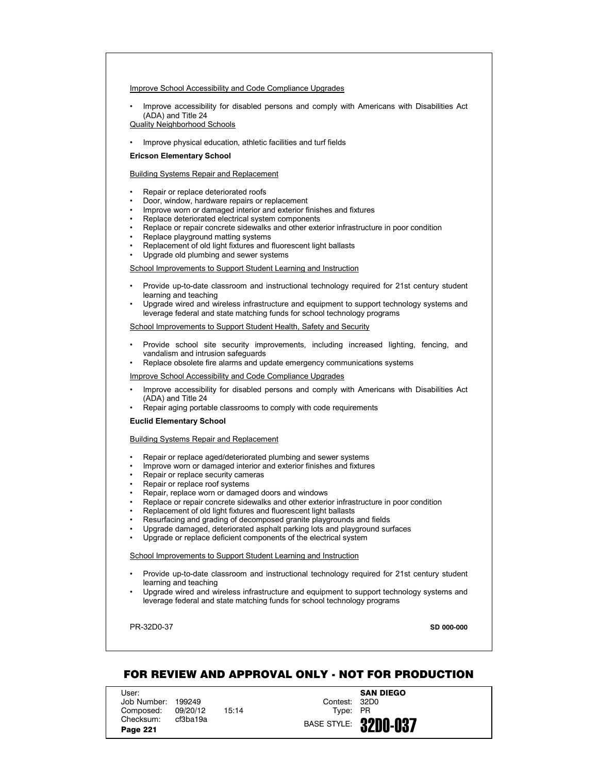Improve School Accessibility and Code Compliance Upgrades

• Improve accessibility for disabled persons and comply with Americans with Disabilities Act (ADA) and Title 24

Quality Neighborhood Schools

• Improve physical education, athletic facilities and turf fields

#### **Ericson Elementary School**

Building Systems Repair and Replacement

- Repair or replace deteriorated roofs
- Door, window, hardware repairs or replacement
- Improve worn or damaged interior and exterior finishes and fixtures
- Replace deteriorated electrical system components
- Replace or repair concrete sidewalks and other exterior infrastructure in poor condition
- Replace playground matting systems
- Replacement of old light fixtures and fluorescent light ballasts
- Upgrade old plumbing and sewer systems

School Improvements to Support Student Learning and Instruction

- Provide up-to-date classroom and instructional technology required for 21st century student learning and teaching
- Upgrade wired and wireless infrastructure and equipment to support technology systems and leverage federal and state matching funds for school technology programs

School Improvements to Support Student Health, Safety and Security

- Provide school site security improvements, including increased lighting, fencing, and vandalism and intrusion safeguards
- Replace obsolete fire alarms and update emergency communications systems

Improve School Accessibility and Code Compliance Upgrades

- Improve accessibility for disabled persons and comply with Americans with Disabilities Act (ADA) and Title 24
- Repair aging portable classrooms to comply with code requirements

#### **Euclid Elementary School**

# Building Systems Repair and Replacement

- Repair or replace aged/deteriorated plumbing and sewer systems
- Improve worn or damaged interior and exterior finishes and fixtures
- Repair or replace security cameras
- Repair or replace roof systems
- Repair, replace worn or damaged doors and windows
- Replace or repair concrete sidewalks and other exterior infrastructure in poor condition
- Replacement of old light fixtures and fluorescent light ballasts
- Resurfacing and grading of decomposed granite playgrounds and fields
- Upgrade damaged, deteriorated asphalt parking lots and playground surfaces
- Upgrade or replace deficient components of the electrical system

School Improvements to Support Student Learning and Instruction

- Provide up-to-date classroom and instructional technology required for 21st century student learning and teaching
- Upgrade wired and wireless infrastructure and equipment to support technology systems and leverage federal and state matching funds for school technology programs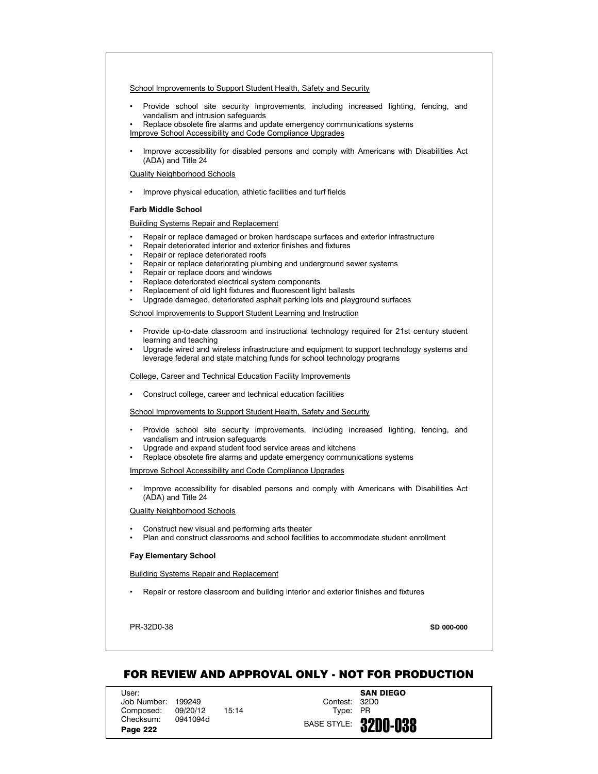- Provide school site security improvements, including increased lighting, fencing, and vandalism and intrusion safeguards
- Replace obsolete fire alarms and update emergency communications systems
- Improve School Accessibility and Code Compliance Upgrades
- Improve accessibility for disabled persons and comply with Americans with Disabilities Act (ADA) and Title 24

# Quality Neighborhood Schools

• Improve physical education, athletic facilities and turf fields

# **Farb Middle School**

Building Systems Repair and Replacement

- Repair or replace damaged or broken hardscape surfaces and exterior infrastructure
- Repair deteriorated interior and exterior finishes and fixtures
- Repair or replace deteriorated roofs
- Repair or replace deteriorating plumbing and underground sewer systems
- Repair or replace doors and windows
- Replace deteriorated electrical system components
- Replacement of old light fixtures and fluorescent light ballasts
- Upgrade damaged, deteriorated asphalt parking lots and playground surfaces

School Improvements to Support Student Learning and Instruction

- Provide up-to-date classroom and instructional technology required for 21st century student learning and teaching
- Upgrade wired and wireless infrastructure and equipment to support technology systems and leverage federal and state matching funds for school technology programs

College, Career and Technical Education Facility Improvements

• Construct college, career and technical education facilities

School Improvements to Support Student Health, Safety and Security

- Provide school site security improvements, including increased lighting, fencing, and vandalism and intrusion safeguards
- Upgrade and expand student food service areas and kitchens
- Replace obsolete fire alarms and update emergency communications systems

Improve School Accessibility and Code Compliance Upgrades

• Improve accessibility for disabled persons and comply with Americans with Disabilities Act (ADA) and Title 24

#### Quality Neighborhood Schools

- Construct new visual and performing arts theater
- Plan and construct classrooms and school facilities to accommodate student enrollment

# **Fay Elementary School**

Building Systems Repair and Replacement

• Repair or restore classroom and building interior and exterior finishes and fixtures

PR-32D0-38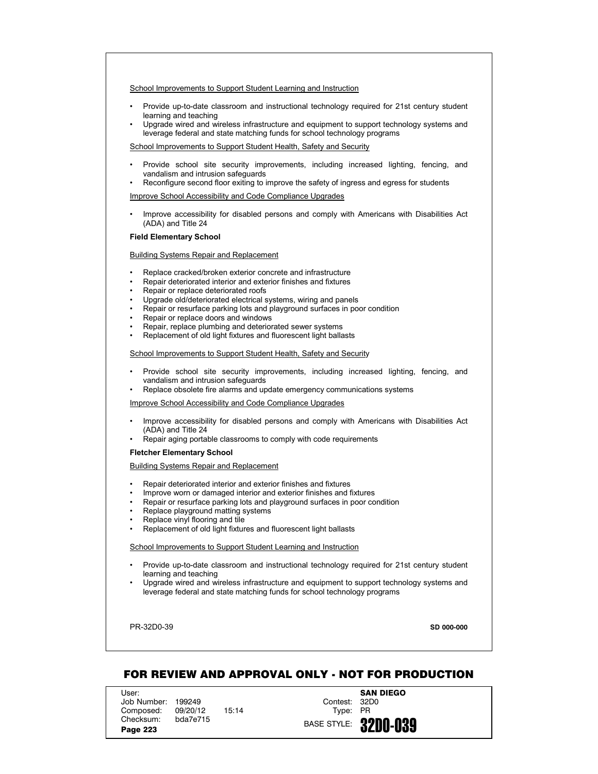- Provide up-to-date classroom and instructional technology required for 21st century student learning and teaching
- Upgrade wired and wireless infrastructure and equipment to support technology systems and leverage federal and state matching funds for school technology programs

School Improvements to Support Student Health, Safety and Security

- Provide school site security improvements, including increased lighting, fencing, and vandalism and intrusion safeguards
- Reconfigure second floor exiting to improve the safety of ingress and egress for students

Improve School Accessibility and Code Compliance Upgrades

• Improve accessibility for disabled persons and comply with Americans with Disabilities Act (ADA) and Title 24

# **Field Elementary School**

## Building Systems Repair and Replacement

- Replace cracked/broken exterior concrete and infrastructure
- Repair deteriorated interior and exterior finishes and fixtures
- Repair or replace deteriorated roofs
- Upgrade old/deteriorated electrical systems, wiring and panels
- Repair or resurface parking lots and playground surfaces in poor condition
- Repair or replace doors and windows
- Repair, replace plumbing and deteriorated sewer systems
- Replacement of old light fixtures and fluorescent light ballasts

# School Improvements to Support Student Health, Safety and Security

- Provide school site security improvements, including increased lighting, fencing, and vandalism and intrusion safeguards
- Replace obsolete fire alarms and update emergency communications systems

# Improve School Accessibility and Code Compliance Upgrades

- Improve accessibility for disabled persons and comply with Americans with Disabilities Act (ADA) and Title 24
- Repair aging portable classrooms to comply with code requirements

# **Fletcher Elementary School**

Building Systems Repair and Replacement

- Repair deteriorated interior and exterior finishes and fixtures
- Improve worn or damaged interior and exterior finishes and fixtures
- Repair or resurface parking lots and playground surfaces in poor condition
- Replace playground matting systems
- Replace vinyl flooring and tile
- Replacement of old light fixtures and fluorescent light ballasts

### School Improvements to Support Student Learning and Instruction

- Provide up-to-date classroom and instructional technology required for 21st century student learning and teaching
- Upgrade wired and wireless infrastructure and equipment to support technology systems and leverage federal and state matching funds for school technology programs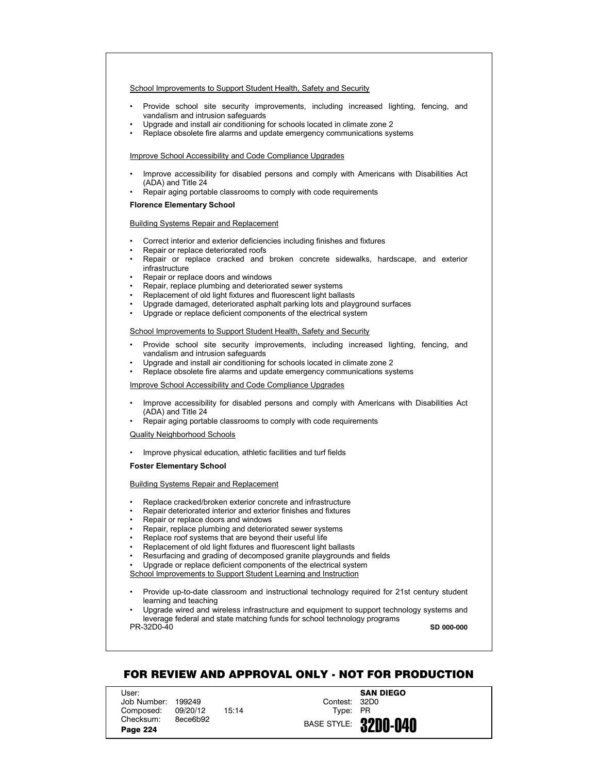- Provide school site security improvements, including increased lighting, fencing, and vandalism and intrusion safeguards
- Upgrade and install air conditioning for schools located in climate zone 2
- Replace obsolete fire alarms and update emergency communications systems

## Improve School Accessibility and Code Compliance Upgrades

- Improve accessibility for disabled persons and comply with Americans with Disabilities Act (ADA) and Title 24
- Repair aging portable classrooms to comply with code requirements

### **Florence Elementary School**

### Building Systems Repair and Replacement

- Correct interior and exterior deficiencies including finishes and fixtures
- Repair or replace deteriorated roofs
- Repair or replace cracked and broken concrete sidewalks, hardscape, and exterior infrastructure
- Repair or replace doors and windows
- Repair, replace plumbing and deteriorated sewer systems
- Replacement of old light fixtures and fluorescent light ballasts
- Upgrade damaged, deteriorated asphalt parking lots and playground surfaces
- Upgrade or replace deficient components of the electrical system

# School Improvements to Support Student Health, Safety and Security

- Provide school site security improvements, including increased lighting, fencing, and vandalism and intrusion safeguards
- Upgrade and install air conditioning for schools located in climate zone 2
- Replace obsolete fire alarms and update emergency communications systems

### Improve School Accessibility and Code Compliance Upgrades

- Improve accessibility for disabled persons and comply with Americans with Disabilities Act (ADA) and Title 24
- Repair aging portable classrooms to comply with code requirements

# Quality Neighborhood Schools

• Improve physical education, athletic facilities and turf fields

# **Foster Elementary School**

# Building Systems Repair and Replacement

- Replace cracked/broken exterior concrete and infrastructure
- Repair deteriorated interior and exterior finishes and fixtures
- Repair or replace doors and windows
- Repair, replace plumbing and deteriorated sewer systems
- Replace roof systems that are beyond their useful life
- Replacement of old light fixtures and fluorescent light ballasts
- Resurfacing and grading of decomposed granite playgrounds and fields
- Upgrade or replace deficient components of the electrical system
- School Improvements to Support Student Learning and Instruction
- Provide up-to-date classroom and instructional technology required for 21st century student learning and teaching

PR-32D0-40 • Upgrade wired and wireless infrastructure and equipment to support technology systems and leverage federal and state matching funds for school technology programs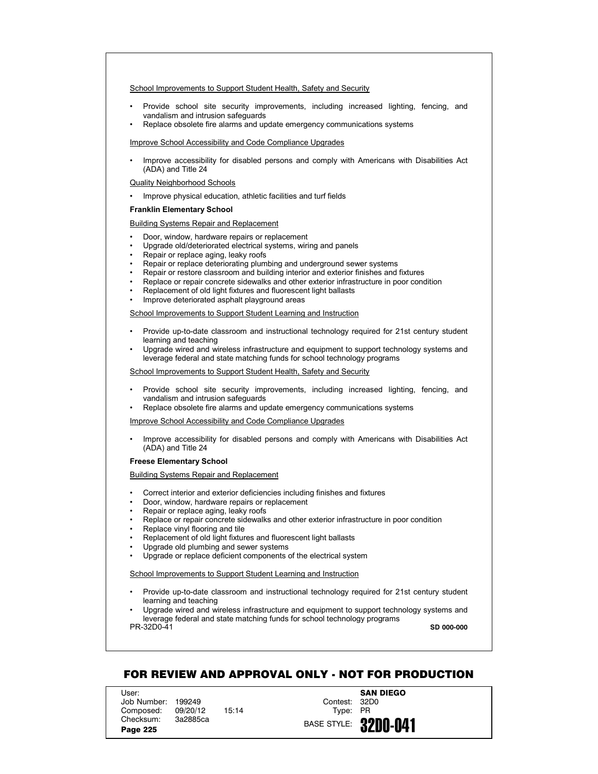- Provide school site security improvements, including increased lighting, fencing, and vandalism and intrusion safeguards
- Replace obsolete fire alarms and update emergency communications systems

Improve School Accessibility and Code Compliance Upgrades

• Improve accessibility for disabled persons and comply with Americans with Disabilities Act (ADA) and Title 24

Quality Neighborhood Schools

• Improve physical education, athletic facilities and turf fields

### **Franklin Elementary School**

Building Systems Repair and Replacement

- Door, window, hardware repairs or replacement
- Upgrade old/deteriorated electrical systems, wiring and panels
- Repair or replace aging, leaky roofs
- Repair or replace deteriorating plumbing and underground sewer systems
- Repair or restore classroom and building interior and exterior finishes and fixtures
- Replace or repair concrete sidewalks and other exterior infrastructure in poor condition
- Replacement of old light fixtures and fluorescent light ballasts
- Improve deteriorated asphalt playground areas

School Improvements to Support Student Learning and Instruction

- Provide up-to-date classroom and instructional technology required for 21st century student learning and teaching
- Upgrade wired and wireless infrastructure and equipment to support technology systems and leverage federal and state matching funds for school technology programs

School Improvements to Support Student Health, Safety and Security

- Provide school site security improvements, including increased lighting, fencing, and vandalism and intrusion safeguards
- Replace obsolete fire alarms and update emergency communications systems

Improve School Accessibility and Code Compliance Upgrades

• Improve accessibility for disabled persons and comply with Americans with Disabilities Act (ADA) and Title 24

### **Freese Elementary School**

Building Systems Repair and Replacement

- Correct interior and exterior deficiencies including finishes and fixtures
- Door, window, hardware repairs or replacement
- Repair or replace aging, leaky roofs
- Replace or repair concrete sidewalks and other exterior infrastructure in poor condition
- Replace vinyl flooring and tile
- Replacement of old light fixtures and fluorescent light ballasts
- Upgrade old plumbing and sewer systems
- Upgrade or replace deficient components of the electrical system

# School Improvements to Support Student Learning and Instruction

• Provide up-to-date classroom and instructional technology required for 21st century student learning and teaching

PR-32D0-41 • Upgrade wired and wireless infrastructure and equipment to support technology systems and leverage federal and state matching funds for school technology programs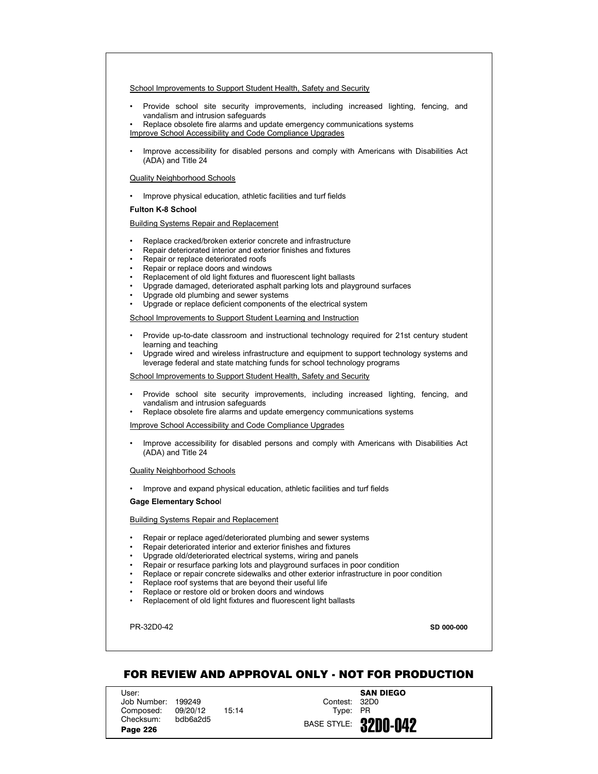- Provide school site security improvements, including increased lighting, fencing, and vandalism and intrusion safeguards
- Replace obsolete fire alarms and update emergency communications systems
- Improve School Accessibility and Code Compliance Upgrades
- Improve accessibility for disabled persons and comply with Americans with Disabilities Act (ADA) and Title 24

#### Quality Neighborhood Schools

• Improve physical education, athletic facilities and turf fields

### **Fulton K-8 School**

# Building Systems Repair and Replacement

- Replace cracked/broken exterior concrete and infrastructure
- Repair deteriorated interior and exterior finishes and fixtures
- Repair or replace deteriorated roofs
- Repair or replace doors and windows
- Replacement of old light fixtures and fluorescent light ballasts
- Upgrade damaged, deteriorated asphalt parking lots and playground surfaces
- Upgrade old plumbing and sewer systems
- Upgrade or replace deficient components of the electrical system

School Improvements to Support Student Learning and Instruction

- Provide up-to-date classroom and instructional technology required for 21st century student learning and teaching
- Upgrade wired and wireless infrastructure and equipment to support technology systems and leverage federal and state matching funds for school technology programs

School Improvements to Support Student Health, Safety and Security

- Provide school site security improvements, including increased lighting, fencing, and vandalism and intrusion safeguards
- Replace obsolete fire alarms and update emergency communications systems

Improve School Accessibility and Code Compliance Upgrades

• Improve accessibility for disabled persons and comply with Americans with Disabilities Act (ADA) and Title 24

#### Quality Neighborhood Schools

• Improve and expand physical education, athletic facilities and turf fields

### **Gage Elementary Schoo**l

### Building Systems Repair and Replacement

- Repair or replace aged/deteriorated plumbing and sewer systems
- Repair deteriorated interior and exterior finishes and fixtures
- Upgrade old/deteriorated electrical systems, wiring and panels
- Repair or resurface parking lots and playground surfaces in poor condition
- Replace or repair concrete sidewalks and other exterior infrastructure in poor condition
- Replace roof systems that are beyond their useful life
- Replace or restore old or broken doors and windows
- Replacement of old light fixtures and fluorescent light ballasts

PR-32D0-42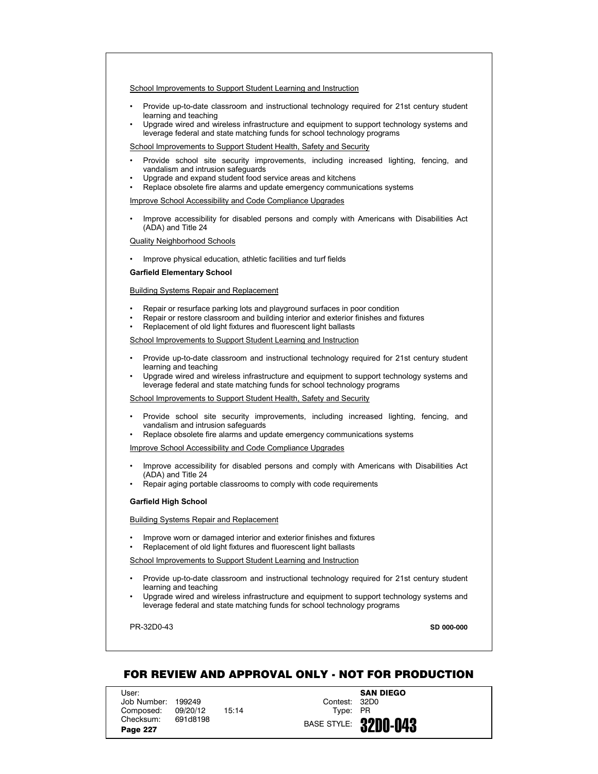- Provide up-to-date classroom and instructional technology required for 21st century student learning and teaching
- Upgrade wired and wireless infrastructure and equipment to support technology systems and leverage federal and state matching funds for school technology programs

School Improvements to Support Student Health, Safety and Security

- Provide school site security improvements, including increased lighting, fencing, and vandalism and intrusion safeguards
- Upgrade and expand student food service areas and kitchens
- Replace obsolete fire alarms and update emergency communications systems

Improve School Accessibility and Code Compliance Upgrades

• Improve accessibility for disabled persons and comply with Americans with Disabilities Act (ADA) and Title 24

## Quality Neighborhood Schools

• Improve physical education, athletic facilities and turf fields

# **Garfield Elementary School**

### Building Systems Repair and Replacement

- Repair or resurface parking lots and playground surfaces in poor condition
- Repair or restore classroom and building interior and exterior finishes and fixtures
- Replacement of old light fixtures and fluorescent light ballasts

#### School Improvements to Support Student Learning and Instruction

- Provide up-to-date classroom and instructional technology required for 21st century student learning and teaching
- Upgrade wired and wireless infrastructure and equipment to support technology systems and leverage federal and state matching funds for school technology programs

#### School Improvements to Support Student Health, Safety and Security

- Provide school site security improvements, including increased lighting, fencing, and vandalism and intrusion safeguards
- Replace obsolete fire alarms and update emergency communications systems

### Improve School Accessibility and Code Compliance Upgrades

- Improve accessibility for disabled persons and comply with Americans with Disabilities Act (ADA) and Title 24
- Repair aging portable classrooms to comply with code requirements

#### **Garfield High School**

### Building Systems Repair and Replacement

- Improve worn or damaged interior and exterior finishes and fixtures
- Replacement of old light fixtures and fluorescent light ballasts

School Improvements to Support Student Learning and Instruction

- Provide up-to-date classroom and instructional technology required for 21st century student learning and teaching
- Upgrade wired and wireless infrastructure and equipment to support technology systems and leverage federal and state matching funds for school technology programs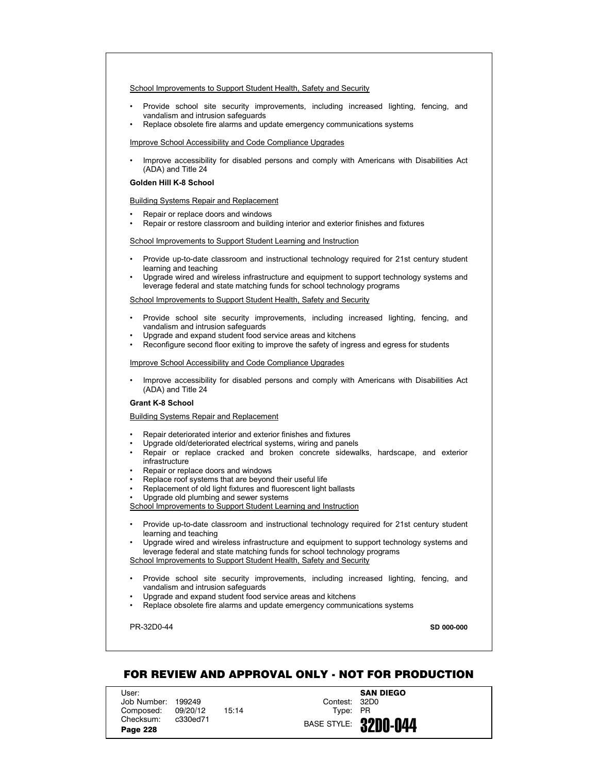- Provide school site security improvements, including increased lighting, fencing, and vandalism and intrusion safeguards
- Replace obsolete fire alarms and update emergency communications systems

### Improve School Accessibility and Code Compliance Upgrades

• Improve accessibility for disabled persons and comply with Americans with Disabilities Act (ADA) and Title 24

### **Golden Hill K-8 School**

### Building Systems Repair and Replacement

- Repair or replace doors and windows
- Repair or restore classroom and building interior and exterior finishes and fixtures

### School Improvements to Support Student Learning and Instruction

- Provide up-to-date classroom and instructional technology required for 21st century student learning and teaching
- Upgrade wired and wireless infrastructure and equipment to support technology systems and leverage federal and state matching funds for school technology programs

#### School Improvements to Support Student Health, Safety and Security

- Provide school site security improvements, including increased lighting, fencing, and vandalism and intrusion safeguards
- Upgrade and expand student food service areas and kitchens
- Reconfigure second floor exiting to improve the safety of ingress and egress for students

#### Improve School Accessibility and Code Compliance Upgrades

• Improve accessibility for disabled persons and comply with Americans with Disabilities Act (ADA) and Title 24

# **Grant K-8 School**

Building Systems Repair and Replacement

- Repair deteriorated interior and exterior finishes and fixtures
- Upgrade old/deteriorated electrical systems, wiring and panels
- Repair or replace cracked and broken concrete sidewalks, hardscape, and exterior infrastructure
- Repair or replace doors and windows
- Replace roof systems that are beyond their useful life
- Replacement of old light fixtures and fluorescent light ballasts
- Upgrade old plumbing and sewer systems

School Improvements to Support Student Learning and Instruction

- Provide up-to-date classroom and instructional technology required for 21st century student learning and teaching
- Upgrade wired and wireless infrastructure and equipment to support technology systems and leverage federal and state matching funds for school technology programs School Improvements to Support Student Health, Safety and Security
- Provide school site security improvements, including increased lighting, fencing, and vandalism and intrusion safeguards
- Upgrade and expand student food service areas and kitchens
- Replace obsolete fire alarms and update emergency communications systems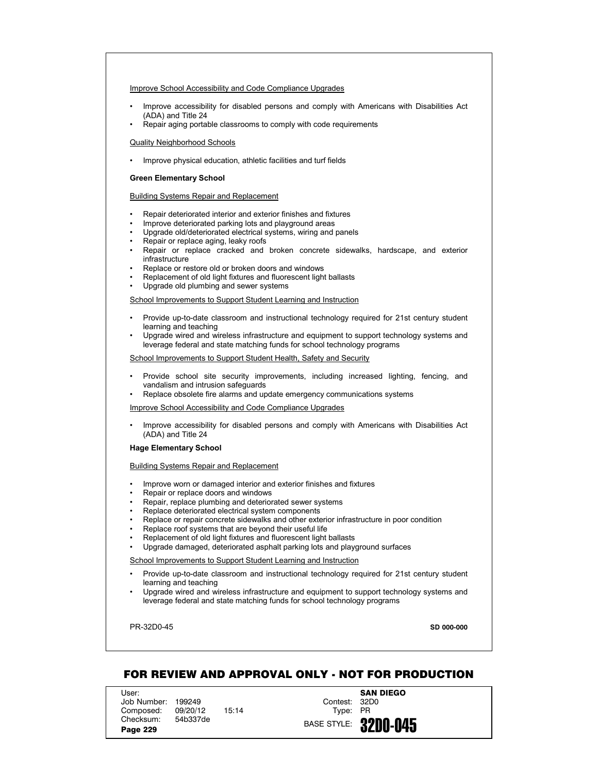## Improve School Accessibility and Code Compliance Upgrades

- Improve accessibility for disabled persons and comply with Americans with Disabilities Act (ADA) and Title 24
- Repair aging portable classrooms to comply with code requirements

#### Quality Neighborhood Schools

• Improve physical education, athletic facilities and turf fields

### **Green Elementary School**

# Building Systems Repair and Replacement

- Repair deteriorated interior and exterior finishes and fixtures
- Improve deteriorated parking lots and playground areas
- Upgrade old/deteriorated electrical systems, wiring and panels
- Repair or replace aging, leaky roofs
- Repair or replace cracked and broken concrete sidewalks, hardscape, and exterior infrastructure
- Replace or restore old or broken doors and windows
- Replacement of old light fixtures and fluorescent light ballasts
- Upgrade old plumbing and sewer systems

# School Improvements to Support Student Learning and Instruction

- Provide up-to-date classroom and instructional technology required for 21st century student learning and teaching
- Upgrade wired and wireless infrastructure and equipment to support technology systems and leverage federal and state matching funds for school technology programs

#### School Improvements to Support Student Health, Safety and Security

- Provide school site security improvements, including increased lighting, fencing, and vandalism and intrusion safeguards
- Replace obsolete fire alarms and update emergency communications systems

# Improve School Accessibility and Code Compliance Upgrades

• Improve accessibility for disabled persons and comply with Americans with Disabilities Act (ADA) and Title 24

### **Hage Elementary School**

# Building Systems Repair and Replacement

- Improve worn or damaged interior and exterior finishes and fixtures
- Repair or replace doors and windows
- Repair, replace plumbing and deteriorated sewer systems
- Replace deteriorated electrical system components
- Replace or repair concrete sidewalks and other exterior infrastructure in poor condition
- Replace roof systems that are beyond their useful life
- Replacement of old light fixtures and fluorescent light ballasts
- Upgrade damaged, deteriorated asphalt parking lots and playground surfaces

### School Improvements to Support Student Learning and Instruction

- Provide up-to-date classroom and instructional technology required for 21st century student learning and teaching
- Upgrade wired and wireless infrastructure and equipment to support technology systems and leverage federal and state matching funds for school technology programs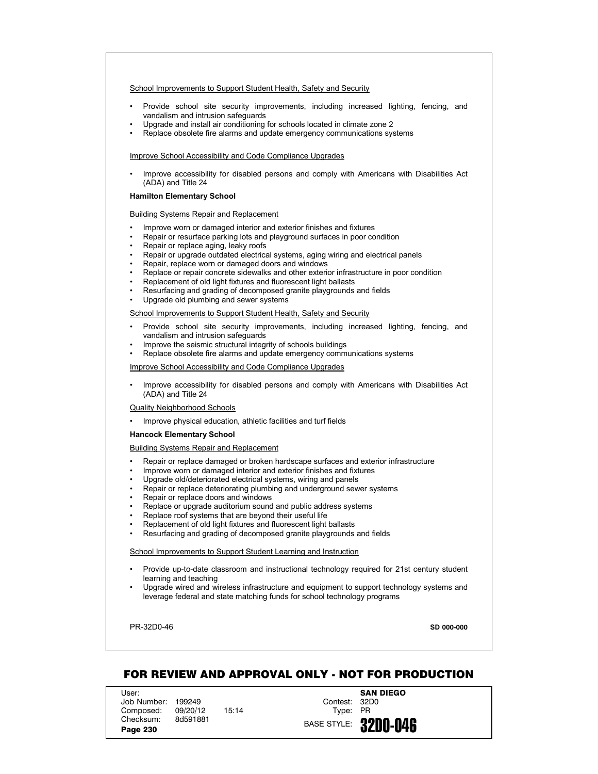- Provide school site security improvements, including increased lighting, fencing, and vandalism and intrusion safeguards
- Upgrade and install air conditioning for schools located in climate zone 2
- Replace obsolete fire alarms and update emergency communications systems

#### Improve School Accessibility and Code Compliance Upgrades

• Improve accessibility for disabled persons and comply with Americans with Disabilities Act (ADA) and Title 24

### **Hamilton Elementary School**

#### Building Systems Repair and Replacement

- Improve worn or damaged interior and exterior finishes and fixtures
- Repair or resurface parking lots and playground surfaces in poor condition
- Repair or replace aging, leaky roofs
- Repair or upgrade outdated electrical systems, aging wiring and electrical panels
- Repair, replace worn or damaged doors and windows
- Replace or repair concrete sidewalks and other exterior infrastructure in poor condition
- Replacement of old light fixtures and fluorescent light ballasts
- Resurfacing and grading of decomposed granite playgrounds and fields
- Upgrade old plumbing and sewer systems

School Improvements to Support Student Health, Safety and Security

- Provide school site security improvements, including increased lighting, fencing, and vandalism and intrusion safeguards
- Improve the seismic structural integrity of schools buildings
- Replace obsolete fire alarms and update emergency communications systems

Improve School Accessibility and Code Compliance Upgrades

• Improve accessibility for disabled persons and comply with Americans with Disabilities Act (ADA) and Title 24

#### Quality Neighborhood Schools

• Improve physical education, athletic facilities and turf fields

#### **Hancock Elementary School**

# Building Systems Repair and Replacement

- Repair or replace damaged or broken hardscape surfaces and exterior infrastructure
- Improve worn or damaged interior and exterior finishes and fixtures
- Upgrade old/deteriorated electrical systems, wiring and panels
- Repair or replace deteriorating plumbing and underground sewer systems
- Repair or replace doors and windows
- Replace or upgrade auditorium sound and public address systems
- Replace roof systems that are beyond their useful life
- Replacement of old light fixtures and fluorescent light ballasts
- Resurfacing and grading of decomposed granite playgrounds and fields

#### School Improvements to Support Student Learning and Instruction

- Provide up-to-date classroom and instructional technology required for 21st century student learning and teaching
- Upgrade wired and wireless infrastructure and equipment to support technology systems and leverage federal and state matching funds for school technology programs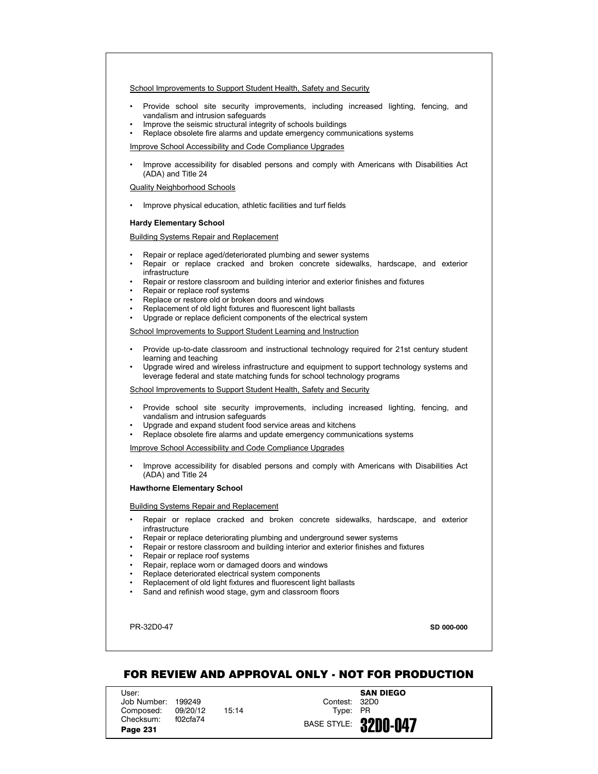- Provide school site security improvements, including increased lighting, fencing, and vandalism and intrusion safeguards
- Improve the seismic structural integrity of schools buildings
- Replace obsolete fire alarms and update emergency communications systems

Improve School Accessibility and Code Compliance Upgrades

• Improve accessibility for disabled persons and comply with Americans with Disabilities Act (ADA) and Title 24

Quality Neighborhood Schools

• Improve physical education, athletic facilities and turf fields

### **Hardy Elementary School**

Building Systems Repair and Replacement

- Repair or replace aged/deteriorated plumbing and sewer systems
- Repair or replace cracked and broken concrete sidewalks, hardscape, and exterior infrastructure
- Repair or restore classroom and building interior and exterior finishes and fixtures
- Repair or replace roof systems
- Replace or restore old or broken doors and windows
- Replacement of old light fixtures and fluorescent light ballasts
- Upgrade or replace deficient components of the electrical system

School Improvements to Support Student Learning and Instruction

- Provide up-to-date classroom and instructional technology required for 21st century student learning and teaching
- Upgrade wired and wireless infrastructure and equipment to support technology systems and leverage federal and state matching funds for school technology programs

School Improvements to Support Student Health, Safety and Security

- Provide school site security improvements, including increased lighting, fencing, and vandalism and intrusion safeguards
- Upgrade and expand student food service areas and kitchens
- Replace obsolete fire alarms and update emergency communications systems

Improve School Accessibility and Code Compliance Upgrades

• Improve accessibility for disabled persons and comply with Americans with Disabilities Act (ADA) and Title 24

### **Hawthorne Elementary School**

Building Systems Repair and Replacement

- Repair or replace cracked and broken concrete sidewalks, hardscape, and exterior infrastructure
- Repair or replace deteriorating plumbing and underground sewer systems
- Repair or restore classroom and building interior and exterior finishes and fixtures
- Repair or replace roof systems
- Repair, replace worn or damaged doors and windows
- Replace deteriorated electrical system components
- Replacement of old light fixtures and fluorescent light ballasts
- Sand and refinish wood stage, gym and classroom floors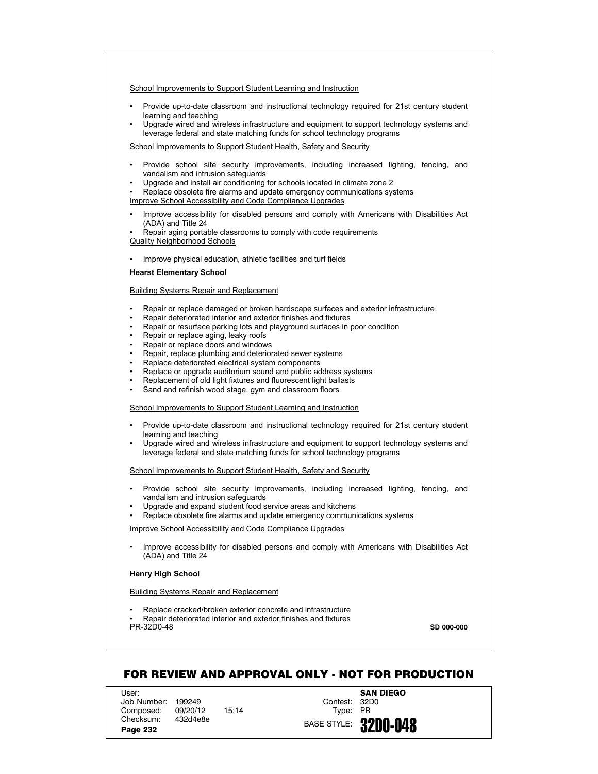- Provide up-to-date classroom and instructional technology required for 21st century student learning and teaching
- Upgrade wired and wireless infrastructure and equipment to support technology systems and leverage federal and state matching funds for school technology programs

School Improvements to Support Student Health, Safety and Security

- Provide school site security improvements, including increased lighting, fencing, and vandalism and intrusion safeguards
- Upgrade and install air conditioning for schools located in climate zone 2
- Replace obsolete fire alarms and update emergency communications systems Improve School Accessibility and Code Compliance Upgrades
- Improve accessibility for disabled persons and comply with Americans with Disabilities Act (ADA) and Title 24
- Repair aging portable classrooms to comply with code requirements

Quality Neighborhood Schools

• Improve physical education, athletic facilities and turf fields

# **Hearst Elementary School**

### Building Systems Repair and Replacement

- Repair or replace damaged or broken hardscape surfaces and exterior infrastructure
- Repair deteriorated interior and exterior finishes and fixtures
- Repair or resurface parking lots and playground surfaces in poor condition
- Repair or replace aging, leaky roofs
- Repair or replace doors and windows
- Repair, replace plumbing and deteriorated sewer systems
- Replace deteriorated electrical system components
- Replace or upgrade auditorium sound and public address systems
- Replacement of old light fixtures and fluorescent light ballasts
- Sand and refinish wood stage, gym and classroom floors

School Improvements to Support Student Learning and Instruction

- Provide up-to-date classroom and instructional technology required for 21st century student learning and teaching
- Upgrade wired and wireless infrastructure and equipment to support technology systems and leverage federal and state matching funds for school technology programs

School Improvements to Support Student Health, Safety and Security

- Provide school site security improvements, including increased lighting, fencing, and vandalism and intrusion safeguards
- Upgrade and expand student food service areas and kitchens
- Replace obsolete fire alarms and update emergency communications systems

Improve School Accessibility and Code Compliance Upgrades

• Improve accessibility for disabled persons and comply with Americans with Disabilities Act (ADA) and Title 24

# **Henry High School**

# Building Systems Repair and Replacement

PR-32D0-48 • Replace cracked/broken exterior concrete and infrastructure • Repair deteriorated interior and exterior finishes and fixtures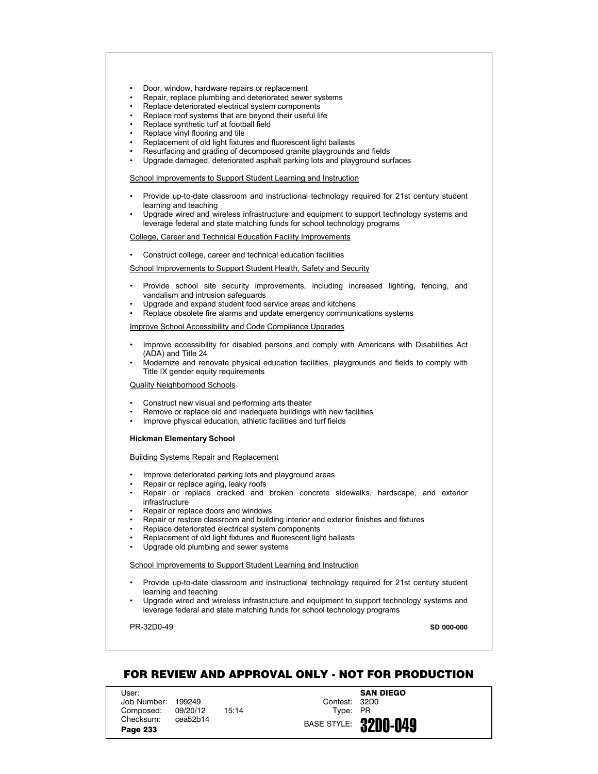- Door, window, hardware repairs or replacement
- Repair, replace plumbing and deteriorated sewer systems
- Replace deteriorated electrical system components
- Replace roof systems that are beyond their useful life
- Replace synthetic turf at football field
- Replace vinyl flooring and tile
- Replacement of old light fixtures and fluorescent light ballasts
- Resurfacing and grading of decomposed granite playgrounds and fields
- Upgrade damaged, deteriorated asphalt parking lots and playground surfaces

- Provide up-to-date classroom and instructional technology required for 21st century student learning and teaching
- Upgrade wired and wireless infrastructure and equipment to support technology systems and leverage federal and state matching funds for school technology programs

College, Career and Technical Education Facility Improvements

• Construct college, career and technical education facilities

School Improvements to Support Student Health, Safety and Security

- Provide school site security improvements, including increased lighting, fencing, and vandalism and intrusion safeguards
- Upgrade and expand student food service areas and kitchens
- Replace obsolete fire alarms and update emergency communications systems

Improve School Accessibility and Code Compliance Upgrades

- Improve accessibility for disabled persons and comply with Americans with Disabilities Act (ADA) and Title 24
- Modernize and renovate physical education facilities, playgrounds and fields to comply with Title IX gender equity requirements

Quality Neighborhood Schools

- Construct new visual and performing arts theater
- Remove or replace old and inadequate buildings with new facilities
- Improve physical education, athletic facilities and turf fields

#### **Hickman Elementary School**

Building Systems Repair and Replacement

- Improve deteriorated parking lots and playground areas
- Repair or replace aging, leaky roofs
- Repair or replace cracked and broken concrete sidewalks, hardscape, and exterior infrastructure
- Repair or replace doors and windows
- Repair or restore classroom and building interior and exterior finishes and fixtures
- Replace deteriorated electrical system components
- Replacement of old light fixtures and fluorescent light ballasts
- Upgrade old plumbing and sewer systems

School Improvements to Support Student Learning and Instruction

- Provide up-to-date classroom and instructional technology required for 21st century student learning and teaching
- Upgrade wired and wireless infrastructure and equipment to support technology systems and leverage federal and state matching funds for school technology programs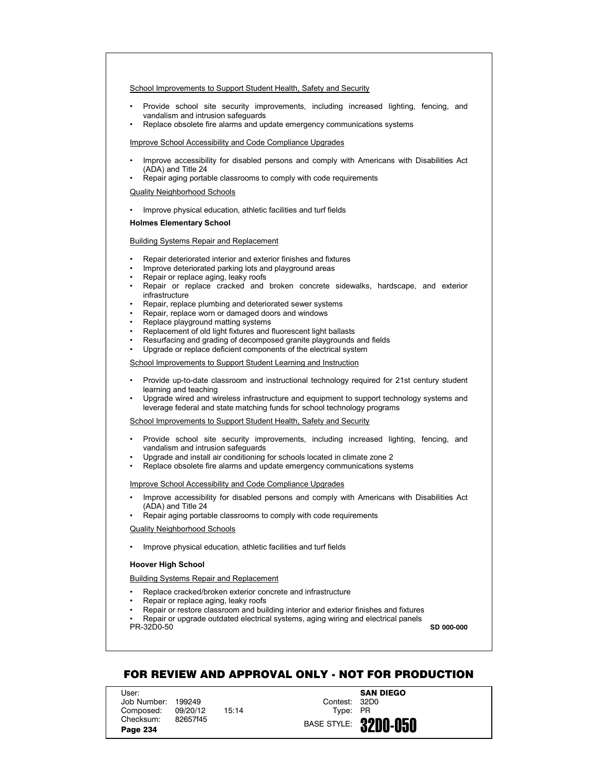- Provide school site security improvements, including increased lighting, fencing, and vandalism and intrusion safeguards
- Replace obsolete fire alarms and update emergency communications systems

### Improve School Accessibility and Code Compliance Upgrades

- Improve accessibility for disabled persons and comply with Americans with Disabilities Act (ADA) and Title 24
- Repair aging portable classrooms to comply with code requirements

#### Quality Neighborhood Schools

• Improve physical education, athletic facilities and turf fields

### **Holmes Elementary School**

## Building Systems Repair and Replacement

- Repair deteriorated interior and exterior finishes and fixtures
- Improve deteriorated parking lots and playground areas
- Repair or replace aging, leaky roofs
- Repair or replace cracked and broken concrete sidewalks, hardscape, and exterior infrastructure
- Repair, replace plumbing and deteriorated sewer systems
- Repair, replace worn or damaged doors and windows
- Replace playground matting systems
- Replacement of old light fixtures and fluorescent light ballasts
- Resurfacing and grading of decomposed granite playgrounds and fields
- Upgrade or replace deficient components of the electrical system

# School Improvements to Support Student Learning and Instruction

- Provide up-to-date classroom and instructional technology required for 21st century student learning and teaching
- Upgrade wired and wireless infrastructure and equipment to support technology systems and leverage federal and state matching funds for school technology programs

# School Improvements to Support Student Health, Safety and Security

- Provide school site security improvements, including increased lighting, fencing, and vandalism and intrusion safeguards
- Upgrade and install air conditioning for schools located in climate zone 2
- Replace obsolete fire alarms and update emergency communications systems

#### Improve School Accessibility and Code Compliance Upgrades

- Improve accessibility for disabled persons and comply with Americans with Disabilities Act (ADA) and Title 24
- Repair aging portable classrooms to comply with code requirements

#### Quality Neighborhood Schools

• Improve physical education, athletic facilities and turf fields

# **Hoover High School**

# Building Systems Repair and Replacement

- Replace cracked/broken exterior concrete and infrastructure
- Repair or replace aging, leaky roofs
- Repair or restore classroom and building interior and exterior finishes and fixtures

PR-32D0-50 • Repair or upgrade outdated electrical systems, aging wiring and electrical panels **SD 000-000**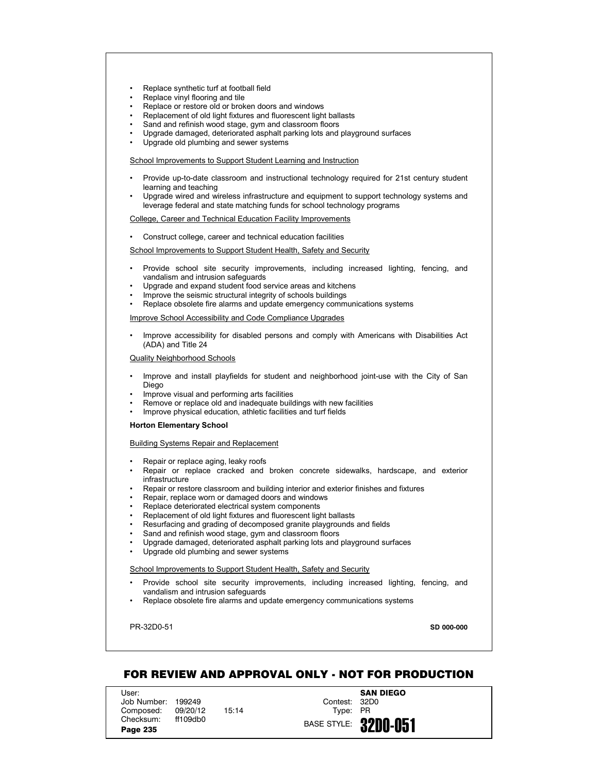- Replace synthetic turf at football field
- Replace vinyl flooring and tile
- Replace or restore old or broken doors and windows
- Replacement of old light fixtures and fluorescent light ballasts
- Sand and refinish wood stage, gym and classroom floors
- Upgrade damaged, deteriorated asphalt parking lots and playground surfaces
- Upgrade old plumbing and sewer systems

- Provide up-to-date classroom and instructional technology required for 21st century student learning and teaching
- Upgrade wired and wireless infrastructure and equipment to support technology systems and leverage federal and state matching funds for school technology programs

College, Career and Technical Education Facility Improvements

• Construct college, career and technical education facilities

School Improvements to Support Student Health, Safety and Security

- Provide school site security improvements, including increased lighting, fencing, and vandalism and intrusion safeguards
- Upgrade and expand student food service areas and kitchens
- Improve the seismic structural integrity of schools buildings
- Replace obsolete fire alarms and update emergency communications systems

Improve School Accessibility and Code Compliance Upgrades

• Improve accessibility for disabled persons and comply with Americans with Disabilities Act (ADA) and Title 24

Quality Neighborhood Schools

- Improve and install playfields for student and neighborhood joint-use with the City of San Diego
- Improve visual and performing arts facilities
- Remove or replace old and inadequate buildings with new facilities
- Improve physical education, athletic facilities and turf fields

#### **Horton Elementary School**

Building Systems Repair and Replacement

- Repair or replace aging, leaky roofs
- Repair or replace cracked and broken concrete sidewalks, hardscape, and exterior infrastructure
- Repair or restore classroom and building interior and exterior finishes and fixtures
- Repair, replace worn or damaged doors and windows
- Replace deteriorated electrical system components
- Replacement of old light fixtures and fluorescent light ballasts
- Resurfacing and grading of decomposed granite playgrounds and fields
- Sand and refinish wood stage, gym and classroom floors
- Upgrade damaged, deteriorated asphalt parking lots and playground surfaces
- Upgrade old plumbing and sewer systems

School Improvements to Support Student Health, Safety and Security

- Provide school site security improvements, including increased lighting, fencing, and vandalism and intrusion safeguards
- Replace obsolete fire alarms and update emergency communications systems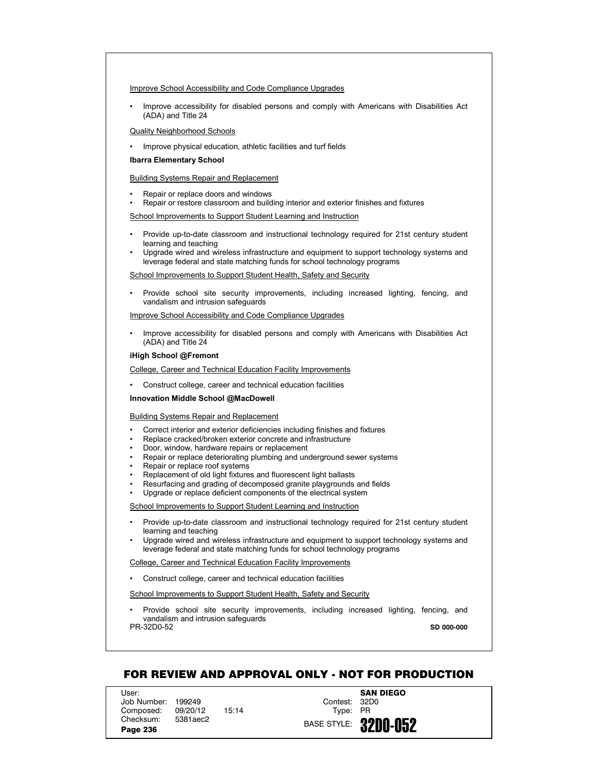### Improve School Accessibility and Code Compliance Upgrades

• Improve accessibility for disabled persons and comply with Americans with Disabilities Act (ADA) and Title 24

# Quality Neighborhood Schools

• Improve physical education, athletic facilities and turf fields

# **Ibarra Elementary School**

# Building Systems Repair and Replacement

- Repair or replace doors and windows
- Repair or restore classroom and building interior and exterior finishes and fixtures

School Improvements to Support Student Learning and Instruction

- Provide up-to-date classroom and instructional technology required for 21st century student learning and teaching
- Upgrade wired and wireless infrastructure and equipment to support technology systems and leverage federal and state matching funds for school technology programs

School Improvements to Support Student Health, Safety and Security

• Provide school site security improvements, including increased lighting, fencing, and vandalism and intrusion safeguards

Improve School Accessibility and Code Compliance Upgrades

• Improve accessibility for disabled persons and comply with Americans with Disabilities Act (ADA) and Title 24

### **iHigh School @Fremont**

College, Career and Technical Education Facility Improvements

• Construct college, career and technical education facilities

**Innovation Middle School @MacDowell**

#### Building Systems Repair and Replacement

- Correct interior and exterior deficiencies including finishes and fixtures
- Replace cracked/broken exterior concrete and infrastructure
- Door, window, hardware repairs or replacement
- Repair or replace deteriorating plumbing and underground sewer systems
- Repair or replace roof systems
- Replacement of old light fixtures and fluorescent light ballasts
- Resurfacing and grading of decomposed granite playgrounds and fields
- Upgrade or replace deficient components of the electrical system

School Improvements to Support Student Learning and Instruction

- Provide up-to-date classroom and instructional technology required for 21st century student learning and teaching
- Upgrade wired and wireless infrastructure and equipment to support technology systems and leverage federal and state matching funds for school technology programs

College, Career and Technical Education Facility Improvements

• Construct college, career and technical education facilities

School Improvements to Support Student Health, Safety and Security

PR-32D0-52 • Provide school site security improvements, including increased lighting, fencing, and vandalism and intrusion safeguards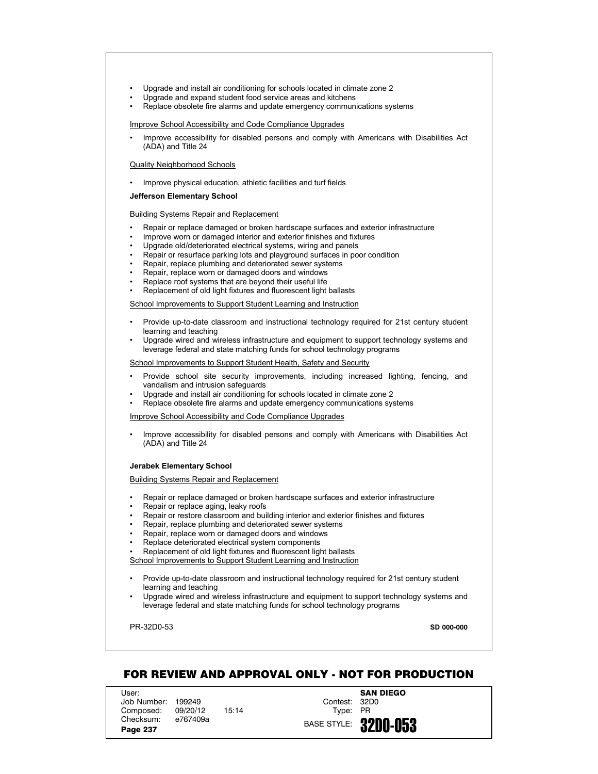- Upgrade and install air conditioning for schools located in climate zone 2
- Upgrade and expand student food service areas and kitchens
- Replace obsolete fire alarms and update emergency communications systems

Improve School Accessibility and Code Compliance Upgrades

• Improve accessibility for disabled persons and comply with Americans with Disabilities Act (ADA) and Title 24

#### Quality Neighborhood Schools

• Improve physical education, athletic facilities and turf fields

### **Jefferson Elementary School**

### Building Systems Repair and Replacement

- Repair or replace damaged or broken hardscape surfaces and exterior infrastructure
- Improve worn or damaged interior and exterior finishes and fixtures
- Upgrade old/deteriorated electrical systems, wiring and panels
- Repair or resurface parking lots and playground surfaces in poor condition
- Repair, replace plumbing and deteriorated sewer systems
- Repair, replace worn or damaged doors and windows
- Replace roof systems that are beyond their useful life
- Replacement of old light fixtures and fluorescent light ballasts

### School Improvements to Support Student Learning and Instruction

- Provide up-to-date classroom and instructional technology required for 21st century student learning and teaching
- Upgrade wired and wireless infrastructure and equipment to support technology systems and leverage federal and state matching funds for school technology programs

### School Improvements to Support Student Health, Safety and Security

- Provide school site security improvements, including increased lighting, fencing, and vandalism and intrusion safeguards
- Upgrade and install air conditioning for schools located in climate zone 2
- Replace obsolete fire alarms and update emergency communications systems

#### Improve School Accessibility and Code Compliance Upgrades

• Improve accessibility for disabled persons and comply with Americans with Disabilities Act (ADA) and Title 24

# **Jerabek Elementary School**

## Building Systems Repair and Replacement

- Repair or replace damaged or broken hardscape surfaces and exterior infrastructure
- Repair or replace aging, leaky roofs
- Repair or restore classroom and building interior and exterior finishes and fixtures
- Repair, replace plumbing and deteriorated sewer systems
- Repair, replace worn or damaged doors and windows
- Replace deteriorated electrical system components
- Replacement of old light fixtures and fluorescent light ballasts
- School Improvements to Support Student Learning and Instruction
- Provide up-to-date classroom and instructional technology required for 21st century student learning and teaching
- Upgrade wired and wireless infrastructure and equipment to support technology systems and leverage federal and state matching funds for school technology programs

PR-32D0-53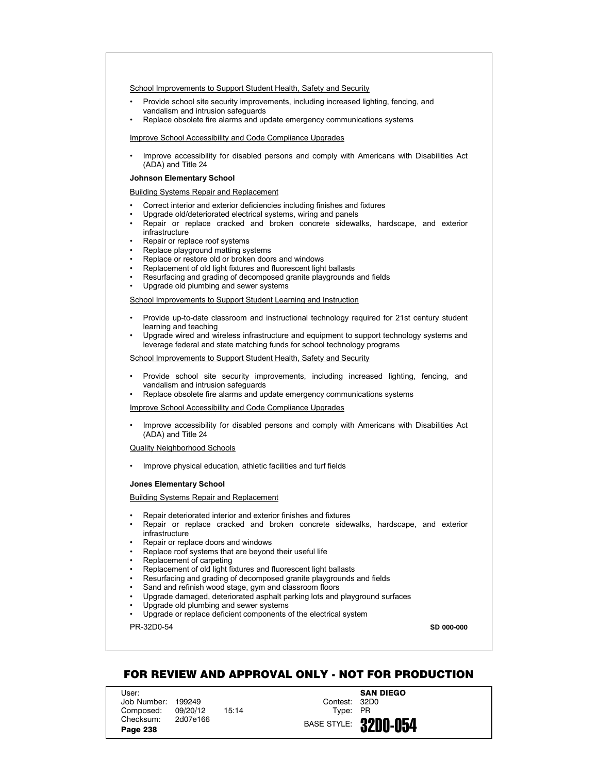- Provide school site security improvements, including increased lighting, fencing, and vandalism and intrusion safeguards
- Replace obsolete fire alarms and update emergency communications systems

Improve School Accessibility and Code Compliance Upgrades

• Improve accessibility for disabled persons and comply with Americans with Disabilities Act (ADA) and Title 24

#### **Johnson Elementary School**

Building Systems Repair and Replacement

- Correct interior and exterior deficiencies including finishes and fixtures
- Upgrade old/deteriorated electrical systems, wiring and panels
- Repair or replace cracked and broken concrete sidewalks, hardscape, and exterior infrastructure
- Repair or replace roof systems
- Replace playground matting systems
- Replace or restore old or broken doors and windows
- Replacement of old light fixtures and fluorescent light ballasts
- Resurfacing and grading of decomposed granite playgrounds and fields
- Upgrade old plumbing and sewer systems

School Improvements to Support Student Learning and Instruction

- Provide up-to-date classroom and instructional technology required for 21st century student learning and teaching
- Upgrade wired and wireless infrastructure and equipment to support technology systems and leverage federal and state matching funds for school technology programs

School Improvements to Support Student Health, Safety and Security

- Provide school site security improvements, including increased lighting, fencing, and vandalism and intrusion safeguards
- Replace obsolete fire alarms and update emergency communications systems

Improve School Accessibility and Code Compliance Upgrades

• Improve accessibility for disabled persons and comply with Americans with Disabilities Act (ADA) and Title 24

Quality Neighborhood Schools

• Improve physical education, athletic facilities and turf fields

#### **Jones Elementary School**

Building Systems Repair and Replacement

- Repair deteriorated interior and exterior finishes and fixtures
- Repair or replace cracked and broken concrete sidewalks, hardscape, and exterior infrastructure
- Repair or replace doors and windows
- Replace roof systems that are beyond their useful life
- Replacement of carpeting
- Replacement of old light fixtures and fluorescent light ballasts
- Resurfacing and grading of decomposed granite playgrounds and fields
- Sand and refinish wood stage, gym and classroom floors
- Upgrade damaged, deteriorated asphalt parking lots and playground surfaces
- Upgrade old plumbing and sewer systems
- Upgrade or replace deficient components of the electrical system

PR-32D0-54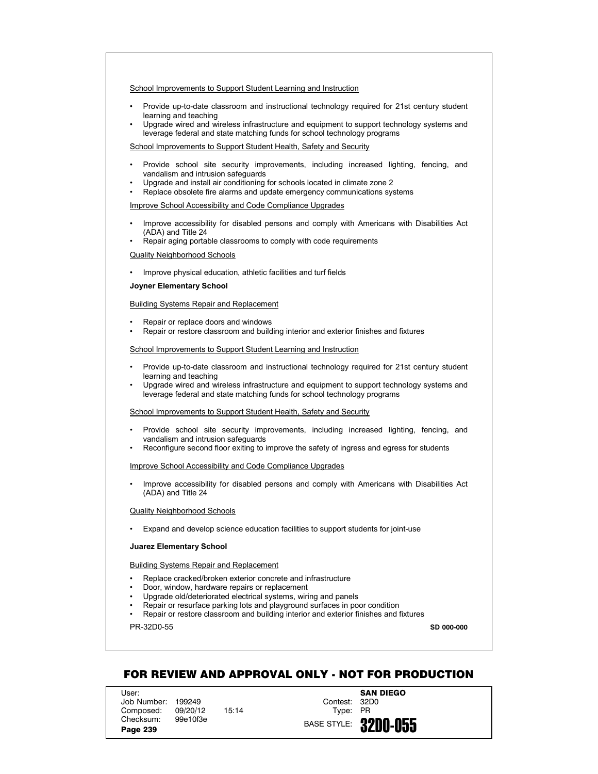- Provide up-to-date classroom and instructional technology required for 21st century student learning and teaching
- Upgrade wired and wireless infrastructure and equipment to support technology systems and leverage federal and state matching funds for school technology programs

School Improvements to Support Student Health, Safety and Security

- Provide school site security improvements, including increased lighting, fencing, and vandalism and intrusion safeguards
- Upgrade and install air conditioning for schools located in climate zone 2
- Replace obsolete fire alarms and update emergency communications systems

Improve School Accessibility and Code Compliance Upgrades

- Improve accessibility for disabled persons and comply with Americans with Disabilities Act (ADA) and Title 24
- Repair aging portable classrooms to comply with code requirements

Quality Neighborhood Schools

• Improve physical education, athletic facilities and turf fields

**Joyner Elementary School**

#### Building Systems Repair and Replacement

- Repair or replace doors and windows
- Repair or restore classroom and building interior and exterior finishes and fixtures

# School Improvements to Support Student Learning and Instruction

- Provide up-to-date classroom and instructional technology required for 21st century student learning and teaching
- Upgrade wired and wireless infrastructure and equipment to support technology systems and leverage federal and state matching funds for school technology programs

School Improvements to Support Student Health, Safety and Security

- Provide school site security improvements, including increased lighting, fencing, and vandalism and intrusion safeguards
- Reconfigure second floor exiting to improve the safety of ingress and egress for students

Improve School Accessibility and Code Compliance Upgrades

• Improve accessibility for disabled persons and comply with Americans with Disabilities Act (ADA) and Title 24

#### Quality Neighborhood Schools

• Expand and develop science education facilities to support students for joint-use

#### **Juarez Elementary School**

# Building Systems Repair and Replacement

- Replace cracked/broken exterior concrete and infrastructure
- Door, window, hardware repairs or replacement
- Upgrade old/deteriorated electrical systems, wiring and panels
- Repair or resurface parking lots and playground surfaces in poor condition
- Repair or restore classroom and building interior and exterior finishes and fixtures

PR-32D0-55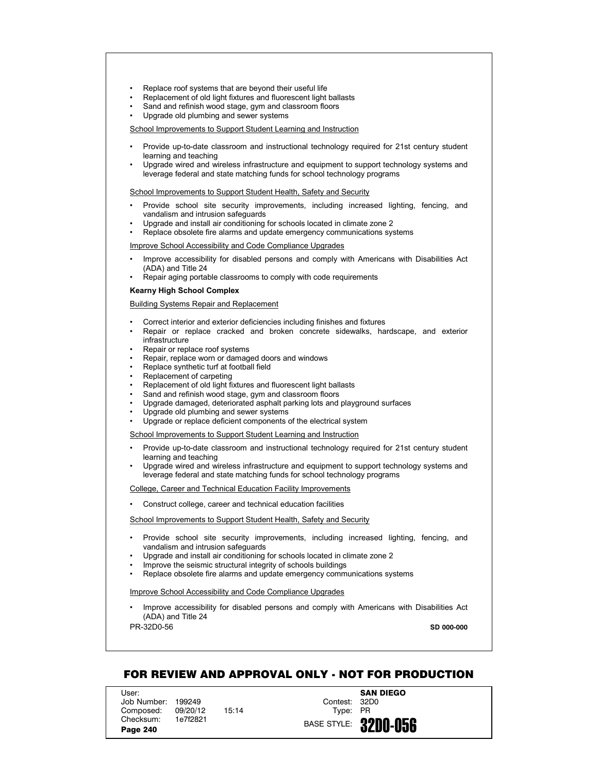- Replace roof systems that are beyond their useful life
- Replacement of old light fixtures and fluorescent light ballasts
- Sand and refinish wood stage, gym and classroom floors
- Upgrade old plumbing and sewer systems

- Provide up-to-date classroom and instructional technology required for 21st century student learning and teaching
- Upgrade wired and wireless infrastructure and equipment to support technology systems and leverage federal and state matching funds for school technology programs

School Improvements to Support Student Health, Safety and Security

- Provide school site security improvements, including increased lighting, fencing, and vandalism and intrusion safeguards
- Upgrade and install air conditioning for schools located in climate zone 2
- Replace obsolete fire alarms and update emergency communications systems

Improve School Accessibility and Code Compliance Upgrades

- Improve accessibility for disabled persons and comply with Americans with Disabilities Act (ADA) and Title 24
- Repair aging portable classrooms to comply with code requirements

### **Kearny High School Complex**

Building Systems Repair and Replacement

- Correct interior and exterior deficiencies including finishes and fixtures
- Repair or replace cracked and broken concrete sidewalks, hardscape, and exterior infrastructure
- Repair or replace roof systems
- Repair, replace worn or damaged doors and windows
- Replace synthetic turf at football field
- Replacement of carpeting
- Replacement of old light fixtures and fluorescent light ballasts
- Sand and refinish wood stage, gym and classroom floors
- Upgrade damaged, deteriorated asphalt parking lots and playground surfaces
- Upgrade old plumbing and sewer systems
- Upgrade or replace deficient components of the electrical system

School Improvements to Support Student Learning and Instruction

- Provide up-to-date classroom and instructional technology required for 21st century student learning and teaching
- Upgrade wired and wireless infrastructure and equipment to support technology systems and leverage federal and state matching funds for school technology programs

College, Career and Technical Education Facility Improvements

• Construct college, career and technical education facilities

School Improvements to Support Student Health, Safety and Security

- Provide school site security improvements, including increased lighting, fencing, and vandalism and intrusion safeguards
- Upgrade and install air conditioning for schools located in climate zone 2
- Improve the seismic structural integrity of schools buildings
- Replace obsolete fire alarms and update emergency communications systems

Improve School Accessibility and Code Compliance Upgrades

• Improve accessibility for disabled persons and comply with Americans with Disabilities Act (ADA) and Title 24

PR-32D0-56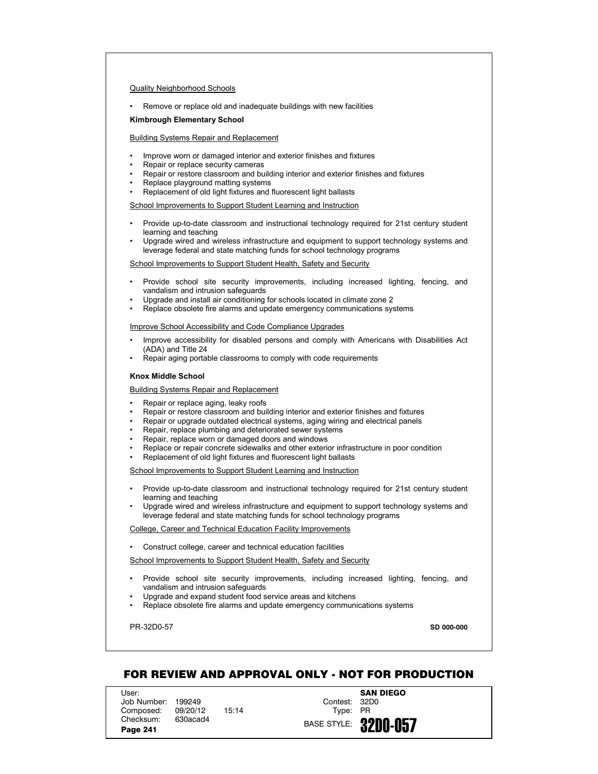## Quality Neighborhood Schools

• Remove or replace old and inadequate buildings with new facilities

#### **Kimbrough Elementary School**

# Building Systems Repair and Replacement

- Improve worn or damaged interior and exterior finishes and fixtures
- Repair or replace security cameras
- Repair or restore classroom and building interior and exterior finishes and fixtures
- Replace playground matting systems
- Replacement of old light fixtures and fluorescent light ballasts

School Improvements to Support Student Learning and Instruction

- Provide up-to-date classroom and instructional technology required for 21st century student learning and teaching
- Upgrade wired and wireless infrastructure and equipment to support technology systems and leverage federal and state matching funds for school technology programs

School Improvements to Support Student Health, Safety and Security

- Provide school site security improvements, including increased lighting, fencing, and vandalism and intrusion safeguards
- Upgrade and install air conditioning for schools located in climate zone 2
- Replace obsolete fire alarms and update emergency communications systems

### Improve School Accessibility and Code Compliance Upgrades

- Improve accessibility for disabled persons and comply with Americans with Disabilities Act (ADA) and Title 24
- Repair aging portable classrooms to comply with code requirements

### **Knox Middle School**

Building Systems Repair and Replacement

- Repair or replace aging, leaky roofs
- Repair or restore classroom and building interior and exterior finishes and fixtures
- Repair or upgrade outdated electrical systems, aging wiring and electrical panels
- Repair, replace plumbing and deteriorated sewer systems
- Repair, replace worn or damaged doors and windows
- Replace or repair concrete sidewalks and other exterior infrastructure in poor condition
- Replacement of old light fixtures and fluorescent light ballasts

School Improvements to Support Student Learning and Instruction

- Provide up-to-date classroom and instructional technology required for 21st century student learning and teaching
- Upgrade wired and wireless infrastructure and equipment to support technology systems and leverage federal and state matching funds for school technology programs

#### College, Career and Technical Education Facility Improvements

• Construct college, career and technical education facilities

School Improvements to Support Student Health, Safety and Security

- Provide school site security improvements, including increased lighting, fencing, and vandalism and intrusion safeguards
- Upgrade and expand student food service areas and kitchens
- Replace obsolete fire alarms and update emergency communications systems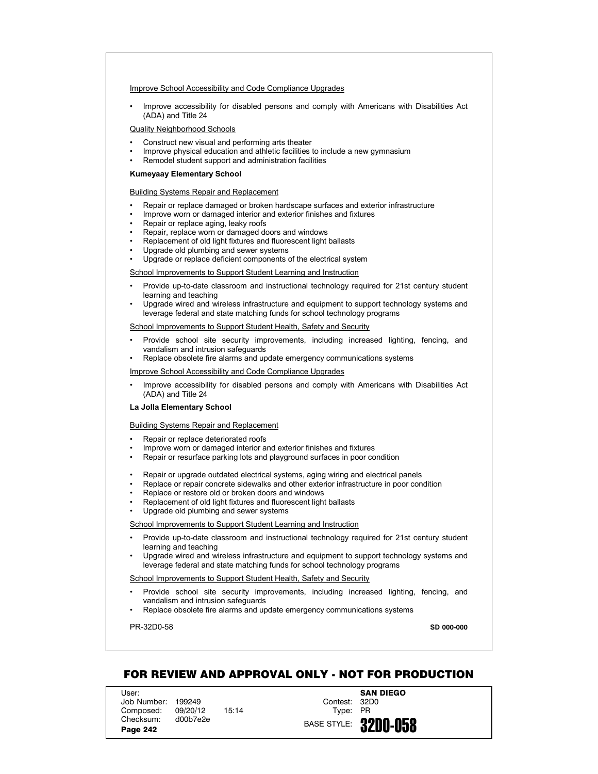## Improve School Accessibility and Code Compliance Upgrades

• Improve accessibility for disabled persons and comply with Americans with Disabilities Act (ADA) and Title 24

# Quality Neighborhood Schools

- Construct new visual and performing arts theater
- Improve physical education and athletic facilities to include a new gymnasium
- Remodel student support and administration facilities

# **Kumeyaay Elementary School**

#### Building Systems Repair and Replacement

- Repair or replace damaged or broken hardscape surfaces and exterior infrastructure
- Improve worn or damaged interior and exterior finishes and fixtures
- Repair or replace aging, leaky roofs
- Repair, replace worn or damaged doors and windows
- Replacement of old light fixtures and fluorescent light ballasts
- Upgrade old plumbing and sewer systems
- Upgrade or replace deficient components of the electrical system

#### School Improvements to Support Student Learning and Instruction

- Provide up-to-date classroom and instructional technology required for 21st century student learning and teaching
- Upgrade wired and wireless infrastructure and equipment to support technology systems and leverage federal and state matching funds for school technology programs

# School Improvements to Support Student Health, Safety and Security

- Provide school site security improvements, including increased lighting, fencing, and vandalism and intrusion safeguards
- Replace obsolete fire alarms and update emergency communications systems

# Improve School Accessibility and Code Compliance Upgrades

• Improve accessibility for disabled persons and comply with Americans with Disabilities Act (ADA) and Title 24

#### **La Jolla Elementary School**

# Building Systems Repair and Replacement

- Repair or replace deteriorated roofs
- Improve worn or damaged interior and exterior finishes and fixtures
- Repair or resurface parking lots and playground surfaces in poor condition
- Repair or upgrade outdated electrical systems, aging wiring and electrical panels
- Replace or repair concrete sidewalks and other exterior infrastructure in poor condition
- Replace or restore old or broken doors and windows
- Replacement of old light fixtures and fluorescent light ballasts
- Upgrade old plumbing and sewer systems

#### School Improvements to Support Student Learning and Instruction

- Provide up-to-date classroom and instructional technology required for 21st century student learning and teaching
- Upgrade wired and wireless infrastructure and equipment to support technology systems and leverage federal and state matching funds for school technology programs

# School Improvements to Support Student Health, Safety and Security

- Provide school site security improvements, including increased lighting, fencing, and vandalism and intrusion safeguards
- Replace obsolete fire alarms and update emergency communications systems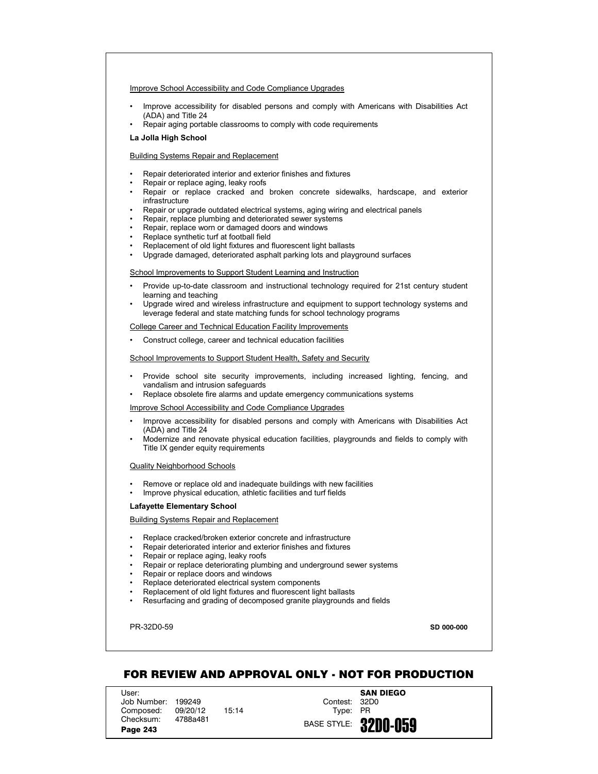### Improve School Accessibility and Code Compliance Upgrades

- Improve accessibility for disabled persons and comply with Americans with Disabilities Act (ADA) and Title 24
- Repair aging portable classrooms to comply with code requirements

# **La Jolla High School**

## Building Systems Repair and Replacement

- Repair deteriorated interior and exterior finishes and fixtures
- Repair or replace aging, leaky roofs
- Repair or replace cracked and broken concrete sidewalks, hardscape, and exterior infrastructure
- Repair or upgrade outdated electrical systems, aging wiring and electrical panels
- Repair, replace plumbing and deteriorated sewer systems
- Repair, replace worn or damaged doors and windows
- Replace synthetic turf at football field
- Replacement of old light fixtures and fluorescent light ballasts
- Upgrade damaged, deteriorated asphalt parking lots and playground surfaces

### School Improvements to Support Student Learning and Instruction

- Provide up-to-date classroom and instructional technology required for 21st century student learning and teaching
- Upgrade wired and wireless infrastructure and equipment to support technology systems and leverage federal and state matching funds for school technology programs

### College Career and Technical Education Facility Improvements

• Construct college, career and technical education facilities

### School Improvements to Support Student Health, Safety and Security

- Provide school site security improvements, including increased lighting, fencing, and vandalism and intrusion safeguards
- Replace obsolete fire alarms and update emergency communications systems

# Improve School Accessibility and Code Compliance Upgrades

- Improve accessibility for disabled persons and comply with Americans with Disabilities Act (ADA) and Title 24
- Modernize and renovate physical education facilities, playgrounds and fields to comply with Title IX gender equity requirements

#### Quality Neighborhood Schools

- Remove or replace old and inadequate buildings with new facilities
	- Improve physical education, athletic facilities and turf fields

# **Lafayette Elementary School**

# Building Systems Repair and Replacement

- Replace cracked/broken exterior concrete and infrastructure
- Repair deteriorated interior and exterior finishes and fixtures
- Repair or replace aging, leaky roofs
- Repair or replace deteriorating plumbing and underground sewer systems
- Repair or replace doors and windows
- Replace deteriorated electrical system components
- Replacement of old light fixtures and fluorescent light ballasts
- Resurfacing and grading of decomposed granite playgrounds and fields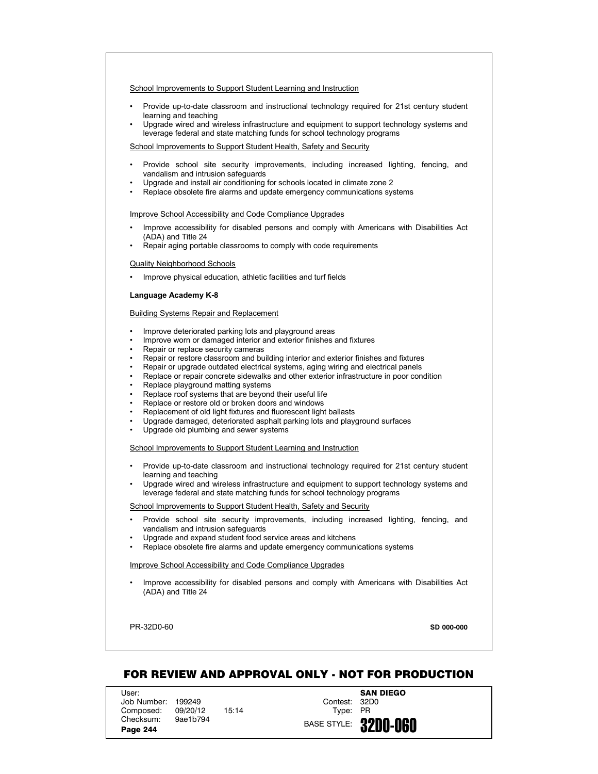- Provide up-to-date classroom and instructional technology required for 21st century student learning and teaching
- Upgrade wired and wireless infrastructure and equipment to support technology systems and leverage federal and state matching funds for school technology programs

School Improvements to Support Student Health, Safety and Security

- Provide school site security improvements, including increased lighting, fencing, and vandalism and intrusion safeguards
- Upgrade and install air conditioning for schools located in climate zone 2
- Replace obsolete fire alarms and update emergency communications systems

### Improve School Accessibility and Code Compliance Upgrades

- Improve accessibility for disabled persons and comply with Americans with Disabilities Act (ADA) and Title 24
- Repair aging portable classrooms to comply with code requirements

### Quality Neighborhood Schools

• Improve physical education, athletic facilities and turf fields

### **Language Academy K-8**

### Building Systems Repair and Replacement

- Improve deteriorated parking lots and playground areas
- Improve worn or damaged interior and exterior finishes and fixtures
- Repair or replace security cameras
- Repair or restore classroom and building interior and exterior finishes and fixtures
- Repair or upgrade outdated electrical systems, aging wiring and electrical panels
- Replace or repair concrete sidewalks and other exterior infrastructure in poor condition
- Replace playground matting systems
- Replace roof systems that are beyond their useful life
- Replace or restore old or broken doors and windows
- Replacement of old light fixtures and fluorescent light ballasts
- Upgrade damaged, deteriorated asphalt parking lots and playground surfaces
- Upgrade old plumbing and sewer systems

### School Improvements to Support Student Learning and Instruction

- Provide up-to-date classroom and instructional technology required for 21st century student learning and teaching
- Upgrade wired and wireless infrastructure and equipment to support technology systems and leverage federal and state matching funds for school technology programs

### School Improvements to Support Student Health, Safety and Security

- Provide school site security improvements, including increased lighting, fencing, and vandalism and intrusion safeguards
- Upgrade and expand student food service areas and kitchens
- Replace obsolete fire alarms and update emergency communications systems

### Improve School Accessibility and Code Compliance Upgrades

• Improve accessibility for disabled persons and comply with Americans with Disabilities Act (ADA) and Title 24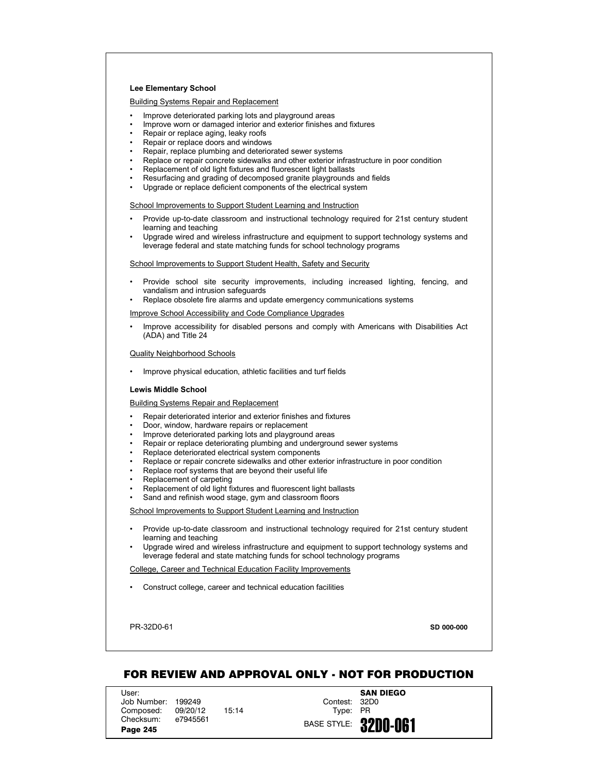### **Lee Elementary School**

**Building Systems Repair and Replacement** 

- Improve deteriorated parking lots and playground areas
- Improve worn or damaged interior and exterior finishes and fixtures
- Repair or replace aging, leaky roofs
- Repair or replace doors and windows
- Repair, replace plumbing and deteriorated sewer systems
- Replace or repair concrete sidewalks and other exterior infrastructure in poor condition
- Replacement of old light fixtures and fluorescent light ballasts
- Resurfacing and grading of decomposed granite playgrounds and fields
- Upgrade or replace deficient components of the electrical system

School Improvements to Support Student Learning and Instruction

- Provide up-to-date classroom and instructional technology required for 21st century student learning and teaching
- Upgrade wired and wireless infrastructure and equipment to support technology systems and leverage federal and state matching funds for school technology programs

School Improvements to Support Student Health, Safety and Security

- Provide school site security improvements, including increased lighting, fencing, and vandalism and intrusion safeguards
- Replace obsolete fire alarms and update emergency communications systems

Improve School Accessibility and Code Compliance Upgrades

• Improve accessibility for disabled persons and comply with Americans with Disabilities Act (ADA) and Title 24

Quality Neighborhood Schools

• Improve physical education, athletic facilities and turf fields

### **Lewis Middle School**

Building Systems Repair and Replacement

- Repair deteriorated interior and exterior finishes and fixtures
- Door, window, hardware repairs or replacement
- Improve deteriorated parking lots and playground areas
- Repair or replace deteriorating plumbing and underground sewer systems
- Replace deteriorated electrical system components
- Replace or repair concrete sidewalks and other exterior infrastructure in poor condition
- Replace roof systems that are beyond their useful life
- Replacement of carpeting
- Replacement of old light fixtures and fluorescent light ballasts
- Sand and refinish wood stage, gym and classroom floors

School Improvements to Support Student Learning and Instruction

- Provide up-to-date classroom and instructional technology required for 21st century student learning and teaching
- Upgrade wired and wireless infrastructure and equipment to support technology systems and leverage federal and state matching funds for school technology programs

College, Career and Technical Education Facility Improvements

• Construct college, career and technical education facilities

PR-32D0-61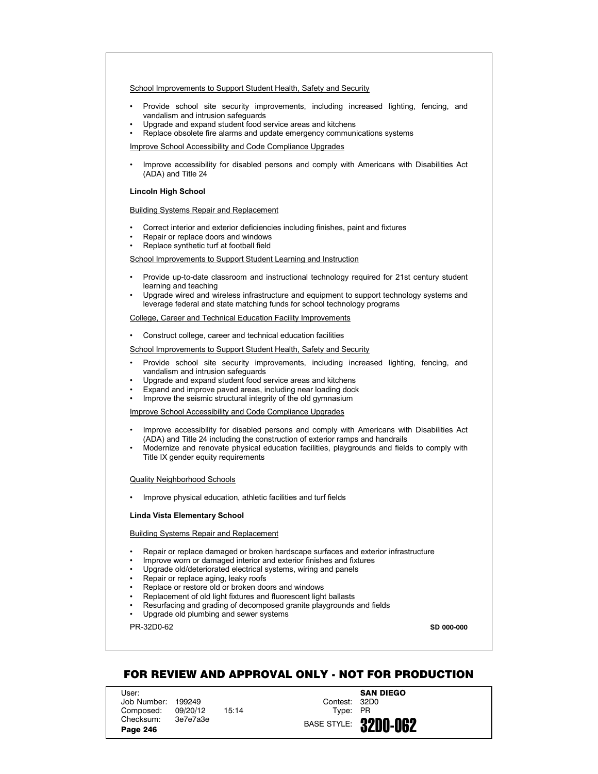- Provide school site security improvements, including increased lighting, fencing, and vandalism and intrusion safeguards
- Upgrade and expand student food service areas and kitchens
- Replace obsolete fire alarms and update emergency communications systems

Improve School Accessibility and Code Compliance Upgrades

• Improve accessibility for disabled persons and comply with Americans with Disabilities Act (ADA) and Title 24

### **Lincoln High School**

Building Systems Repair and Replacement

- Correct interior and exterior deficiencies including finishes, paint and fixtures
- Repair or replace doors and windows
- Replace synthetic turf at football field

School Improvements to Support Student Learning and Instruction

- Provide up-to-date classroom and instructional technology required for 21st century student learning and teaching
- Upgrade wired and wireless infrastructure and equipment to support technology systems and leverage federal and state matching funds for school technology programs

College, Career and Technical Education Facility Improvements

• Construct college, career and technical education facilities

School Improvements to Support Student Health, Safety and Security

- Provide school site security improvements, including increased lighting, fencing, and vandalism and intrusion safeguards
- Upgrade and expand student food service areas and kitchens
- Expand and improve paved areas, including near loading dock
- Improve the seismic structural integrity of the old gymnasium

Improve School Accessibility and Code Compliance Upgrades

- Improve accessibility for disabled persons and comply with Americans with Disabilities Act (ADA) and Title 24 including the construction of exterior ramps and handrails
- Modernize and renovate physical education facilities, playgrounds and fields to comply with Title IX gender equity requirements

#### Quality Neighborhood Schools

• Improve physical education, athletic facilities and turf fields

#### **Linda Vista Elementary School**

Building Systems Repair and Replacement

- Repair or replace damaged or broken hardscape surfaces and exterior infrastructure
- Improve worn or damaged interior and exterior finishes and fixtures
- Upgrade old/deteriorated electrical systems, wiring and panels
- Repair or replace aging, leaky roofs
- Replace or restore old or broken doors and windows
- Replacement of old light fixtures and fluorescent light ballasts
- Resurfacing and grading of decomposed granite playgrounds and fields
- Upgrade old plumbing and sewer systems

PR-32D0-62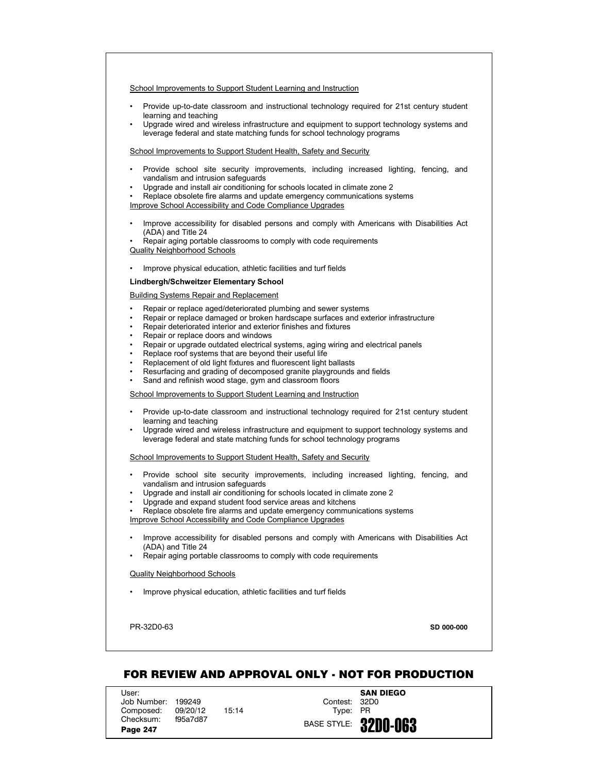- Provide up-to-date classroom and instructional technology required for 21st century student learning and teaching
- Upgrade wired and wireless infrastructure and equipment to support technology systems and leverage federal and state matching funds for school technology programs

### School Improvements to Support Student Health, Safety and Security

- Provide school site security improvements, including increased lighting, fencing, and vandalism and intrusion safeguards
- Upgrade and install air conditioning for schools located in climate zone 2
- Replace obsolete fire alarms and update emergency communications systems Improve School Accessibility and Code Compliance Upgrades
- Improve accessibility for disabled persons and comply with Americans with Disabilities Act (ADA) and Title 24
- Repair aging portable classrooms to comply with code requirements Quality Neighborhood Schools
- Improve physical education, athletic facilities and turf fields

### **Lindbergh/Schweitzer Elementary School**

### Building Systems Repair and Replacement

- Repair or replace aged/deteriorated plumbing and sewer systems
- Repair or replace damaged or broken hardscape surfaces and exterior infrastructure
- Repair deteriorated interior and exterior finishes and fixtures
- Repair or replace doors and windows
- Repair or upgrade outdated electrical systems, aging wiring and electrical panels
- Replace roof systems that are beyond their useful life
- Replacement of old light fixtures and fluorescent light ballasts
- Resurfacing and grading of decomposed granite playgrounds and fields
- Sand and refinish wood stage, gym and classroom floors

School Improvements to Support Student Learning and Instruction

- Provide up-to-date classroom and instructional technology required for 21st century student learning and teaching
- Upgrade wired and wireless infrastructure and equipment to support technology systems and leverage federal and state matching funds for school technology programs

School Improvements to Support Student Health, Safety and Security

- Provide school site security improvements, including increased lighting, fencing, and vandalism and intrusion safeguards
- Upgrade and install air conditioning for schools located in climate zone 2
- Upgrade and expand student food service areas and kitchens
- Replace obsolete fire alarms and update emergency communications systems

Improve School Accessibility and Code Compliance Upgrades

- Improve accessibility for disabled persons and comply with Americans with Disabilities Act (ADA) and Title 24
- Repair aging portable classrooms to comply with code requirements

#### Quality Neighborhood Schools

• Improve physical education, athletic facilities and turf fields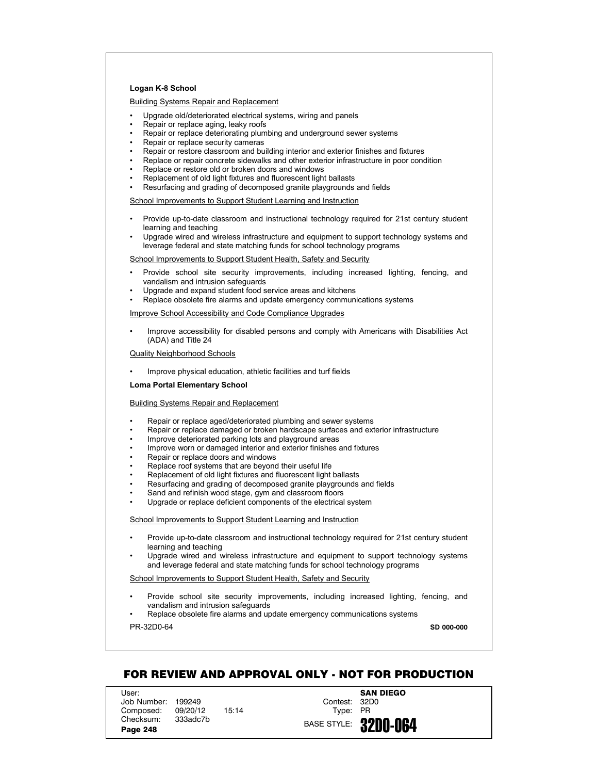# **Logan K-8 School**

Building Systems Repair and Replacement

- Upgrade old/deteriorated electrical systems, wiring and panels
- Repair or replace aging, leaky roofs
- Repair or replace deteriorating plumbing and underground sewer systems
- Repair or replace security cameras
- Repair or restore classroom and building interior and exterior finishes and fixtures
- Replace or repair concrete sidewalks and other exterior infrastructure in poor condition
- Replace or restore old or broken doors and windows
- Replacement of old light fixtures and fluorescent light ballasts
- Resurfacing and grading of decomposed granite playgrounds and fields

School Improvements to Support Student Learning and Instruction

- Provide up-to-date classroom and instructional technology required for 21st century student learning and teaching
- Upgrade wired and wireless infrastructure and equipment to support technology systems and leverage federal and state matching funds for school technology programs

School Improvements to Support Student Health, Safety and Security

- Provide school site security improvements, including increased lighting, fencing, and vandalism and intrusion safeguards
- Upgrade and expand student food service areas and kitchens
- Replace obsolete fire alarms and update emergency communications systems

Improve School Accessibility and Code Compliance Upgrades

• Improve accessibility for disabled persons and comply with Americans with Disabilities Act (ADA) and Title 24

Quality Neighborhood Schools

• Improve physical education, athletic facilities and turf fields

**Loma Portal Elementary School**

# Building Systems Repair and Replacement

- Repair or replace aged/deteriorated plumbing and sewer systems
- Repair or replace damaged or broken hardscape surfaces and exterior infrastructure
- Improve deteriorated parking lots and playground areas
- Improve worn or damaged interior and exterior finishes and fixtures
- Repair or replace doors and windows
- Replace roof systems that are beyond their useful life
- Replacement of old light fixtures and fluorescent light ballasts
- Resurfacing and grading of decomposed granite playgrounds and fields
- Sand and refinish wood stage, gym and classroom floors
- Upgrade or replace deficient components of the electrical system

School Improvements to Support Student Learning and Instruction

- Provide up-to-date classroom and instructional technology required for 21st century student learning and teaching
- Upgrade wired and wireless infrastructure and equipment to support technology systems and leverage federal and state matching funds for school technology programs

School Improvements to Support Student Health, Safety and Security

- Provide school site security improvements, including increased lighting, fencing, and vandalism and intrusion safeguards
- Replace obsolete fire alarms and update emergency communications systems

PR-32D0-64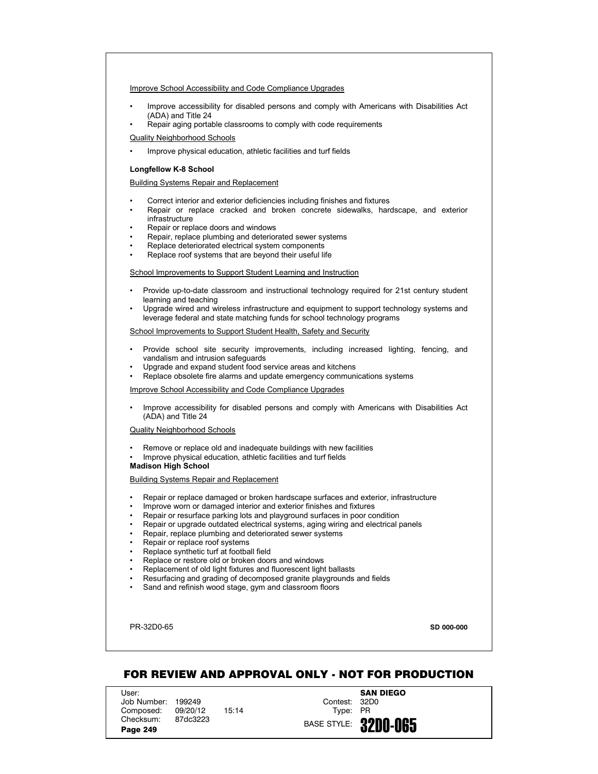## Improve School Accessibility and Code Compliance Upgrades

- Improve accessibility for disabled persons and comply with Americans with Disabilities Act (ADA) and Title 24
- Repair aging portable classrooms to comply with code requirements

# Quality Neighborhood Schools

Improve physical education, athletic facilities and turf fields

# **Longfellow K-8 School**

## Building Systems Repair and Replacement

- Correct interior and exterior deficiencies including finishes and fixtures
- Repair or replace cracked and broken concrete sidewalks, hardscape, and exterior infrastructure
- Repair or replace doors and windows
- Repair, replace plumbing and deteriorated sewer systems
- Replace deteriorated electrical system components
- Replace roof systems that are beyond their useful life

### School Improvements to Support Student Learning and Instruction

- Provide up-to-date classroom and instructional technology required for 21st century student learning and teaching
- Upgrade wired and wireless infrastructure and equipment to support technology systems and leverage federal and state matching funds for school technology programs

#### School Improvements to Support Student Health, Safety and Security

- Provide school site security improvements, including increased lighting, fencing, and vandalism and intrusion safeguards
- Upgrade and expand student food service areas and kitchens
- Replace obsolete fire alarms and update emergency communications systems

### Improve School Accessibility and Code Compliance Upgrades

• Improve accessibility for disabled persons and comply with Americans with Disabilities Act (ADA) and Title 24

#### Quality Neighborhood Schools

- Remove or replace old and inadequate buildings with new facilities
- Improve physical education, athletic facilities and turf fields

# **Madison High School**

# Building Systems Repair and Replacement

- Repair or replace damaged or broken hardscape surfaces and exterior, infrastructure
- Improve worn or damaged interior and exterior finishes and fixtures
- Repair or resurface parking lots and playground surfaces in poor condition
- Repair or upgrade outdated electrical systems, aging wiring and electrical panels
- Repair, replace plumbing and deteriorated sewer systems
- Repair or replace roof systems
- Replace synthetic turf at football field
- Replace or restore old or broken doors and windows
- Replacement of old light fixtures and fluorescent light ballasts
- Resurfacing and grading of decomposed granite playgrounds and fields
- Sand and refinish wood stage, gym and classroom floors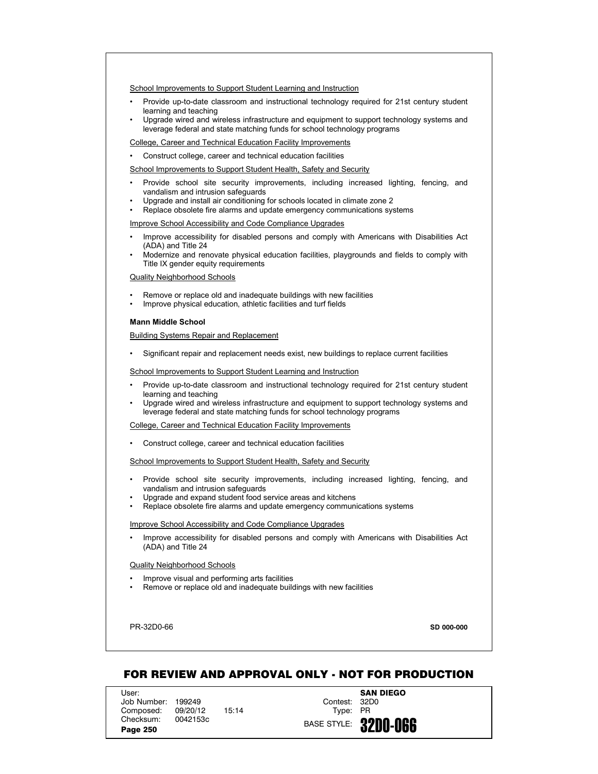- Provide up-to-date classroom and instructional technology required for 21st century student learning and teaching
- Upgrade wired and wireless infrastructure and equipment to support technology systems and leverage federal and state matching funds for school technology programs

College, Career and Technical Education Facility Improvements

• Construct college, career and technical education facilities

School Improvements to Support Student Health, Safety and Security

- Provide school site security improvements, including increased lighting, fencing, and vandalism and intrusion safeguards
- Upgrade and install air conditioning for schools located in climate zone 2
- Replace obsolete fire alarms and update emergency communications systems

Improve School Accessibility and Code Compliance Upgrades

- Improve accessibility for disabled persons and comply with Americans with Disabilities Act (ADA) and Title 24
- Modernize and renovate physical education facilities, playgrounds and fields to comply with Title IX gender equity requirements

Quality Neighborhood Schools

- Remove or replace old and inadequate buildings with new facilities
- Improve physical education, athletic facilities and turf fields

#### **Mann Middle School**

Building Systems Repair and Replacement

• Significant repair and replacement needs exist, new buildings to replace current facilities

School Improvements to Support Student Learning and Instruction

- Provide up-to-date classroom and instructional technology required for 21st century student learning and teaching
- Upgrade wired and wireless infrastructure and equipment to support technology systems and leverage federal and state matching funds for school technology programs

College, Career and Technical Education Facility Improvements

• Construct college, career and technical education facilities

School Improvements to Support Student Health, Safety and Security

- Provide school site security improvements, including increased lighting, fencing, and vandalism and intrusion safeguards
- Upgrade and expand student food service areas and kitchens
- Replace obsolete fire alarms and update emergency communications systems

Improve School Accessibility and Code Compliance Upgrades

• Improve accessibility for disabled persons and comply with Americans with Disabilities Act (ADA) and Title 24

Quality Neighborhood Schools

- Improve visual and performing arts facilities
- Remove or replace old and inadequate buildings with new facilities

PR-32D0-66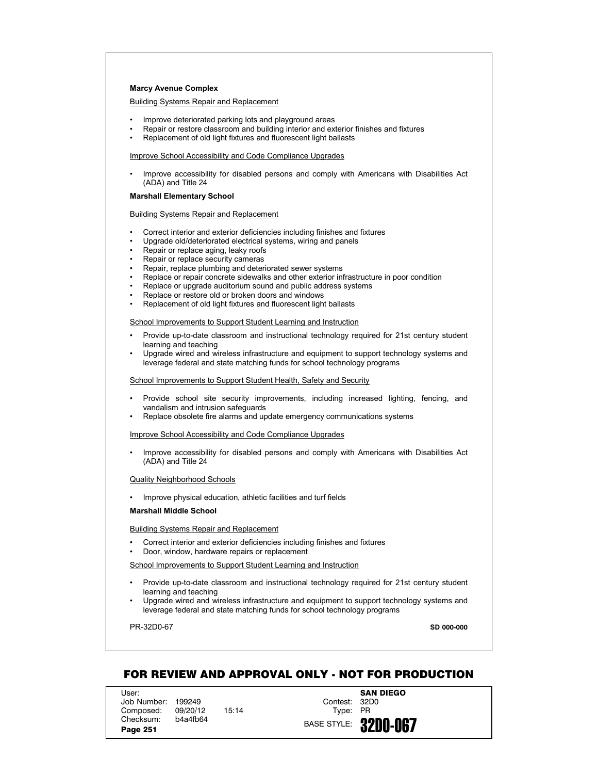### **Marcy Avenue Complex**

Building Systems Repair and Replacement

- Improve deteriorated parking lots and playground areas
- Repair or restore classroom and building interior and exterior finishes and fixtures
- Replacement of old light fixtures and fluorescent light ballasts

Improve School Accessibility and Code Compliance Upgrades

• Improve accessibility for disabled persons and comply with Americans with Disabilities Act (ADA) and Title 24

#### **Marshall Elementary School**

Building Systems Repair and Replacement

- Correct interior and exterior deficiencies including finishes and fixtures
- Upgrade old/deteriorated electrical systems, wiring and panels
- Repair or replace aging, leaky roofs
- Repair or replace security cameras
- Repair, replace plumbing and deteriorated sewer systems
- Replace or repair concrete sidewalks and other exterior infrastructure in poor condition
- Replace or upgrade auditorium sound and public address systems
- Replace or restore old or broken doors and windows
- Replacement of old light fixtures and fluorescent light ballasts

#### School Improvements to Support Student Learning and Instruction

- Provide up-to-date classroom and instructional technology required for 21st century student learning and teaching
- Upgrade wired and wireless infrastructure and equipment to support technology systems and leverage federal and state matching funds for school technology programs

School Improvements to Support Student Health, Safety and Security

- Provide school site security improvements, including increased lighting, fencing, and vandalism and intrusion safeguards
- Replace obsolete fire alarms and update emergency communications systems

#### Improve School Accessibility and Code Compliance Upgrades

• Improve accessibility for disabled persons and comply with Americans with Disabilities Act (ADA) and Title 24

## Quality Neighborhood Schools

• Improve physical education, athletic facilities and turf fields

#### **Marshall Middle School**

Building Systems Repair and Replacement

- Correct interior and exterior deficiencies including finishes and fixtures
- Door, window, hardware repairs or replacement

### School Improvements to Support Student Learning and Instruction

- Provide up-to-date classroom and instructional technology required for 21st century student learning and teaching
- Upgrade wired and wireless infrastructure and equipment to support technology systems and leverage federal and state matching funds for school technology programs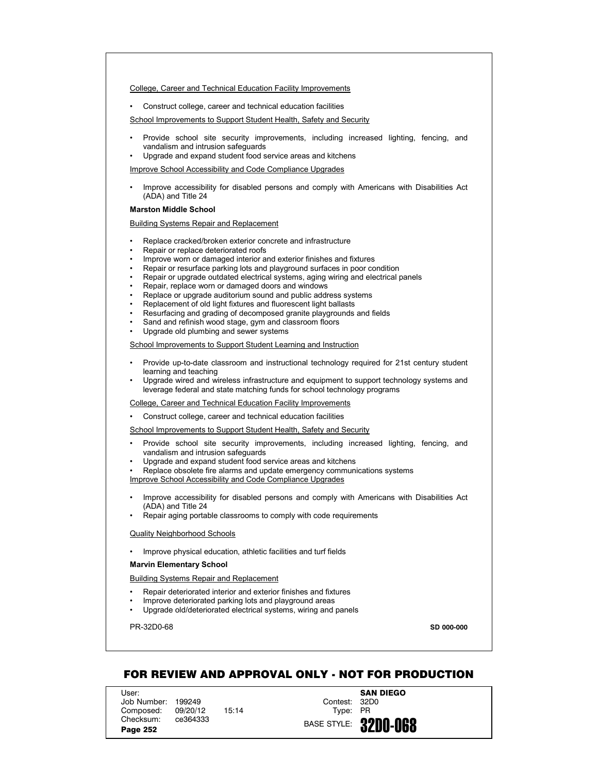College, Career and Technical Education Facility Improvements

• Construct college, career and technical education facilities

School Improvements to Support Student Health, Safety and Security

- Provide school site security improvements, including increased lighting, fencing, and vandalism and intrusion safeguards
- Upgrade and expand student food service areas and kitchens

Improve School Accessibility and Code Compliance Upgrades

• Improve accessibility for disabled persons and comply with Americans with Disabilities Act (ADA) and Title 24

#### **Marston Middle School**

Building Systems Repair and Replacement

- Replace cracked/broken exterior concrete and infrastructure
- Repair or replace deteriorated roofs
- Improve worn or damaged interior and exterior finishes and fixtures
- Repair or resurface parking lots and playground surfaces in poor condition
- Repair or upgrade outdated electrical systems, aging wiring and electrical panels
- Repair, replace worn or damaged doors and windows
- Replace or upgrade auditorium sound and public address systems
- Replacement of old light fixtures and fluorescent light ballasts
- Resurfacing and grading of decomposed granite playgrounds and fields
- Sand and refinish wood stage, gym and classroom floors
- Upgrade old plumbing and sewer systems

School Improvements to Support Student Learning and Instruction

- Provide up-to-date classroom and instructional technology required for 21st century student learning and teaching
- Upgrade wired and wireless infrastructure and equipment to support technology systems and leverage federal and state matching funds for school technology programs

College, Career and Technical Education Facility Improvements

• Construct college, career and technical education facilities

School Improvements to Support Student Health, Safety and Security

- Provide school site security improvements, including increased lighting, fencing, and vandalism and intrusion safeguards
- Upgrade and expand student food service areas and kitchens
- Replace obsolete fire alarms and update emergency communications systems Improve School Accessibility and Code Compliance Upgrades
- 
- Improve accessibility for disabled persons and comply with Americans with Disabilities Act (ADA) and Title 24
- Repair aging portable classrooms to comply with code requirements

# Quality Neighborhood Schools

• Improve physical education, athletic facilities and turf fields

# **Marvin Elementary School**

Building Systems Repair and Replacement

- Repair deteriorated interior and exterior finishes and fixtures
	- Improve deteriorated parking lots and playground areas
- Upgrade old/deteriorated electrical systems, wiring and panels

PR-32D0-68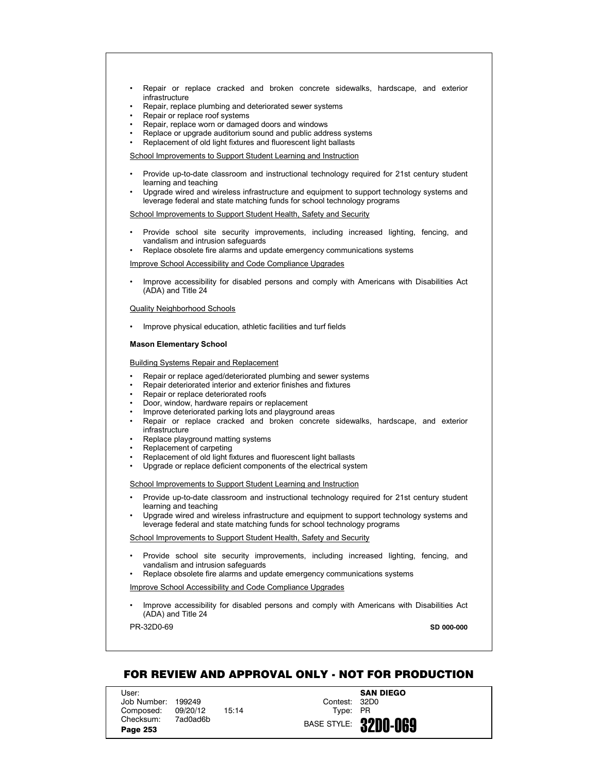- Repair or replace cracked and broken concrete sidewalks, hardscape, and exterior infrastructure
- Repair, replace plumbing and deteriorated sewer systems
- Repair or replace roof systems
- Repair, replace worn or damaged doors and windows
- Replace or upgrade auditorium sound and public address systems
- Replacement of old light fixtures and fluorescent light ballasts

- Provide up-to-date classroom and instructional technology required for 21st century student learning and teaching
- Upgrade wired and wireless infrastructure and equipment to support technology systems and leverage federal and state matching funds for school technology programs

School Improvements to Support Student Health, Safety and Security

- Provide school site security improvements, including increased lighting, fencing, and vandalism and intrusion safeguards
- Replace obsolete fire alarms and update emergency communications systems

Improve School Accessibility and Code Compliance Upgrades

• Improve accessibility for disabled persons and comply with Americans with Disabilities Act (ADA) and Title 24

#### Quality Neighborhood Schools

• Improve physical education, athletic facilities and turf fields

#### **Mason Elementary School**

# Building Systems Repair and Replacement

- Repair or replace aged/deteriorated plumbing and sewer systems
- Repair deteriorated interior and exterior finishes and fixtures
- Repair or replace deteriorated roofs
- Door, window, hardware repairs or replacement
- Improve deteriorated parking lots and playground areas
- Repair or replace cracked and broken concrete sidewalks, hardscape, and exterior infrastructure
- Replace playground matting systems
- Replacement of carpeting
- Replacement of old light fixtures and fluorescent light ballasts
- Upgrade or replace deficient components of the electrical system

# School Improvements to Support Student Learning and Instruction

- Provide up-to-date classroom and instructional technology required for 21st century student learning and teaching
- Upgrade wired and wireless infrastructure and equipment to support technology systems and leverage federal and state matching funds for school technology programs

### School Improvements to Support Student Health, Safety and Security

- Provide school site security improvements, including increased lighting, fencing, and vandalism and intrusion safeguards
- Replace obsolete fire alarms and update emergency communications systems

# Improve School Accessibility and Code Compliance Upgrades

• Improve accessibility for disabled persons and comply with Americans with Disabilities Act (ADA) and Title 24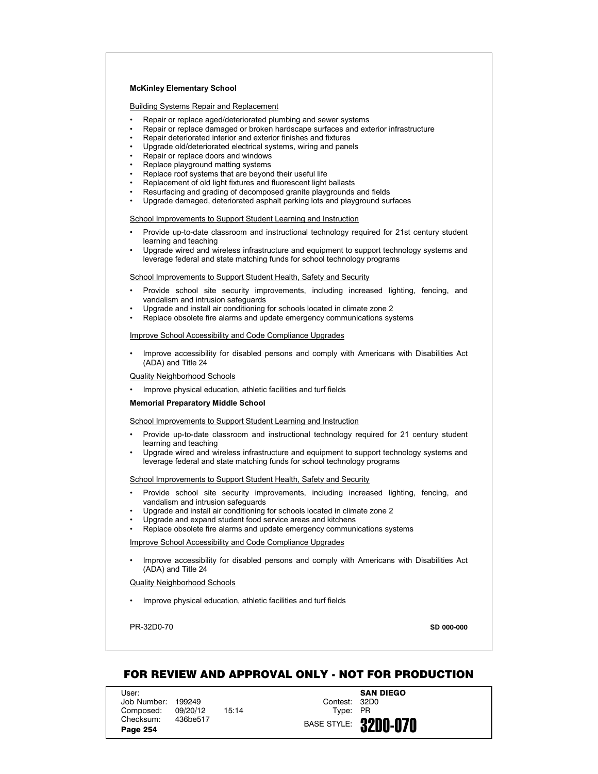# **McKinley Elementary School**

Building Systems Repair and Replacement

- Repair or replace aged/deteriorated plumbing and sewer systems
- Repair or replace damaged or broken hardscape surfaces and exterior infrastructure
- Repair deteriorated interior and exterior finishes and fixtures
- Upgrade old/deteriorated electrical systems, wiring and panels
- Repair or replace doors and windows
- Replace playground matting systems
- Replace roof systems that are beyond their useful life
- Replacement of old light fixtures and fluorescent light ballasts
- Resurfacing and grading of decomposed granite playgrounds and fields
- Upgrade damaged, deteriorated asphalt parking lots and playground surfaces

School Improvements to Support Student Learning and Instruction

- Provide up-to-date classroom and instructional technology required for 21st century student learning and teaching
- Upgrade wired and wireless infrastructure and equipment to support technology systems and leverage federal and state matching funds for school technology programs

School Improvements to Support Student Health, Safety and Security

- Provide school site security improvements, including increased lighting, fencing, and vandalism and intrusion safeguards
- Upgrade and install air conditioning for schools located in climate zone 2
- Replace obsolete fire alarms and update emergency communications systems

Improve School Accessibility and Code Compliance Upgrades

• Improve accessibility for disabled persons and comply with Americans with Disabilities Act (ADA) and Title 24

Quality Neighborhood Schools

Improve physical education, athletic facilities and turf fields

#### **Memorial Preparatory Middle School**

School Improvements to Support Student Learning and Instruction

- Provide up-to-date classroom and instructional technology required for 21 century student learning and teaching
- Upgrade wired and wireless infrastructure and equipment to support technology systems and leverage federal and state matching funds for school technology programs

#### School Improvements to Support Student Health, Safety and Security

- Provide school site security improvements, including increased lighting, fencing, and vandalism and intrusion safeguards
- Upgrade and install air conditioning for schools located in climate zone 2
- Upgrade and expand student food service areas and kitchens
- Replace obsolete fire alarms and update emergency communications systems

### Improve School Accessibility and Code Compliance Upgrades

• Improve accessibility for disabled persons and comply with Americans with Disabilities Act (ADA) and Title 24

Quality Neighborhood Schools

• Improve physical education, athletic facilities and turf fields

PR-32D0-70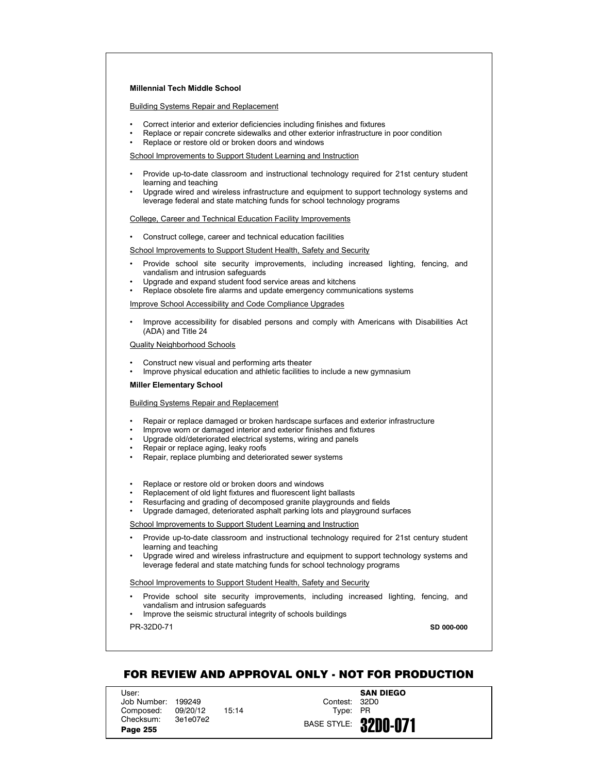# **Millennial Tech Middle School**

Building Systems Repair and Replacement

- Correct interior and exterior deficiencies including finishes and fixtures
- Replace or repair concrete sidewalks and other exterior infrastructure in poor condition
- Replace or restore old or broken doors and windows

School Improvements to Support Student Learning and Instruction

- Provide up-to-date classroom and instructional technology required for 21st century student learning and teaching
- Upgrade wired and wireless infrastructure and equipment to support technology systems and leverage federal and state matching funds for school technology programs

College, Career and Technical Education Facility Improvements

• Construct college, career and technical education facilities

School Improvements to Support Student Health, Safety and Security

- Provide school site security improvements, including increased lighting, fencing, and vandalism and intrusion safeguards
- Upgrade and expand student food service areas and kitchens
- Replace obsolete fire alarms and update emergency communications systems

Improve School Accessibility and Code Compliance Upgrades

• Improve accessibility for disabled persons and comply with Americans with Disabilities Act (ADA) and Title 24

Quality Neighborhood Schools

- Construct new visual and performing arts theater
- Improve physical education and athletic facilities to include a new gymnasium

**Miller Elementary School**

### Building Systems Repair and Replacement

- Repair or replace damaged or broken hardscape surfaces and exterior infrastructure
- Improve worn or damaged interior and exterior finishes and fixtures
- Upgrade old/deteriorated electrical systems, wiring and panels
- Repair or replace aging, leaky roofs
- Repair, replace plumbing and deteriorated sewer systems
- Replace or restore old or broken doors and windows
- Replacement of old light fixtures and fluorescent light ballasts
- Resurfacing and grading of decomposed granite playgrounds and fields
- Upgrade damaged, deteriorated asphalt parking lots and playground surfaces

School Improvements to Support Student Learning and Instruction

- Provide up-to-date classroom and instructional technology required for 21st century student learning and teaching
- Upgrade wired and wireless infrastructure and equipment to support technology systems and leverage federal and state matching funds for school technology programs

#### School Improvements to Support Student Health, Safety and Security

- Provide school site security improvements, including increased lighting, fencing, and vandalism and intrusion safeguards
- Improve the seismic structural integrity of schools buildings

PR-32D0-71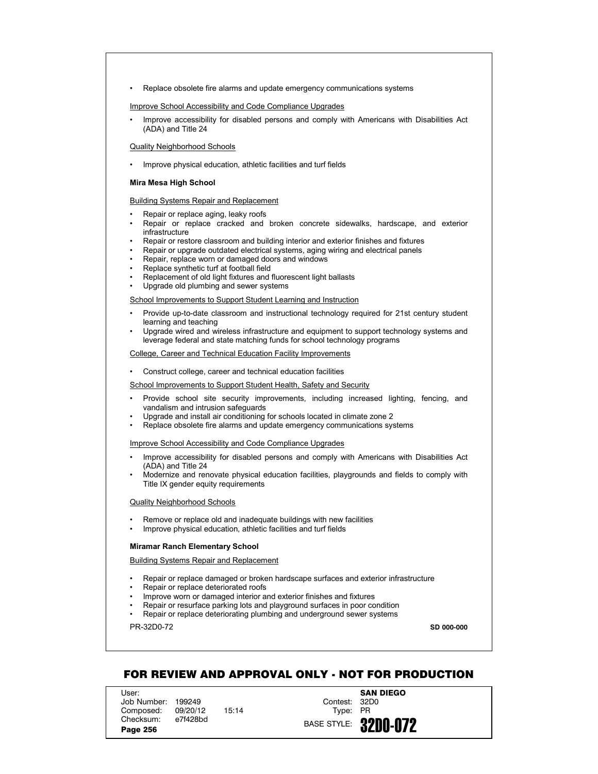• Replace obsolete fire alarms and update emergency communications systems

Improve School Accessibility and Code Compliance Upgrades

• Improve accessibility for disabled persons and comply with Americans with Disabilities Act (ADA) and Title 24

### Quality Neighborhood Schools

• Improve physical education, athletic facilities and turf fields

## **Mira Mesa High School**

Building Systems Repair and Replacement

- Repair or replace aging, leaky roofs
- Repair or replace cracked and broken concrete sidewalks, hardscape, and exterior infrastructure
- Repair or restore classroom and building interior and exterior finishes and fixtures
- Repair or upgrade outdated electrical systems, aging wiring and electrical panels
- Repair, replace worn or damaged doors and windows
- Replace synthetic turf at football field
- Replacement of old light fixtures and fluorescent light ballasts
- Upgrade old plumbing and sewer systems

School Improvements to Support Student Learning and Instruction

- Provide up-to-date classroom and instructional technology required for 21st century student learning and teaching
- Upgrade wired and wireless infrastructure and equipment to support technology systems and leverage federal and state matching funds for school technology programs

College, Career and Technical Education Facility Improvements

• Construct college, career and technical education facilities

School Improvements to Support Student Health, Safety and Security

- Provide school site security improvements, including increased lighting, fencing, and vandalism and intrusion safeguards
- Upgrade and install air conditioning for schools located in climate zone 2
- Replace obsolete fire alarms and update emergency communications systems

Improve School Accessibility and Code Compliance Upgrades

- Improve accessibility for disabled persons and comply with Americans with Disabilities Act (ADA) and Title 24
- Modernize and renovate physical education facilities, playgrounds and fields to comply with Title IX gender equity requirements

Quality Neighborhood Schools

- Remove or replace old and inadequate buildings with new facilities
- Improve physical education, athletic facilities and turf fields

# **Miramar Ranch Elementary School**

Building Systems Repair and Replacement

- Repair or replace damaged or broken hardscape surfaces and exterior infrastructure
- Repair or replace deteriorated roofs
- Improve worn or damaged interior and exterior finishes and fixtures
- Repair or resurface parking lots and playground surfaces in poor condition
- Repair or replace deteriorating plumbing and underground sewer systems

PR-32D0-72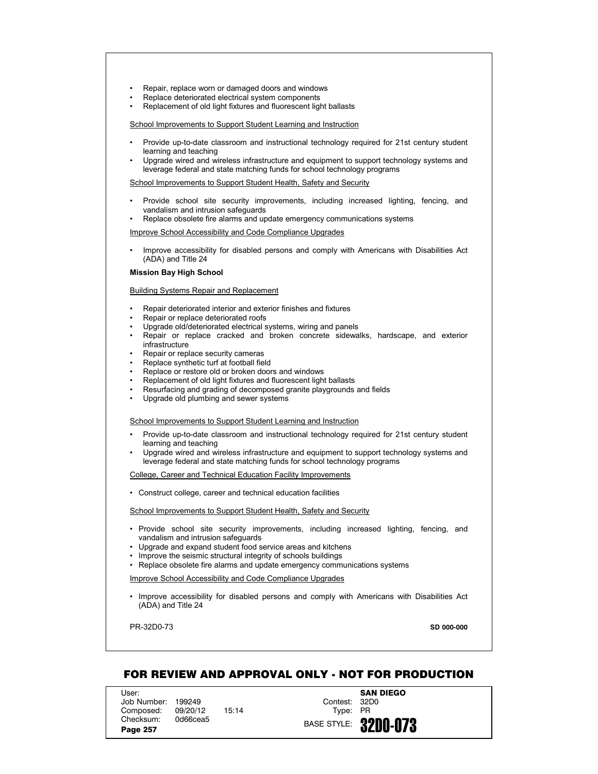- Repair, replace worn or damaged doors and windows
- Replace deteriorated electrical system components
- Replacement of old light fixtures and fluorescent light ballasts

- Provide up-to-date classroom and instructional technology required for 21st century student learning and teaching
- Upgrade wired and wireless infrastructure and equipment to support technology systems and leverage federal and state matching funds for school technology programs

School Improvements to Support Student Health, Safety and Security

- Provide school site security improvements, including increased lighting, fencing, and vandalism and intrusion safeguards
- Replace obsolete fire alarms and update emergency communications systems

Improve School Accessibility and Code Compliance Upgrades

• Improve accessibility for disabled persons and comply with Americans with Disabilities Act (ADA) and Title 24

**Mission Bay High School**

Building Systems Repair and Replacement

- Repair deteriorated interior and exterior finishes and fixtures
- Repair or replace deteriorated roofs
- Upgrade old/deteriorated electrical systems, wiring and panels
- Repair or replace cracked and broken concrete sidewalks, hardscape, and exterior infrastructure
- Repair or replace security cameras
- Replace synthetic turf at football field
- Replace or restore old or broken doors and windows
- Replacement of old light fixtures and fluorescent light ballasts
- Resurfacing and grading of decomposed granite playgrounds and fields
- Upgrade old plumbing and sewer systems

School Improvements to Support Student Learning and Instruction

- Provide up-to-date classroom and instructional technology required for 21st century student learning and teaching
- Upgrade wired and wireless infrastructure and equipment to support technology systems and leverage federal and state matching funds for school technology programs

College, Career and Technical Education Facility Improvements

• Construct college, career and technical education facilities

School Improvements to Support Student Health, Safety and Security

- Provide school site security improvements, including increased lighting, fencing, and vandalism and intrusion safeguards
- Upgrade and expand student food service areas and kitchens
- Improve the seismic structural integrity of schools buildings
- Replace obsolete fire alarms and update emergency communications systems

Improve School Accessibility and Code Compliance Upgrades

• Improve accessibility for disabled persons and comply with Americans with Disabilities Act (ADA) and Title 24

PR-32D0-73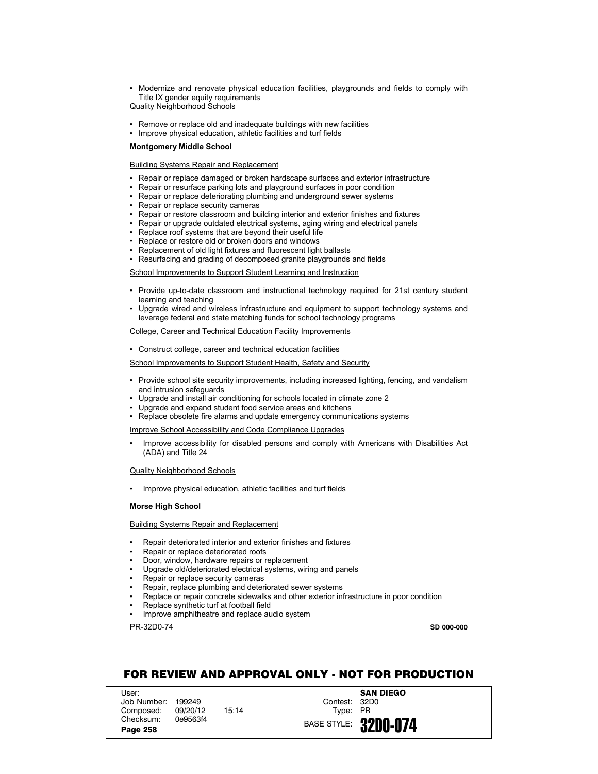• Modernize and renovate physical education facilities, playgrounds and fields to comply with Title IX gender equity requirements

# Quality Neighborhood Schools

- Remove or replace old and inadequate buildings with new facilities
- Improve physical education, athletic facilities and turf fields

## **Montgomery Middle School**

## Building Systems Repair and Replacement

- Repair or replace damaged or broken hardscape surfaces and exterior infrastructure
- Repair or resurface parking lots and playground surfaces in poor condition
- Repair or replace deteriorating plumbing and underground sewer systems
- Repair or replace security cameras
- Repair or restore classroom and building interior and exterior finishes and fixtures
- Repair or upgrade outdated electrical systems, aging wiring and electrical panels
- Replace roof systems that are beyond their useful life
- Replace or restore old or broken doors and windows
- Replacement of old light fixtures and fluorescent light ballasts
- Resurfacing and grading of decomposed granite playgrounds and fields

School Improvements to Support Student Learning and Instruction

- Provide up-to-date classroom and instructional technology required for 21st century student learning and teaching
- Upgrade wired and wireless infrastructure and equipment to support technology systems and leverage federal and state matching funds for school technology programs

College, Career and Technical Education Facility Improvements

• Construct college, career and technical education facilities

School Improvements to Support Student Health, Safety and Security

- Provide school site security improvements, including increased lighting, fencing, and vandalism and intrusion safeguards
- Upgrade and install air conditioning for schools located in climate zone 2
- Upgrade and expand student food service areas and kitchens
- Replace obsolete fire alarms and update emergency communications systems

Improve School Accessibility and Code Compliance Upgrades

• Improve accessibility for disabled persons and comply with Americans with Disabilities Act (ADA) and Title 24

Quality Neighborhood Schools

• Improve physical education, athletic facilities and turf fields

## **Morse High School**

# Building Systems Repair and Replacement

- Repair deteriorated interior and exterior finishes and fixtures
- Repair or replace deteriorated roofs
- Door, window, hardware repairs or replacement
- Upgrade old/deteriorated electrical systems, wiring and panels
- Repair or replace security cameras
- Repair, replace plumbing and deteriorated sewer systems
- Replace or repair concrete sidewalks and other exterior infrastructure in poor condition
- Replace synthetic turf at football field
- Improve amphitheatre and replace audio system

PR-32D0-74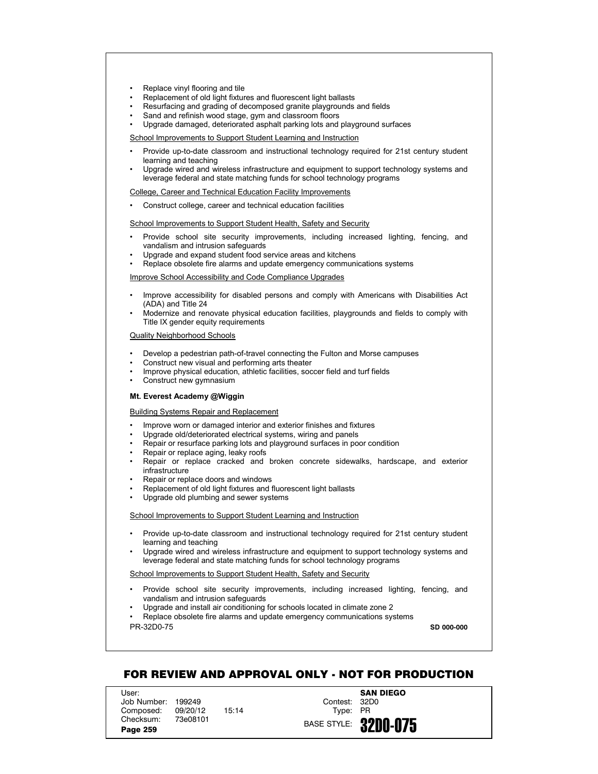- Replace vinyl flooring and tile
- Replacement of old light fixtures and fluorescent light ballasts
- Resurfacing and grading of decomposed granite playgrounds and fields
- Sand and refinish wood stage, gym and classroom floors
- Upgrade damaged, deteriorated asphalt parking lots and playground surfaces

- Provide up-to-date classroom and instructional technology required for 21st century student learning and teaching
- Upgrade wired and wireless infrastructure and equipment to support technology systems and leverage federal and state matching funds for school technology programs

College, Career and Technical Education Facility Improvements

• Construct college, career and technical education facilities

School Improvements to Support Student Health, Safety and Security

- Provide school site security improvements, including increased lighting, fencing, and vandalism and intrusion safeguards
- Upgrade and expand student food service areas and kitchens
- Replace obsolete fire alarms and update emergency communications systems

Improve School Accessibility and Code Compliance Upgrades

- Improve accessibility for disabled persons and comply with Americans with Disabilities Act (ADA) and Title 24
- Modernize and renovate physical education facilities, playgrounds and fields to comply with Title IX gender equity requirements

Quality Neighborhood Schools

- Develop a pedestrian path-of-travel connecting the Fulton and Morse campuses
- Construct new visual and performing arts theater
- Improve physical education, athletic facilities, soccer field and turf fields
- Construct new gymnasium

# **Mt. Everest Academy @Wiggin**

Building Systems Repair and Replacement

- Improve worn or damaged interior and exterior finishes and fixtures
- Upgrade old/deteriorated electrical systems, wiring and panels
- Repair or resurface parking lots and playground surfaces in poor condition
- Repair or replace aging, leaky roofs
- Repair or replace cracked and broken concrete sidewalks, hardscape, and exterior infrastructure
- Repair or replace doors and windows
- Replacement of old light fixtures and fluorescent light ballasts
- Upgrade old plumbing and sewer systems

## School Improvements to Support Student Learning and Instruction

- Provide up-to-date classroom and instructional technology required for 21st century student learning and teaching
- Upgrade wired and wireless infrastructure and equipment to support technology systems and leverage federal and state matching funds for school technology programs

School Improvements to Support Student Health, Safety and Security

- Provide school site security improvements, including increased lighting, fencing, and vandalism and intrusion safeguards
- Upgrade and install air conditioning for schools located in climate zone 2

PR-32D0-75 • Replace obsolete fire alarms and update emergency communications systems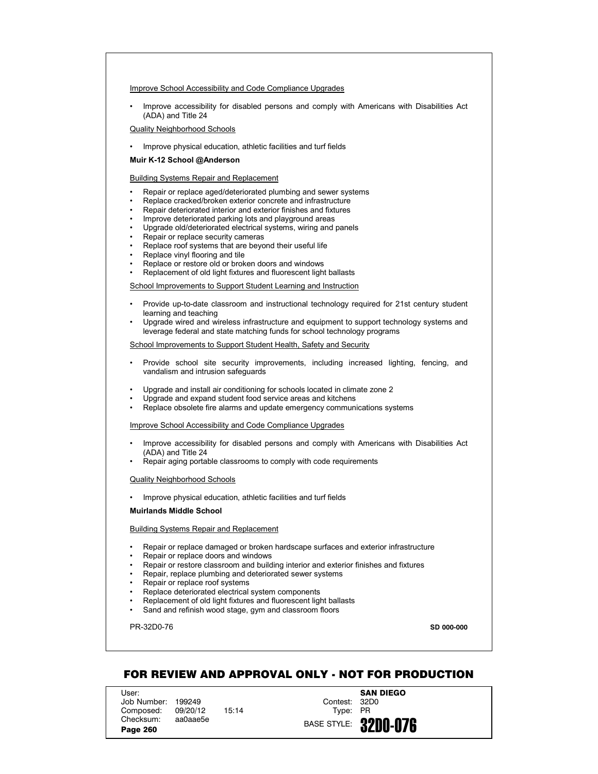### Improve School Accessibility and Code Compliance Upgrades

• Improve accessibility for disabled persons and comply with Americans with Disabilities Act (ADA) and Title 24

## Quality Neighborhood Schools

• Improve physical education, athletic facilities and turf fields

## **Muir K-12 School @Anderson**

## Building Systems Repair and Replacement

- Repair or replace aged/deteriorated plumbing and sewer systems
- Replace cracked/broken exterior concrete and infrastructure
- Repair deteriorated interior and exterior finishes and fixtures
- Improve deteriorated parking lots and playground areas
- Upgrade old/deteriorated electrical systems, wiring and panels
- Repair or replace security cameras
- Replace roof systems that are beyond their useful life
- Replace vinyl flooring and tile
- Replace or restore old or broken doors and windows
- Replacement of old light fixtures and fluorescent light ballasts

School Improvements to Support Student Learning and Instruction

- Provide up-to-date classroom and instructional technology required for 21st century student learning and teaching
- Upgrade wired and wireless infrastructure and equipment to support technology systems and leverage federal and state matching funds for school technology programs

School Improvements to Support Student Health, Safety and Security

- Provide school site security improvements, including increased lighting, fencing, and vandalism and intrusion safeguards
- Upgrade and install air conditioning for schools located in climate zone 2
- Upgrade and expand student food service areas and kitchens
- Replace obsolete fire alarms and update emergency communications systems

# Improve School Accessibility and Code Compliance Upgrades

- Improve accessibility for disabled persons and comply with Americans with Disabilities Act (ADA) and Title 24
- Repair aging portable classrooms to comply with code requirements

### Quality Neighborhood Schools

• Improve physical education, athletic facilities and turf fields

### **Muirlands Middle School**

### Building Systems Repair and Replacement

- Repair or replace damaged or broken hardscape surfaces and exterior infrastructure
- Repair or replace doors and windows
- Repair or restore classroom and building interior and exterior finishes and fixtures
- Repair, replace plumbing and deteriorated sewer systems
- Repair or replace roof systems
- Replace deteriorated electrical system components
- Replacement of old light fixtures and fluorescent light ballasts
- Sand and refinish wood stage, gym and classroom floors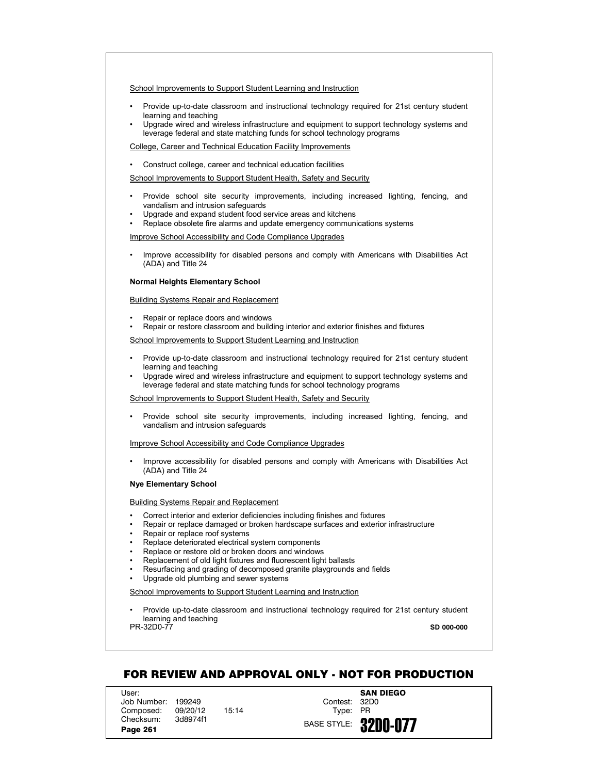- Provide up-to-date classroom and instructional technology required for 21st century student learning and teaching
- Upgrade wired and wireless infrastructure and equipment to support technology systems and leverage federal and state matching funds for school technology programs

College, Career and Technical Education Facility Improvements

• Construct college, career and technical education facilities

School Improvements to Support Student Health, Safety and Security

- Provide school site security improvements, including increased lighting, fencing, and vandalism and intrusion safeguards
- Upgrade and expand student food service areas and kitchens
- Replace obsolete fire alarms and update emergency communications systems

### Improve School Accessibility and Code Compliance Upgrades

• Improve accessibility for disabled persons and comply with Americans with Disabilities Act (ADA) and Title 24

### **Normal Heights Elementary School**

#### Building Systems Repair and Replacement

- Repair or replace doors and windows
- Repair or restore classroom and building interior and exterior finishes and fixtures

### School Improvements to Support Student Learning and Instruction

- Provide up-to-date classroom and instructional technology required for 21st century student learning and teaching
- Upgrade wired and wireless infrastructure and equipment to support technology systems and leverage federal and state matching funds for school technology programs

### School Improvements to Support Student Health, Safety and Security

• Provide school site security improvements, including increased lighting, fencing, and vandalism and intrusion safeguards

# Improve School Accessibility and Code Compliance Upgrades

• Improve accessibility for disabled persons and comply with Americans with Disabilities Act (ADA) and Title 24

## **Nye Elementary School**

## Building Systems Repair and Replacement

- Correct interior and exterior deficiencies including finishes and fixtures
- Repair or replace damaged or broken hardscape surfaces and exterior infrastructure
- Repair or replace roof systems
- Replace deteriorated electrical system components
- Replace or restore old or broken doors and windows
- Replacement of old light fixtures and fluorescent light ballasts
- Resurfacing and grading of decomposed granite playgrounds and fields
- Upgrade old plumbing and sewer systems

## School Improvements to Support Student Learning and Instruction

PR-32D0-77 • Provide up-to-date classroom and instructional technology required for 21st century student learning and teaching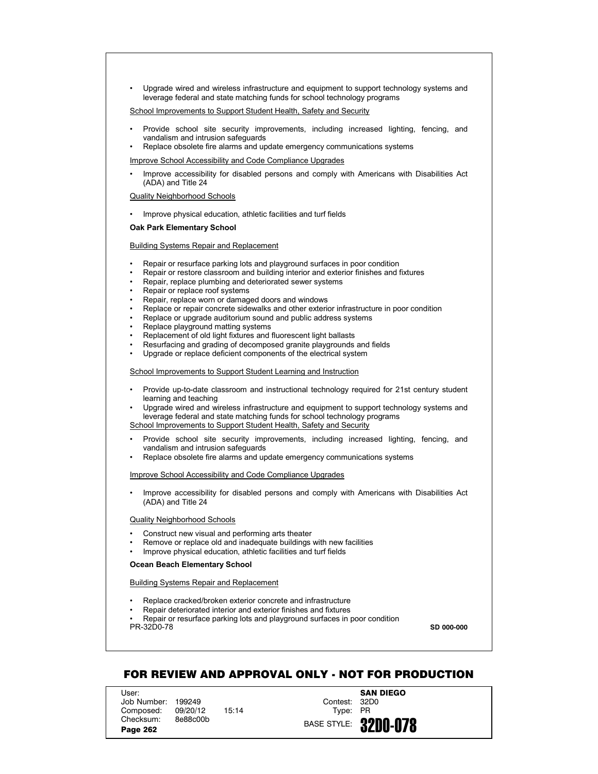• Upgrade wired and wireless infrastructure and equipment to support technology systems and leverage federal and state matching funds for school technology programs

School Improvements to Support Student Health, Safety and Security

- Provide school site security improvements, including increased lighting, fencing, and vandalism and intrusion safeguards
- Replace obsolete fire alarms and update emergency communications systems

Improve School Accessibility and Code Compliance Upgrades

• Improve accessibility for disabled persons and comply with Americans with Disabilities Act (ADA) and Title 24

Quality Neighborhood Schools

• Improve physical education, athletic facilities and turf fields

#### **Oak Park Elementary School**

### Building Systems Repair and Replacement

- Repair or resurface parking lots and playground surfaces in poor condition
- Repair or restore classroom and building interior and exterior finishes and fixtures
- Repair, replace plumbing and deteriorated sewer systems
- Repair or replace roof systems
- Repair, replace worn or damaged doors and windows
- Replace or repair concrete sidewalks and other exterior infrastructure in poor condition
- Replace or upgrade auditorium sound and public address systems
- Replace playground matting systems
- Replacement of old light fixtures and fluorescent light ballasts
- Resurfacing and grading of decomposed granite playgrounds and fields
- Upgrade or replace deficient components of the electrical system

## School Improvements to Support Student Learning and Instruction

- Provide up-to-date classroom and instructional technology required for 21st century student learning and teaching
- Upgrade wired and wireless infrastructure and equipment to support technology systems and leverage federal and state matching funds for school technology programs

School Improvements to Support Student Health, Safety and Security

- Provide school site security improvements, including increased lighting, fencing, and vandalism and intrusion safeguards
- Replace obsolete fire alarms and update emergency communications systems

Improve School Accessibility and Code Compliance Upgrades

• Improve accessibility for disabled persons and comply with Americans with Disabilities Act (ADA) and Title 24

#### Quality Neighborhood Schools

- Construct new visual and performing arts theater
- Remove or replace old and inadequate buildings with new facilities
- Improve physical education, athletic facilities and turf fields

# **Ocean Beach Elementary School**

## Building Systems Repair and Replacement

- Replace cracked/broken exterior concrete and infrastructure
- Repair deteriorated interior and exterior finishes and fixtures

PR-32D0-78 • Repair or resurface parking lots and playground surfaces in poor condition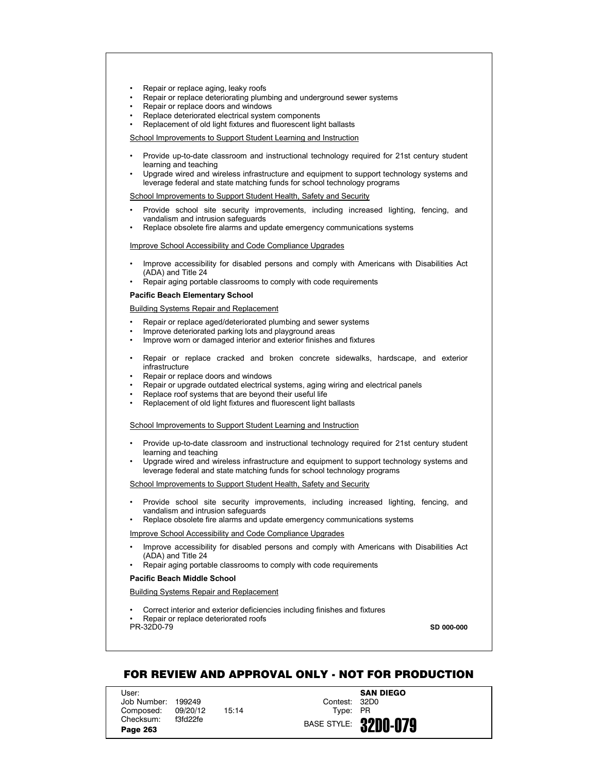- Repair or replace aging, leaky roofs
- Repair or replace deteriorating plumbing and underground sewer systems
- Repair or replace doors and windows
- Replace deteriorated electrical system components
- Replacement of old light fixtures and fluorescent light ballasts

- Provide up-to-date classroom and instructional technology required for 21st century student learning and teaching
- Upgrade wired and wireless infrastructure and equipment to support technology systems and leverage federal and state matching funds for school technology programs

School Improvements to Support Student Health, Safety and Security

- Provide school site security improvements, including increased lighting, fencing, and vandalism and intrusion safeguards
- Replace obsolete fire alarms and update emergency communications systems

Improve School Accessibility and Code Compliance Upgrades

- Improve accessibility for disabled persons and comply with Americans with Disabilities Act (ADA) and Title 24
- Repair aging portable classrooms to comply with code requirements

## **Pacific Beach Elementary School**

Building Systems Repair and Replacement

- Repair or replace aged/deteriorated plumbing and sewer systems
- Improve deteriorated parking lots and playground areas
- Improve worn or damaged interior and exterior finishes and fixtures
- Repair or replace cracked and broken concrete sidewalks, hardscape, and exterior infrastructure
- Repair or replace doors and windows
- Repair or upgrade outdated electrical systems, aging wiring and electrical panels
- Replace roof systems that are beyond their useful life
- Replacement of old light fixtures and fluorescent light ballasts

School Improvements to Support Student Learning and Instruction

- Provide up-to-date classroom and instructional technology required for 21st century student learning and teaching
- Upgrade wired and wireless infrastructure and equipment to support technology systems and leverage federal and state matching funds for school technology programs

School Improvements to Support Student Health, Safety and Security

- Provide school site security improvements, including increased lighting, fencing, and vandalism and intrusion safeguards
- Replace obsolete fire alarms and update emergency communications systems

Improve School Accessibility and Code Compliance Upgrades

- Improve accessibility for disabled persons and comply with Americans with Disabilities Act (ADA) and Title 24
- Repair aging portable classrooms to comply with code requirements

## **Pacific Beach Middle School**

Building Systems Repair and Replacement

• Correct interior and exterior deficiencies including finishes and fixtures • Repair or replace deteriorated roofs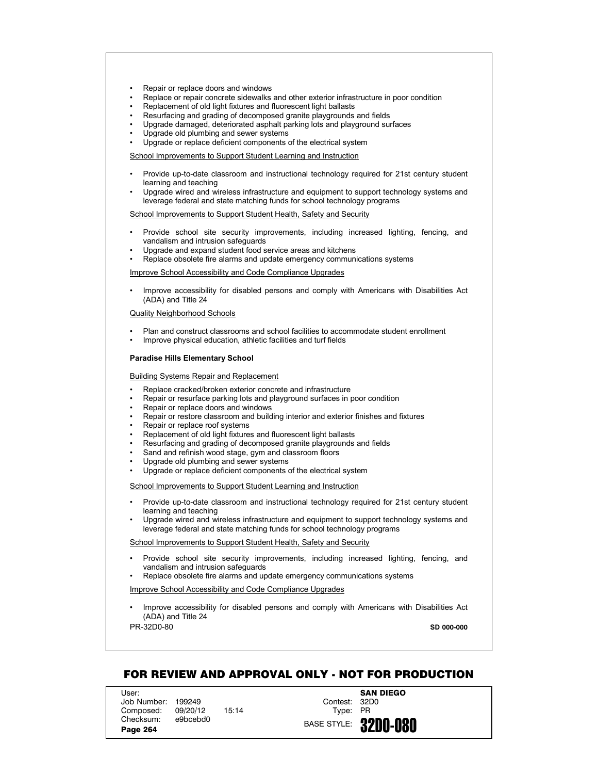- Repair or replace doors and windows
- Replace or repair concrete sidewalks and other exterior infrastructure in poor condition
- Replacement of old light fixtures and fluorescent light ballasts
- Resurfacing and grading of decomposed granite playgrounds and fields
- Upgrade damaged, deteriorated asphalt parking lots and playground surfaces
- Upgrade old plumbing and sewer systems
- Upgrade or replace deficient components of the electrical system

- Provide up-to-date classroom and instructional technology required for 21st century student learning and teaching
- Upgrade wired and wireless infrastructure and equipment to support technology systems and leverage federal and state matching funds for school technology programs

School Improvements to Support Student Health, Safety and Security

- Provide school site security improvements, including increased lighting, fencing, and vandalism and intrusion safeguards
- Upgrade and expand student food service areas and kitchens
- Replace obsolete fire alarms and update emergency communications systems

Improve School Accessibility and Code Compliance Upgrades

• Improve accessibility for disabled persons and comply with Americans with Disabilities Act (ADA) and Title 24

# Quality Neighborhood Schools

- Plan and construct classrooms and school facilities to accommodate student enrollment
- Improve physical education, athletic facilities and turf fields

#### **Paradise Hills Elementary School**

#### Building Systems Repair and Replacement

- Replace cracked/broken exterior concrete and infrastructure
- Repair or resurface parking lots and playground surfaces in poor condition
- Repair or replace doors and windows
- Repair or restore classroom and building interior and exterior finishes and fixtures
- Repair or replace roof systems
- Replacement of old light fixtures and fluorescent light ballasts
- Resurfacing and grading of decomposed granite playgrounds and fields
- Sand and refinish wood stage, gym and classroom floors
- Upgrade old plumbing and sewer systems
- Upgrade or replace deficient components of the electrical system

School Improvements to Support Student Learning and Instruction

- Provide up-to-date classroom and instructional technology required for 21st century student learning and teaching
- Upgrade wired and wireless infrastructure and equipment to support technology systems and leverage federal and state matching funds for school technology programs

School Improvements to Support Student Health, Safety and Security

- Provide school site security improvements, including increased lighting, fencing, and vandalism and intrusion safeguards
- Replace obsolete fire alarms and update emergency communications systems

Improve School Accessibility and Code Compliance Upgrades

• Improve accessibility for disabled persons and comply with Americans with Disabilities Act (ADA) and Title 24

PR-32D0-80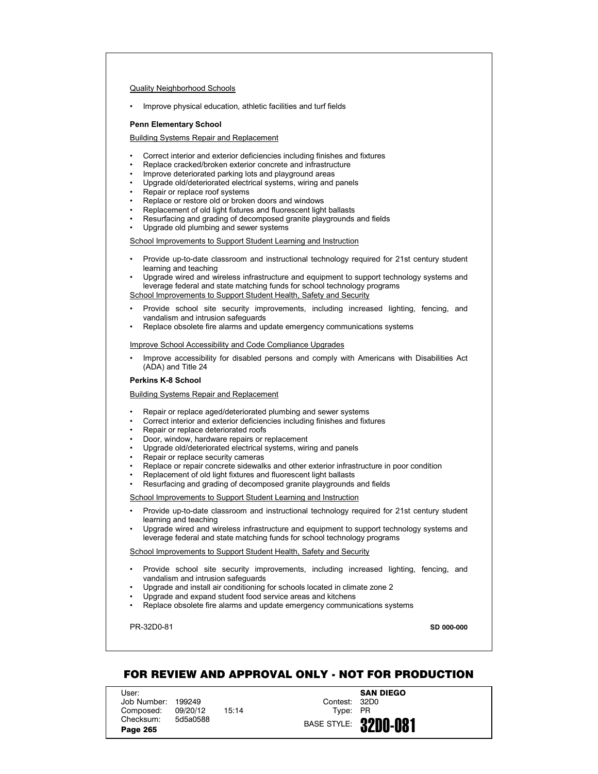## Quality Neighborhood Schools

• Improve physical education, athletic facilities and turf fields

### **Penn Elementary School**

## Building Systems Repair and Replacement

- Correct interior and exterior deficiencies including finishes and fixtures
- Replace cracked/broken exterior concrete and infrastructure
- Improve deteriorated parking lots and playground areas
- Upgrade old/deteriorated electrical systems, wiring and panels
- Repair or replace roof systems
- Replace or restore old or broken doors and windows
- Replacement of old light fixtures and fluorescent light ballasts
- Resurfacing and grading of decomposed granite playgrounds and fields
- Upgrade old plumbing and sewer systems

## School Improvements to Support Student Learning and Instruction

- Provide up-to-date classroom and instructional technology required for 21st century student learning and teaching
- Upgrade wired and wireless infrastructure and equipment to support technology systems and leverage federal and state matching funds for school technology programs

School Improvements to Support Student Health, Safety and Security

- Provide school site security improvements, including increased lighting, fencing, and vandalism and intrusion safeguards
- Replace obsolete fire alarms and update emergency communications systems

### Improve School Accessibility and Code Compliance Upgrades

• Improve accessibility for disabled persons and comply with Americans with Disabilities Act (ADA) and Title 24

### **Perkins K-8 School**

Building Systems Repair and Replacement

- Repair or replace aged/deteriorated plumbing and sewer systems
- Correct interior and exterior deficiencies including finishes and fixtures
- Repair or replace deteriorated roofs
- Door, window, hardware repairs or replacement
- Upgrade old/deteriorated electrical systems, wiring and panels
- Repair or replace security cameras
- Replace or repair concrete sidewalks and other exterior infrastructure in poor condition
- Replacement of old light fixtures and fluorescent light ballasts
- Resurfacing and grading of decomposed granite playgrounds and fields

School Improvements to Support Student Learning and Instruction

- Provide up-to-date classroom and instructional technology required for 21st century student learning and teaching
- Upgrade wired and wireless infrastructure and equipment to support technology systems and leverage federal and state matching funds for school technology programs

### School Improvements to Support Student Health, Safety and Security

- Provide school site security improvements, including increased lighting, fencing, and vandalism and intrusion safeguards
- Upgrade and install air conditioning for schools located in climate zone 2
- Upgrade and expand student food service areas and kitchens
- Replace obsolete fire alarms and update emergency communications systems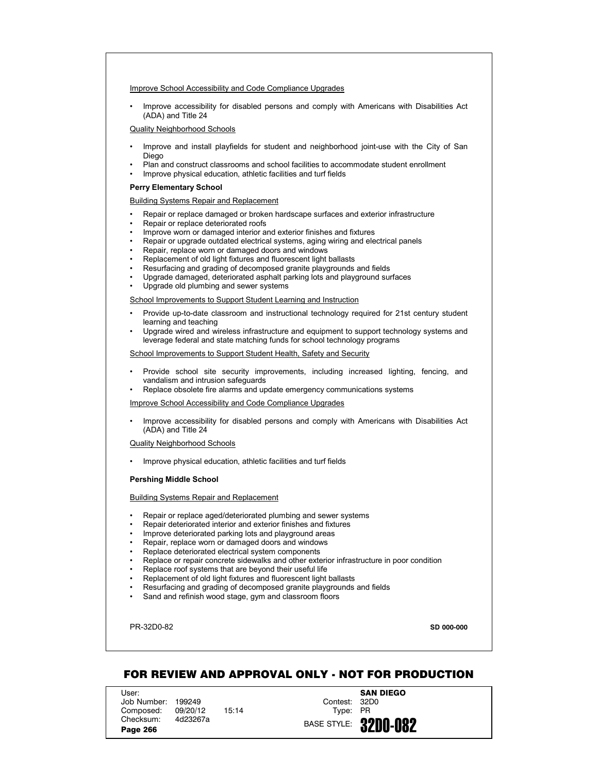## Improve School Accessibility and Code Compliance Upgrades

• Improve accessibility for disabled persons and comply with Americans with Disabilities Act (ADA) and Title 24

## Quality Neighborhood Schools

- Improve and install playfields for student and neighborhood joint-use with the City of San Diego
- Plan and construct classrooms and school facilities to accommodate student enrollment
- Improve physical education, athletic facilities and turf fields

## **Perry Elementary School**

### Building Systems Repair and Replacement

- Repair or replace damaged or broken hardscape surfaces and exterior infrastructure
- Repair or replace deteriorated roofs
- Improve worn or damaged interior and exterior finishes and fixtures
- Repair or upgrade outdated electrical systems, aging wiring and electrical panels
- Repair, replace worn or damaged doors and windows
- Replacement of old light fixtures and fluorescent light ballasts
- Resurfacing and grading of decomposed granite playgrounds and fields
- Upgrade damaged, deteriorated asphalt parking lots and playground surfaces
- Upgrade old plumbing and sewer systems

## School Improvements to Support Student Learning and Instruction

- Provide up-to-date classroom and instructional technology required for 21st century student learning and teaching
- Upgrade wired and wireless infrastructure and equipment to support technology systems and leverage federal and state matching funds for school technology programs

## School Improvements to Support Student Health, Safety and Security

- Provide school site security improvements, including increased lighting, fencing, and vandalism and intrusion safeguards
- Replace obsolete fire alarms and update emergency communications systems

# Improve School Accessibility and Code Compliance Upgrades

• Improve accessibility for disabled persons and comply with Americans with Disabilities Act (ADA) and Title 24

## Quality Neighborhood Schools

• Improve physical education, athletic facilities and turf fields

## **Pershing Middle School**

# Building Systems Repair and Replacement

- Repair or replace aged/deteriorated plumbing and sewer systems
- Repair deteriorated interior and exterior finishes and fixtures
- Improve deteriorated parking lots and playground areas
- Repair, replace worn or damaged doors and windows
- Replace deteriorated electrical system components
- Replace or repair concrete sidewalks and other exterior infrastructure in poor condition
- Replace roof systems that are beyond their useful life
- Replacement of old light fixtures and fluorescent light ballasts
- Resurfacing and grading of decomposed granite playgrounds and fields
- Sand and refinish wood stage, gym and classroom floors

PR-32D0-82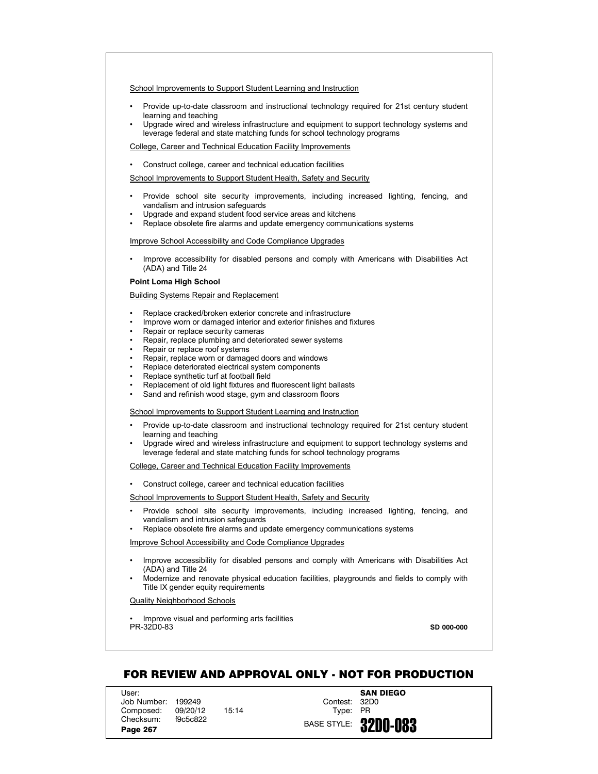- Provide up-to-date classroom and instructional technology required for 21st century student learning and teaching
- Upgrade wired and wireless infrastructure and equipment to support technology systems and leverage federal and state matching funds for school technology programs

College, Career and Technical Education Facility Improvements

• Construct college, career and technical education facilities

School Improvements to Support Student Health, Safety and Security

- Provide school site security improvements, including increased lighting, fencing, and vandalism and intrusion safeguards
- Upgrade and expand student food service areas and kitchens
- Replace obsolete fire alarms and update emergency communications systems

### Improve School Accessibility and Code Compliance Upgrades

• Improve accessibility for disabled persons and comply with Americans with Disabilities Act (ADA) and Title 24

## **Point Loma High School**

Building Systems Repair and Replacement

- Replace cracked/broken exterior concrete and infrastructure
- Improve worn or damaged interior and exterior finishes and fixtures
- Repair or replace security cameras
- Repair, replace plumbing and deteriorated sewer systems
- Repair or replace roof systems
- Repair, replace worn or damaged doors and windows
- Replace deteriorated electrical system components
- Replace synthetic turf at football field
- Replacement of old light fixtures and fluorescent light ballasts
- Sand and refinish wood stage, gym and classroom floors

School Improvements to Support Student Learning and Instruction

- Provide up-to-date classroom and instructional technology required for 21st century student learning and teaching
- Upgrade wired and wireless infrastructure and equipment to support technology systems and leverage federal and state matching funds for school technology programs

College, Career and Technical Education Facility Improvements

• Construct college, career and technical education facilities

School Improvements to Support Student Health, Safety and Security

- Provide school site security improvements, including increased lighting, fencing, and vandalism and intrusion safeguards
- Replace obsolete fire alarms and update emergency communications systems

Improve School Accessibility and Code Compliance Upgrades

- Improve accessibility for disabled persons and comply with Americans with Disabilities Act (ADA) and Title 24
- Modernize and renovate physical education facilities, playgrounds and fields to comply with Title IX gender equity requirements

Quality Neighborhood Schools

PR-32D0-83 • Improve visual and performing arts facilities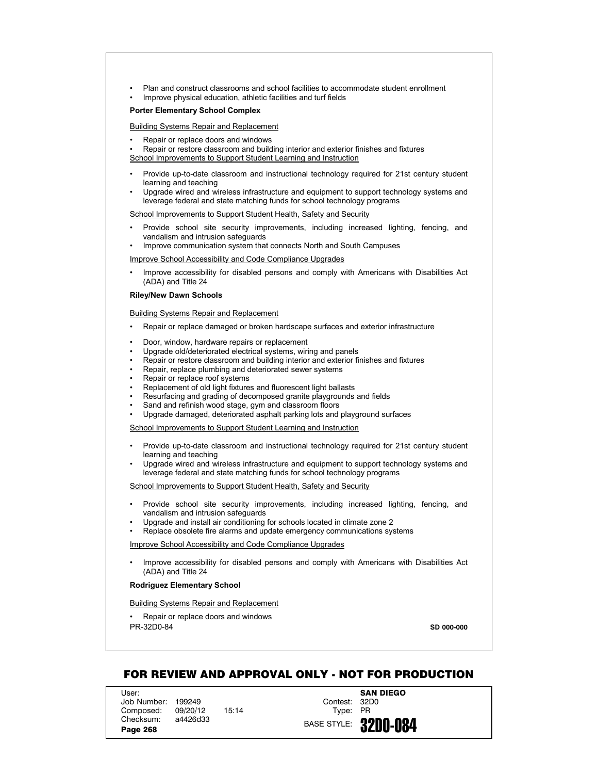- Plan and construct classrooms and school facilities to accommodate student enrollment
- Improve physical education, athletic facilities and turf fields

## **Porter Elementary School Complex**

Building Systems Repair and Replacement

• Repair or replace doors and windows

• Repair or restore classroom and building interior and exterior finishes and fixtures School Improvements to Support Student Learning and Instruction

- Provide up-to-date classroom and instructional technology required for 21st century student learning and teaching
- Upgrade wired and wireless infrastructure and equipment to support technology systems and leverage federal and state matching funds for school technology programs

School Improvements to Support Student Health, Safety and Security

- Provide school site security improvements, including increased lighting, fencing, and vandalism and intrusion safeguards
- Improve communication system that connects North and South Campuses

Improve School Accessibility and Code Compliance Upgrades

• Improve accessibility for disabled persons and comply with Americans with Disabilities Act (ADA) and Title 24

# **Riley/New Dawn Schools**

Building Systems Repair and Replacement

- Repair or replace damaged or broken hardscape surfaces and exterior infrastructure
- Door, window, hardware repairs or replacement
- Upgrade old/deteriorated electrical systems, wiring and panels
- Repair or restore classroom and building interior and exterior finishes and fixtures
- Repair, replace plumbing and deteriorated sewer systems
- Repair or replace roof systems
- Replacement of old light fixtures and fluorescent light ballasts
- Resurfacing and grading of decomposed granite playgrounds and fields
- Sand and refinish wood stage, gym and classroom floors
- Upgrade damaged, deteriorated asphalt parking lots and playground surfaces

School Improvements to Support Student Learning and Instruction

- Provide up-to-date classroom and instructional technology required for 21st century student learning and teaching
- Upgrade wired and wireless infrastructure and equipment to support technology systems and leverage federal and state matching funds for school technology programs

School Improvements to Support Student Health, Safety and Security

- Provide school site security improvements, including increased lighting, fencing, and vandalism and intrusion safeguards
- Upgrade and install air conditioning for schools located in climate zone 2
- Replace obsolete fire alarms and update emergency communications systems

Improve School Accessibility and Code Compliance Upgrades

• Improve accessibility for disabled persons and comply with Americans with Disabilities Act (ADA) and Title 24

### **Rodriguez Elementary School**

Building Systems Repair and Replacement

PR-32D0-84 • Repair or replace doors and windows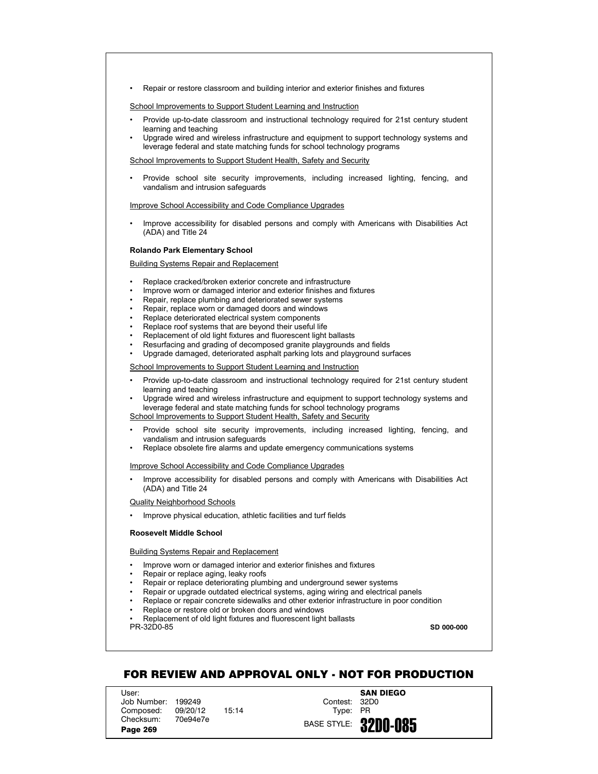• Repair or restore classroom and building interior and exterior finishes and fixtures

School Improvements to Support Student Learning and Instruction

- Provide up-to-date classroom and instructional technology required for 21st century student learning and teaching
- Upgrade wired and wireless infrastructure and equipment to support technology systems and leverage federal and state matching funds for school technology programs

School Improvements to Support Student Health, Safety and Security

• Provide school site security improvements, including increased lighting, fencing, and vandalism and intrusion safeguards

Improve School Accessibility and Code Compliance Upgrades

• Improve accessibility for disabled persons and comply with Americans with Disabilities Act (ADA) and Title 24

### **Rolando Park Elementary School**

## Building Systems Repair and Replacement

- Replace cracked/broken exterior concrete and infrastructure
- Improve worn or damaged interior and exterior finishes and fixtures
- Repair, replace plumbing and deteriorated sewer systems
- Repair, replace worn or damaged doors and windows
- Replace deteriorated electrical system components
- Replace roof systems that are beyond their useful life
- Replacement of old light fixtures and fluorescent light ballasts
- Resurfacing and grading of decomposed granite playgrounds and fields
- Upgrade damaged, deteriorated asphalt parking lots and playground surfaces

School Improvements to Support Student Learning and Instruction

- Provide up-to-date classroom and instructional technology required for 21st century student learning and teaching
- Upgrade wired and wireless infrastructure and equipment to support technology systems and leverage federal and state matching funds for school technology programs School Improvements to Support Student Health, Safety and Security
- Provide school site security improvements, including increased lighting, fencing, and vandalism and intrusion safeguards
- Replace obsolete fire alarms and update emergency communications systems

Improve School Accessibility and Code Compliance Upgrades

• Improve accessibility for disabled persons and comply with Americans with Disabilities Act (ADA) and Title 24

Quality Neighborhood Schools

• Improve physical education, athletic facilities and turf fields

## **Roosevelt Middle School**

## Building Systems Repair and Replacement

- Improve worn or damaged interior and exterior finishes and fixtures
- Repair or replace aging, leaky roofs
- Repair or replace deteriorating plumbing and underground sewer systems
- Repair or upgrade outdated electrical systems, aging wiring and electrical panels
- Replace or repair concrete sidewalks and other exterior infrastructure in poor condition
- Replace or restore old or broken doors and windows
- PR-32D0-85 • Replacement of old light fixtures and fluorescent light ballasts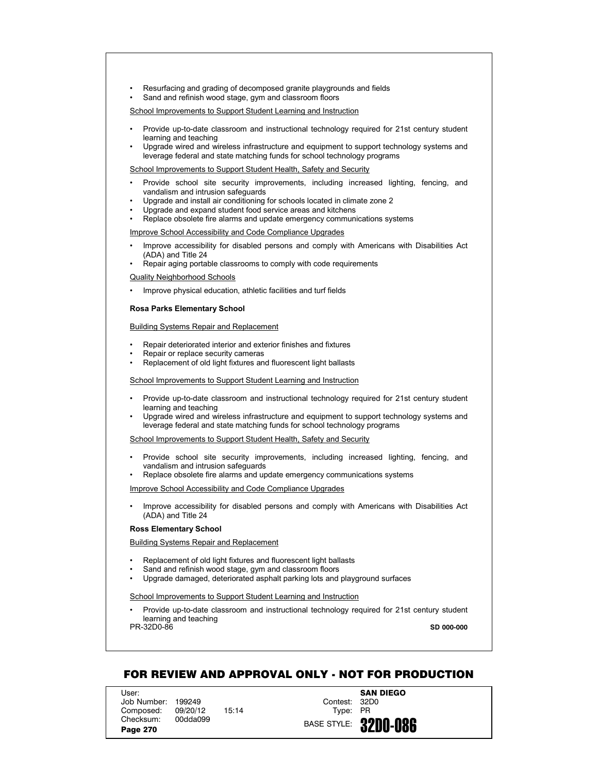- Resurfacing and grading of decomposed granite playgrounds and fields
- Sand and refinish wood stage, gym and classroom floors

- Provide up-to-date classroom and instructional technology required for 21st century student learning and teaching
- Upgrade wired and wireless infrastructure and equipment to support technology systems and leverage federal and state matching funds for school technology programs

School Improvements to Support Student Health, Safety and Security

- Provide school site security improvements, including increased lighting, fencing, and vandalism and intrusion safeguards
- Upgrade and install air conditioning for schools located in climate zone 2
- Upgrade and expand student food service areas and kitchens
- Replace obsolete fire alarms and update emergency communications systems

Improve School Accessibility and Code Compliance Upgrades

- Improve accessibility for disabled persons and comply with Americans with Disabilities Act (ADA) and Title 24
- Repair aging portable classrooms to comply with code requirements

Quality Neighborhood Schools

• Improve physical education, athletic facilities and turf fields

## **Rosa Parks Elementary School**

Building Systems Repair and Replacement

- Repair deteriorated interior and exterior finishes and fixtures
- Repair or replace security cameras
- Replacement of old light fixtures and fluorescent light ballasts

School Improvements to Support Student Learning and Instruction

- Provide up-to-date classroom and instructional technology required for 21st century student learning and teaching
- Upgrade wired and wireless infrastructure and equipment to support technology systems and leverage federal and state matching funds for school technology programs

School Improvements to Support Student Health, Safety and Security

- Provide school site security improvements, including increased lighting, fencing, and vandalism and intrusion safeguards
- Replace obsolete fire alarms and update emergency communications systems

Improve School Accessibility and Code Compliance Upgrades

• Improve accessibility for disabled persons and comply with Americans with Disabilities Act (ADA) and Title 24

#### **Ross Elementary School**

Building Systems Repair and Replacement

- Replacement of old light fixtures and fluorescent light ballasts
- Sand and refinish wood stage, gym and classroom floors
- Upgrade damaged, deteriorated asphalt parking lots and playground surfaces

School Improvements to Support Student Learning and Instruction

• Provide up-to-date classroom and instructional technology required for 21st century student learning and teaching

PR-32D0-86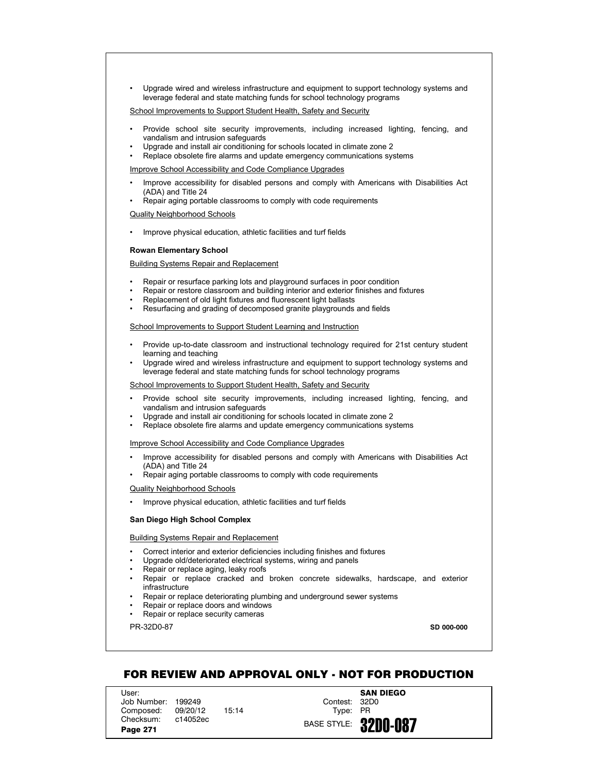• Upgrade wired and wireless infrastructure and equipment to support technology systems and leverage federal and state matching funds for school technology programs

School Improvements to Support Student Health, Safety and Security

- Provide school site security improvements, including increased lighting, fencing, and vandalism and intrusion safeguards
- Upgrade and install air conditioning for schools located in climate zone 2
- Replace obsolete fire alarms and update emergency communications systems

## Improve School Accessibility and Code Compliance Upgrades

- Improve accessibility for disabled persons and comply with Americans with Disabilities Act (ADA) and Title 24
- Repair aging portable classrooms to comply with code requirements

#### Quality Neighborhood Schools

• Improve physical education, athletic facilities and turf fields

#### **Rowan Elementary School**

## Building Systems Repair and Replacement

- Repair or resurface parking lots and playground surfaces in poor condition
- Repair or restore classroom and building interior and exterior finishes and fixtures
- Replacement of old light fixtures and fluorescent light ballasts
- Resurfacing and grading of decomposed granite playgrounds and fields

## School Improvements to Support Student Learning and Instruction

- Provide up-to-date classroom and instructional technology required for 21st century student learning and teaching
- Upgrade wired and wireless infrastructure and equipment to support technology systems and leverage federal and state matching funds for school technology programs

### School Improvements to Support Student Health, Safety and Security

- Provide school site security improvements, including increased lighting, fencing, and vandalism and intrusion safeguards
- Upgrade and install air conditioning for schools located in climate zone 2
- Replace obsolete fire alarms and update emergency communications systems

### Improve School Accessibility and Code Compliance Upgrades

- Improve accessibility for disabled persons and comply with Americans with Disabilities Act (ADA) and Title 24
- Repair aging portable classrooms to comply with code requirements

# Quality Neighborhood Schools

• Improve physical education, athletic facilities and turf fields

#### **San Diego High School Complex**

## Building Systems Repair and Replacement

- Correct interior and exterior deficiencies including finishes and fixtures
- Upgrade old/deteriorated electrical systems, wiring and panels
- Repair or replace aging, leaky roofs
- Repair or replace cracked and broken concrete sidewalks, hardscape, and exterior infrastructure
- Repair or replace deteriorating plumbing and underground sewer systems
- Repair or replace doors and windows
- Repair or replace security cameras

PR-32D0-87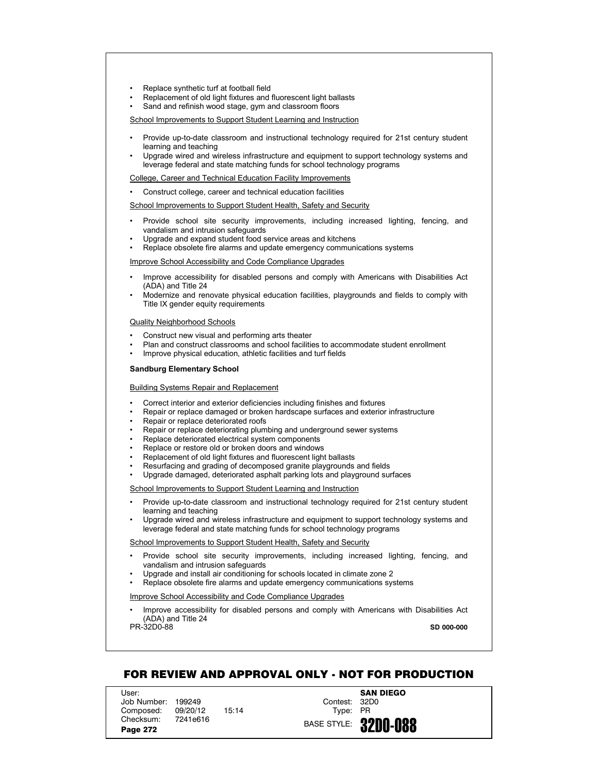- Replace synthetic turf at football field
- Replacement of old light fixtures and fluorescent light ballasts
- Sand and refinish wood stage, gym and classroom floors

- Provide up-to-date classroom and instructional technology required for 21st century student learning and teaching
- Upgrade wired and wireless infrastructure and equipment to support technology systems and leverage federal and state matching funds for school technology programs

College, Career and Technical Education Facility Improvements

• Construct college, career and technical education facilities

School Improvements to Support Student Health, Safety and Security

- Provide school site security improvements, including increased lighting, fencing, and vandalism and intrusion safeguards
- Upgrade and expand student food service areas and kitchens
- Replace obsolete fire alarms and update emergency communications systems

Improve School Accessibility and Code Compliance Upgrades

- Improve accessibility for disabled persons and comply with Americans with Disabilities Act (ADA) and Title 24
- Modernize and renovate physical education facilities, playgrounds and fields to comply with Title IX gender equity requirements

### Quality Neighborhood Schools

- Construct new visual and performing arts theater
- Plan and construct classrooms and school facilities to accommodate student enrollment
- Improve physical education, athletic facilities and turf fields

### **Sandburg Elementary School**

#### Building Systems Repair and Replacement

- Correct interior and exterior deficiencies including finishes and fixtures
- Repair or replace damaged or broken hardscape surfaces and exterior infrastructure
- Repair or replace deteriorated roofs
- Repair or replace deteriorating plumbing and underground sewer systems
- Replace deteriorated electrical system components
- Replace or restore old or broken doors and windows
- Replacement of old light fixtures and fluorescent light ballasts
- Resurfacing and grading of decomposed granite playgrounds and fields
- Upgrade damaged, deteriorated asphalt parking lots and playground surfaces

# School Improvements to Support Student Learning and Instruction

- Provide up-to-date classroom and instructional technology required for 21st century student learning and teaching
- Upgrade wired and wireless infrastructure and equipment to support technology systems and leverage federal and state matching funds for school technology programs

## School Improvements to Support Student Health, Safety and Security

- Provide school site security improvements, including increased lighting, fencing, and vandalism and intrusion safeguards
- Upgrade and install air conditioning for schools located in climate zone 2
- Replace obsolete fire alarms and update emergency communications systems

## Improve School Accessibility and Code Compliance Upgrades

• Improve accessibility for disabled persons and comply with Americans with Disabilities Act (ADA) and Title 24 **SD 000-000**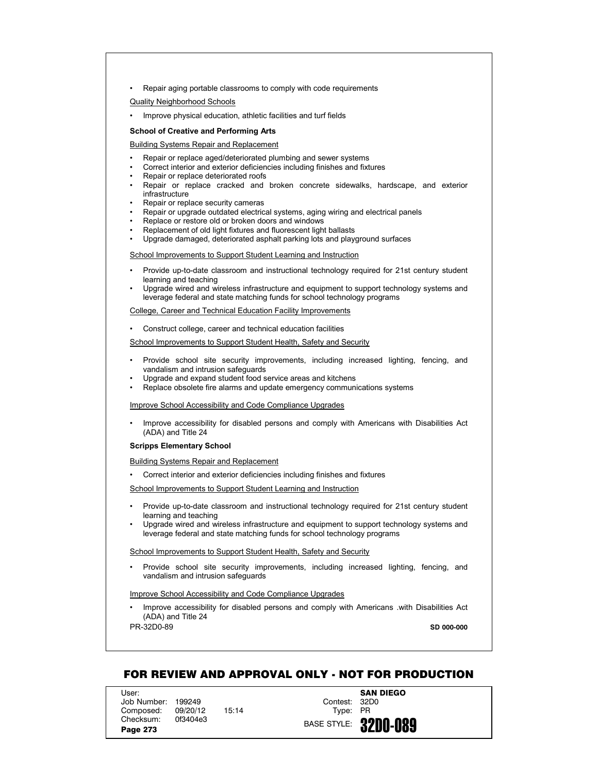• Repair aging portable classrooms to comply with code requirements

Quality Neighborhood Schools

• Improve physical education, athletic facilities and turf fields

## **School of Creative and Performing Arts**

Building Systems Repair and Replacement

- Repair or replace aged/deteriorated plumbing and sewer systems
- Correct interior and exterior deficiencies including finishes and fixtures
- Repair or replace deteriorated roofs
- Repair or replace cracked and broken concrete sidewalks, hardscape, and exterior infrastructure
- Repair or replace security cameras
- Repair or upgrade outdated electrical systems, aging wiring and electrical panels
- Replace or restore old or broken doors and windows
- Replacement of old light fixtures and fluorescent light ballasts
- Upgrade damaged, deteriorated asphalt parking lots and playground surfaces

School Improvements to Support Student Learning and Instruction

- Provide up-to-date classroom and instructional technology required for 21st century student learning and teaching
- Upgrade wired and wireless infrastructure and equipment to support technology systems and leverage federal and state matching funds for school technology programs

### College, Career and Technical Education Facility Improvements

• Construct college, career and technical education facilities

School Improvements to Support Student Health, Safety and Security

- Provide school site security improvements, including increased lighting, fencing, and vandalism and intrusion safeguards
- Upgrade and expand student food service areas and kitchens
- Replace obsolete fire alarms and update emergency communications systems

Improve School Accessibility and Code Compliance Upgrades

• Improve accessibility for disabled persons and comply with Americans with Disabilities Act (ADA) and Title 24

### **Scripps Elementary School**

Building Systems Repair and Replacement

• Correct interior and exterior deficiencies including finishes and fixtures

School Improvements to Support Student Learning and Instruction

- Provide up-to-date classroom and instructional technology required for 21st century student learning and teaching
- Upgrade wired and wireless infrastructure and equipment to support technology systems and leverage federal and state matching funds for school technology programs

### School Improvements to Support Student Health, Safety and Security

• Provide school site security improvements, including increased lighting, fencing, and vandalism and intrusion safeguards

## Improve School Accessibility and Code Compliance Upgrades

• Improve accessibility for disabled persons and comply with Americans .with Disabilities Act (ADA) and Title 24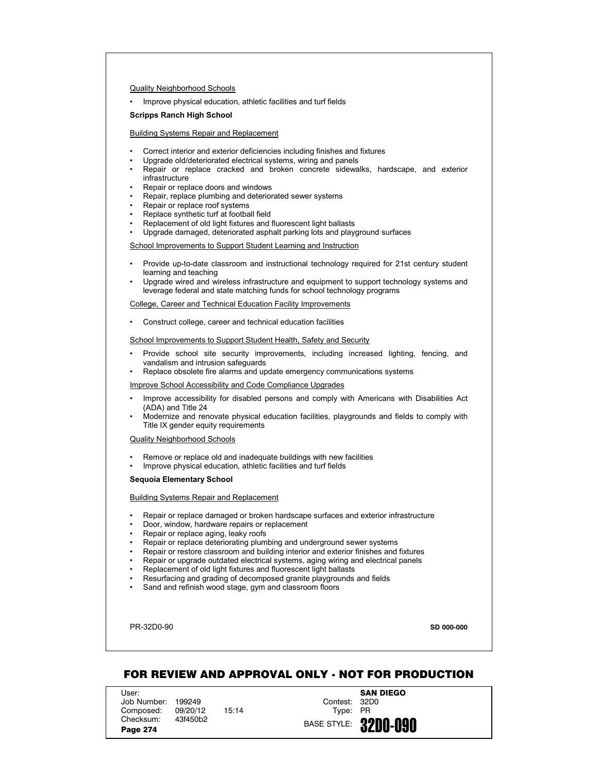### Quality Neighborhood Schools

• Improve physical education, athletic facilities and turf fields

### **Scripps Ranch High School**

# Building Systems Repair and Replacement

- Correct interior and exterior deficiencies including finishes and fixtures
- Upgrade old/deteriorated electrical systems, wiring and panels
- Repair or replace cracked and broken concrete sidewalks, hardscape, and exterior infrastructure
- Repair or replace doors and windows
- Repair, replace plumbing and deteriorated sewer systems
- Repair or replace roof systems
- Replace synthetic turf at football field
- Replacement of old light fixtures and fluorescent light ballasts
- Upgrade damaged, deteriorated asphalt parking lots and playground surfaces

School Improvements to Support Student Learning and Instruction

- Provide up-to-date classroom and instructional technology required for 21st century student learning and teaching
- Upgrade wired and wireless infrastructure and equipment to support technology systems and leverage federal and state matching funds for school technology programs

College, Career and Technical Education Facility Improvements

• Construct college, career and technical education facilities

School Improvements to Support Student Health, Safety and Security

- Provide school site security improvements, including increased lighting, fencing, and vandalism and intrusion safeguards
- Replace obsolete fire alarms and update emergency communications systems

Improve School Accessibility and Code Compliance Upgrades

- Improve accessibility for disabled persons and comply with Americans with Disabilities Act (ADA) and Title 24
- Modernize and renovate physical education facilities, playgrounds and fields to comply with Title IX gender equity requirements

Quality Neighborhood Schools

- Remove or replace old and inadequate buildings with new facilities
- Improve physical education, athletic facilities and turf fields

## **Sequoia Elementary School**

# Building Systems Repair and Replacement

- Repair or replace damaged or broken hardscape surfaces and exterior infrastructure
- Door, window, hardware repairs or replacement
- Repair or replace aging, leaky roofs
- Repair or replace deteriorating plumbing and underground sewer systems
- Repair or restore classroom and building interior and exterior finishes and fixtures
- Repair or upgrade outdated electrical systems, aging wiring and electrical panels
- Replacement of old light fixtures and fluorescent light ballasts
- Resurfacing and grading of decomposed granite playgrounds and fields
- Sand and refinish wood stage, gym and classroom floors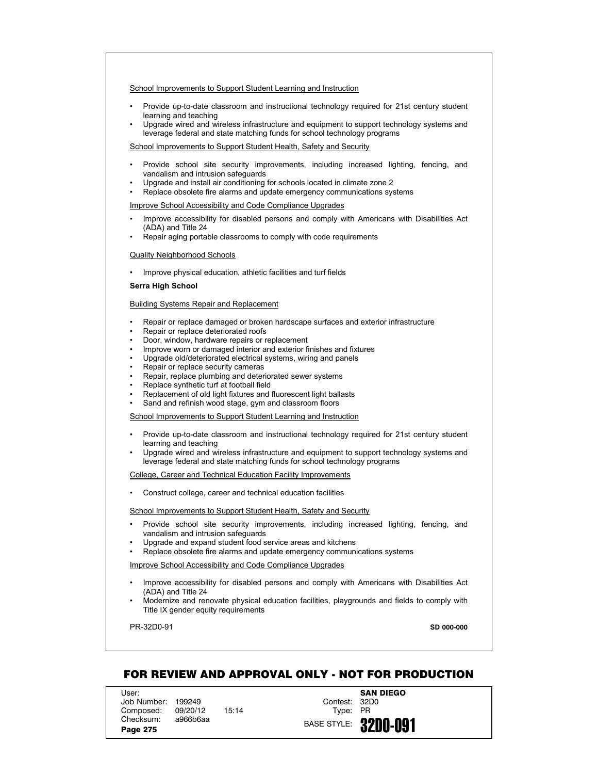- Provide up-to-date classroom and instructional technology required for 21st century student learning and teaching
- Upgrade wired and wireless infrastructure and equipment to support technology systems and leverage federal and state matching funds for school technology programs

School Improvements to Support Student Health, Safety and Security

- Provide school site security improvements, including increased lighting, fencing, and vandalism and intrusion safeguards
- Upgrade and install air conditioning for schools located in climate zone 2
- Replace obsolete fire alarms and update emergency communications systems

Improve School Accessibility and Code Compliance Upgrades

- Improve accessibility for disabled persons and comply with Americans with Disabilities Act (ADA) and Title 24
- Repair aging portable classrooms to comply with code requirements

## Quality Neighborhood Schools

• Improve physical education, athletic facilities and turf fields

## **Serra High School**

## Building Systems Repair and Replacement

- Repair or replace damaged or broken hardscape surfaces and exterior infrastructure
- Repair or replace deteriorated roofs
- Door, window, hardware repairs or replacement
- Improve worn or damaged interior and exterior finishes and fixtures
- Upgrade old/deteriorated electrical systems, wiring and panels
- Repair or replace security cameras
- Repair, replace plumbing and deteriorated sewer systems
- Replace synthetic turf at football field
- Replacement of old light fixtures and fluorescent light ballasts
- Sand and refinish wood stage, gym and classroom floors

#### School Improvements to Support Student Learning and Instruction

- Provide up-to-date classroom and instructional technology required for 21st century student learning and teaching
- Upgrade wired and wireless infrastructure and equipment to support technology systems and leverage federal and state matching funds for school technology programs

#### College, Career and Technical Education Facility Improvements

• Construct college, career and technical education facilities

### School Improvements to Support Student Health, Safety and Security

- Provide school site security improvements, including increased lighting, fencing, and vandalism and intrusion safeguards
- Upgrade and expand student food service areas and kitchens
- Replace obsolete fire alarms and update emergency communications systems

### Improve School Accessibility and Code Compliance Upgrades

- Improve accessibility for disabled persons and comply with Americans with Disabilities Act (ADA) and Title 24
- Modernize and renovate physical education facilities, playgrounds and fields to comply with Title IX gender equity requirements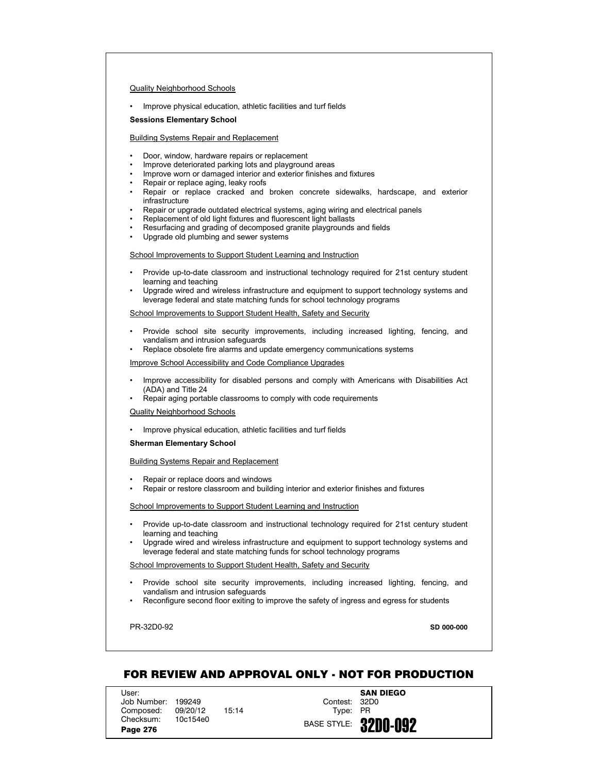## Quality Neighborhood Schools

• Improve physical education, athletic facilities and turf fields

### **Sessions Elementary School**

## Building Systems Repair and Replacement

- Door, window, hardware repairs or replacement
- Improve deteriorated parking lots and playground areas
- Improve worn or damaged interior and exterior finishes and fixtures
- Repair or replace aging, leaky roofs
- Repair or replace cracked and broken concrete sidewalks, hardscape, and exterior infrastructure
- Repair or upgrade outdated electrical systems, aging wiring and electrical panels
- Replacement of old light fixtures and fluorescent light ballasts
- Resurfacing and grading of decomposed granite playgrounds and fields
- Upgrade old plumbing and sewer systems

### School Improvements to Support Student Learning and Instruction

- Provide up-to-date classroom and instructional technology required for 21st century student learning and teaching
- Upgrade wired and wireless infrastructure and equipment to support technology systems and leverage federal and state matching funds for school technology programs

### School Improvements to Support Student Health, Safety and Security

- Provide school site security improvements, including increased lighting, fencing, and vandalism and intrusion safeguards
- Replace obsolete fire alarms and update emergency communications systems

## Improve School Accessibility and Code Compliance Upgrades

- Improve accessibility for disabled persons and comply with Americans with Disabilities Act (ADA) and Title 24
- Repair aging portable classrooms to comply with code requirements

### Quality Neighborhood Schools

• Improve physical education, athletic facilities and turf fields

#### **Sherman Elementary School**

### Building Systems Repair and Replacement

- Repair or replace doors and windows
- Repair or restore classroom and building interior and exterior finishes and fixtures

#### School Improvements to Support Student Learning and Instruction

- Provide up-to-date classroom and instructional technology required for 21st century student learning and teaching
- Upgrade wired and wireless infrastructure and equipment to support technology systems and leverage federal and state matching funds for school technology programs

### School Improvements to Support Student Health, Safety and Security

- Provide school site security improvements, including increased lighting, fencing, and vandalism and intrusion safeguards
- Reconfigure second floor exiting to improve the safety of ingress and egress for students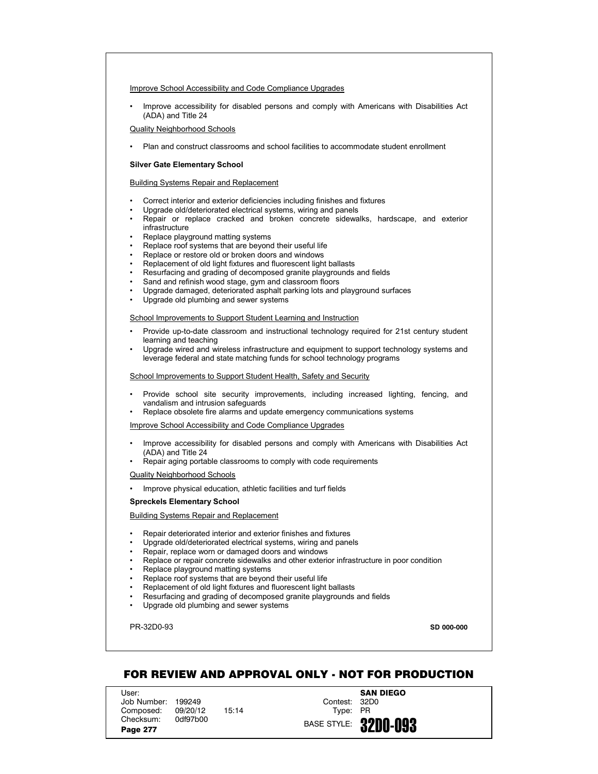Improve School Accessibility and Code Compliance Upgrades

• Improve accessibility for disabled persons and comply with Americans with Disabilities Act (ADA) and Title 24

Quality Neighborhood Schools

• Plan and construct classrooms and school facilities to accommodate student enrollment

## **Silver Gate Elementary School**

## Building Systems Repair and Replacement

- Correct interior and exterior deficiencies including finishes and fixtures
- Upgrade old/deteriorated electrical systems, wiring and panels
- Repair or replace cracked and broken concrete sidewalks, hardscape, and exterior infrastructure
- Replace playground matting systems
- Replace roof systems that are beyond their useful life
- Replace or restore old or broken doors and windows
- Replacement of old light fixtures and fluorescent light ballasts
- Resurfacing and grading of decomposed granite playgrounds and fields
- Sand and refinish wood stage, gym and classroom floors
- Upgrade damaged, deteriorated asphalt parking lots and playground surfaces
- Upgrade old plumbing and sewer systems

### School Improvements to Support Student Learning and Instruction

- Provide up-to-date classroom and instructional technology required for 21st century student learning and teaching
- Upgrade wired and wireless infrastructure and equipment to support technology systems and leverage federal and state matching funds for school technology programs

School Improvements to Support Student Health, Safety and Security

- Provide school site security improvements, including increased lighting, fencing, and vandalism and intrusion safeguards
- Replace obsolete fire alarms and update emergency communications systems

Improve School Accessibility and Code Compliance Upgrades

- Improve accessibility for disabled persons and comply with Americans with Disabilities Act (ADA) and Title 24
- Repair aging portable classrooms to comply with code requirements

Quality Neighborhood Schools

• Improve physical education, athletic facilities and turf fields

### **Spreckels Elementary School**

#### Building Systems Repair and Replacement

- Repair deteriorated interior and exterior finishes and fixtures
- Upgrade old/deteriorated electrical systems, wiring and panels
- Repair, replace worn or damaged doors and windows
- Replace or repair concrete sidewalks and other exterior infrastructure in poor condition
- Replace playground matting systems
- Replace roof systems that are beyond their useful life
- Replacement of old light fixtures and fluorescent light ballasts
- Resurfacing and grading of decomposed granite playgrounds and fields
- Upgrade old plumbing and sewer systems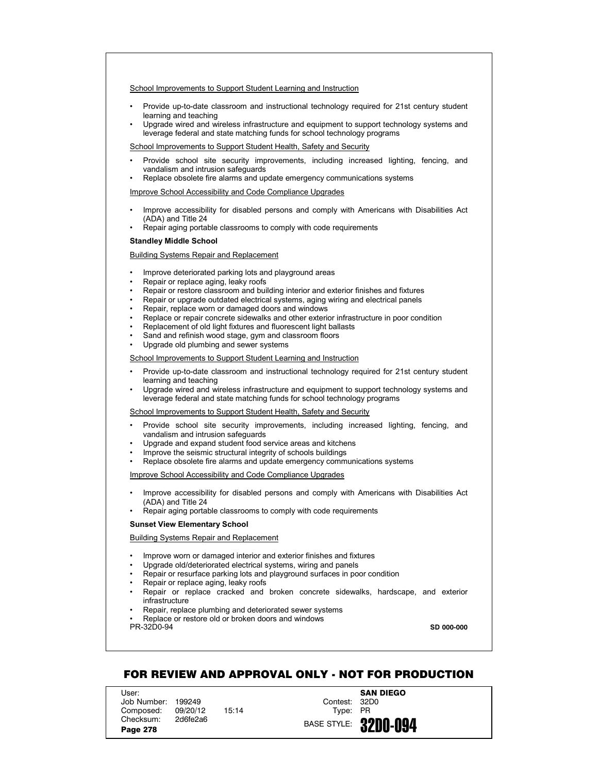- Provide up-to-date classroom and instructional technology required for 21st century student learning and teaching
- Upgrade wired and wireless infrastructure and equipment to support technology systems and leverage federal and state matching funds for school technology programs

School Improvements to Support Student Health, Safety and Security

- Provide school site security improvements, including increased lighting, fencing, and vandalism and intrusion safeguards
- Replace obsolete fire alarms and update emergency communications systems

Improve School Accessibility and Code Compliance Upgrades

- Improve accessibility for disabled persons and comply with Americans with Disabilities Act (ADA) and Title 24
- Repair aging portable classrooms to comply with code requirements

### **Standley Middle School**

## Building Systems Repair and Replacement

- Improve deteriorated parking lots and playground areas
- Repair or replace aging, leaky roofs
- Repair or restore classroom and building interior and exterior finishes and fixtures
- Repair or upgrade outdated electrical systems, aging wiring and electrical panels
- Repair, replace worn or damaged doors and windows
- Replace or repair concrete sidewalks and other exterior infrastructure in poor condition
- Replacement of old light fixtures and fluorescent light ballasts
- Sand and refinish wood stage, gym and classroom floors
- Upgrade old plumbing and sewer systems

# School Improvements to Support Student Learning and Instruction

- Provide up-to-date classroom and instructional technology required for 21st century student learning and teaching
- Upgrade wired and wireless infrastructure and equipment to support technology systems and leverage federal and state matching funds for school technology programs

# School Improvements to Support Student Health, Safety and Security

- Provide school site security improvements, including increased lighting, fencing, and vandalism and intrusion safeguards
- Upgrade and expand student food service areas and kitchens
- Improve the seismic structural integrity of schools buildings
- Replace obsolete fire alarms and update emergency communications systems

## Improve School Accessibility and Code Compliance Upgrades

- Improve accessibility for disabled persons and comply with Americans with Disabilities Act (ADA) and Title 24
- Repair aging portable classrooms to comply with code requirements

#### **Sunset View Elementary School**

## Building Systems Repair and Replacement

- Improve worn or damaged interior and exterior finishes and fixtures
- Upgrade old/deteriorated electrical systems, wiring and panels
- Repair or resurface parking lots and playground surfaces in poor condition
- Repair or replace aging, leaky roofs
- Repair or replace cracked and broken concrete sidewalks, hardscape, and exterior infrastructure
- Repair, replace plumbing and deteriorated sewer systems
- Replace or restore old or broken doors and windows
- PR-32D0-94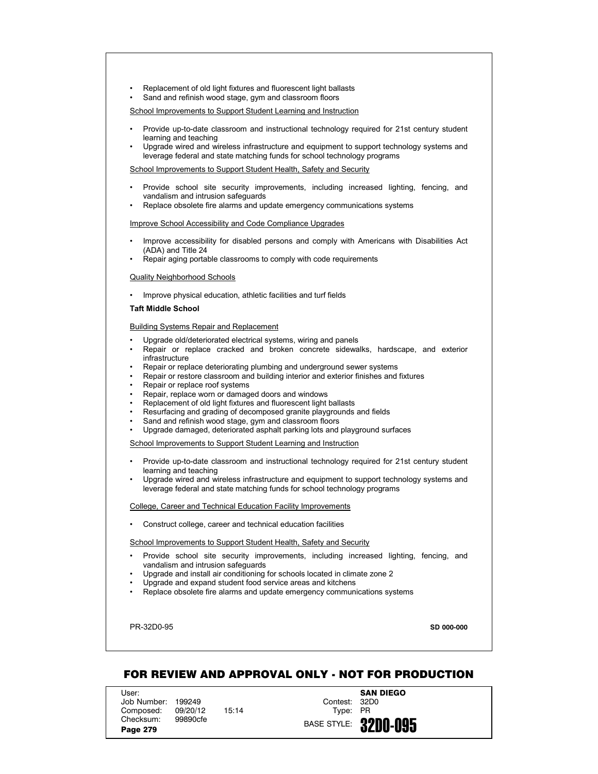- Replacement of old light fixtures and fluorescent light ballasts
- Sand and refinish wood stage, gym and classroom floors

- Provide up-to-date classroom and instructional technology required for 21st century student learning and teaching
- Upgrade wired and wireless infrastructure and equipment to support technology systems and leverage federal and state matching funds for school technology programs

School Improvements to Support Student Health, Safety and Security

- Provide school site security improvements, including increased lighting, fencing, and vandalism and intrusion safeguards
- Replace obsolete fire alarms and update emergency communications systems

Improve School Accessibility and Code Compliance Upgrades

- Improve accessibility for disabled persons and comply with Americans with Disabilities Act (ADA) and Title 24
- Repair aging portable classrooms to comply with code requirements

Quality Neighborhood Schools

• Improve physical education, athletic facilities and turf fields

### **Taft Middle School**

Building Systems Repair and Replacement

- Upgrade old/deteriorated electrical systems, wiring and panels
- Repair or replace cracked and broken concrete sidewalks, hardscape, and exterior infrastructure
- Repair or replace deteriorating plumbing and underground sewer systems
- Repair or restore classroom and building interior and exterior finishes and fixtures
- Repair or replace roof systems
- Repair, replace worn or damaged doors and windows
- Replacement of old light fixtures and fluorescent light ballasts
- Resurfacing and grading of decomposed granite playgrounds and fields
- Sand and refinish wood stage, gym and classroom floors
- Upgrade damaged, deteriorated asphalt parking lots and playground surfaces

School Improvements to Support Student Learning and Instruction

- Provide up-to-date classroom and instructional technology required for 21st century student learning and teaching
- Upgrade wired and wireless infrastructure and equipment to support technology systems and leverage federal and state matching funds for school technology programs

College, Career and Technical Education Facility Improvements

• Construct college, career and technical education facilities

School Improvements to Support Student Health, Safety and Security

- Provide school site security improvements, including increased lighting, fencing, and vandalism and intrusion safeguards
- Upgrade and install air conditioning for schools located in climate zone 2
- Upgrade and expand student food service areas and kitchens
- Replace obsolete fire alarms and update emergency communications systems

PR-32D0-95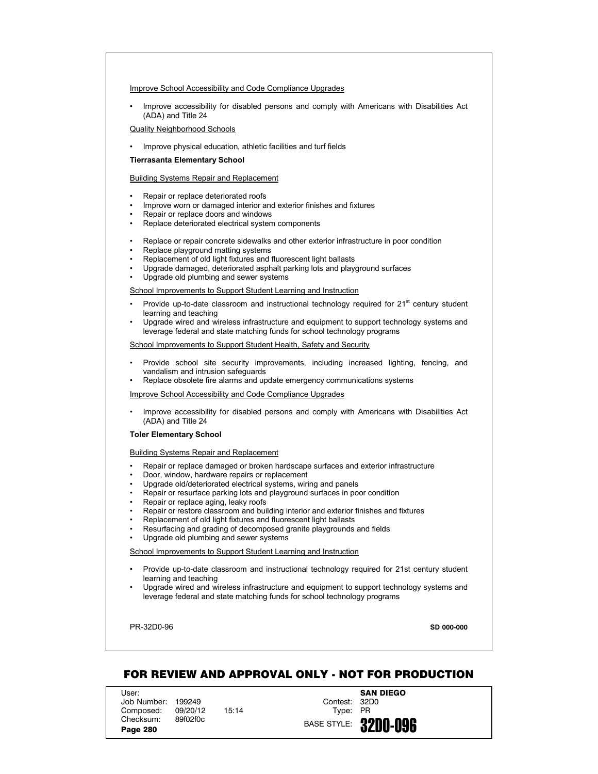### Improve School Accessibility and Code Compliance Upgrades

• Improve accessibility for disabled persons and comply with Americans with Disabilities Act (ADA) and Title 24

## Quality Neighborhood Schools

• Improve physical education, athletic facilities and turf fields

## **Tierrasanta Elementary School**

## Building Systems Repair and Replacement

- Repair or replace deteriorated roofs
- Improve worn or damaged interior and exterior finishes and fixtures
- Repair or replace doors and windows
- Replace deteriorated electrical system components
- Replace or repair concrete sidewalks and other exterior infrastructure in poor condition
- Replace playground matting systems
- Replacement of old light fixtures and fluorescent light ballasts
- Upgrade damaged, deteriorated asphalt parking lots and playground surfaces
- Upgrade old plumbing and sewer systems

School Improvements to Support Student Learning and Instruction

- Provide up-to-date classroom and instructional technology required for  $21<sup>st</sup>$  century student learning and teaching
- Upgrade wired and wireless infrastructure and equipment to support technology systems and leverage federal and state matching funds for school technology programs

School Improvements to Support Student Health, Safety and Security

- Provide school site security improvements, including increased lighting, fencing, and vandalism and intrusion safeguards
- Replace obsolete fire alarms and update emergency communications systems

Improve School Accessibility and Code Compliance Upgrades

• Improve accessibility for disabled persons and comply with Americans with Disabilities Act (ADA) and Title 24

#### **Toler Elementary School**

Building Systems Repair and Replacement

- Repair or replace damaged or broken hardscape surfaces and exterior infrastructure
- Door, window, hardware repairs or replacement
- Upgrade old/deteriorated electrical systems, wiring and panels
- Repair or resurface parking lots and playground surfaces in poor condition
- Repair or replace aging, leaky roofs
- Repair or restore classroom and building interior and exterior finishes and fixtures
- Replacement of old light fixtures and fluorescent light ballasts
- Resurfacing and grading of decomposed granite playgrounds and fields
- Upgrade old plumbing and sewer systems

School Improvements to Support Student Learning and Instruction

- Provide up-to-date classroom and instructional technology required for 21st century student learning and teaching
- Upgrade wired and wireless infrastructure and equipment to support technology systems and leverage federal and state matching funds for school technology programs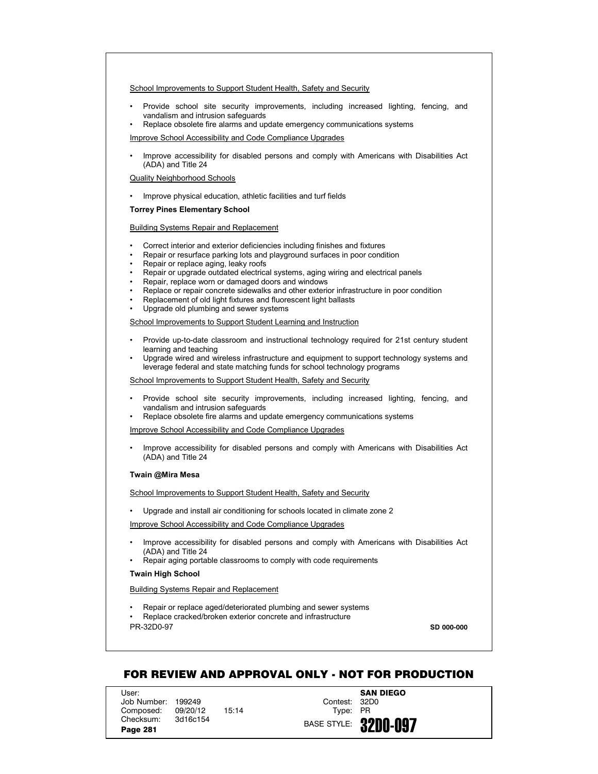School Improvements to Support Student Health, Safety and Security

- Provide school site security improvements, including increased lighting, fencing, and vandalism and intrusion safeguards
- Replace obsolete fire alarms and update emergency communications systems

Improve School Accessibility and Code Compliance Upgrades

• Improve accessibility for disabled persons and comply with Americans with Disabilities Act (ADA) and Title 24

Quality Neighborhood Schools

• Improve physical education, athletic facilities and turf fields

## **Torrey Pines Elementary School**

## Building Systems Repair and Replacement

- Correct interior and exterior deficiencies including finishes and fixtures
- Repair or resurface parking lots and playground surfaces in poor condition
- Repair or replace aging, leaky roofs
- Repair or upgrade outdated electrical systems, aging wiring and electrical panels
- Repair, replace worn or damaged doors and windows
- Replace or repair concrete sidewalks and other exterior infrastructure in poor condition
- Replacement of old light fixtures and fluorescent light ballasts
- Upgrade old plumbing and sewer systems

## School Improvements to Support Student Learning and Instruction

- Provide up-to-date classroom and instructional technology required for 21st century student learning and teaching
- Upgrade wired and wireless infrastructure and equipment to support technology systems and leverage federal and state matching funds for school technology programs

School Improvements to Support Student Health, Safety and Security

- Provide school site security improvements, including increased lighting, fencing, and vandalism and intrusion safeguards
- Replace obsolete fire alarms and update emergency communications systems

Improve School Accessibility and Code Compliance Upgrades

• Improve accessibility for disabled persons and comply with Americans with Disabilities Act (ADA) and Title 24

## **Twain @Mira Mesa**

School Improvements to Support Student Health, Safety and Security

• Upgrade and install air conditioning for schools located in climate zone 2

Improve School Accessibility and Code Compliance Upgrades

- Improve accessibility for disabled persons and comply with Americans with Disabilities Act (ADA) and Title 24
- Repair aging portable classrooms to comply with code requirements

## **Twain High School**

## Building Systems Repair and Replacement

- Repair or replace aged/deteriorated plumbing and sewer systems
- PR-32D0-97 • Replace cracked/broken exterior concrete and infrastructure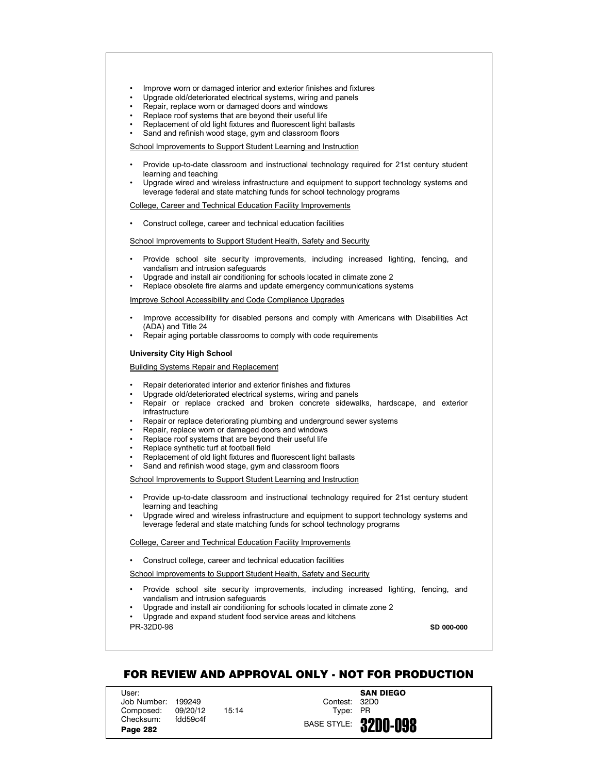- Improve worn or damaged interior and exterior finishes and fixtures
- Upgrade old/deteriorated electrical systems, wiring and panels
- Repair, replace worn or damaged doors and windows
- Replace roof systems that are beyond their useful life
- Replacement of old light fixtures and fluorescent light ballasts
- Sand and refinish wood stage, gym and classroom floors

- Provide up-to-date classroom and instructional technology required for 21st century student learning and teaching
- Upgrade wired and wireless infrastructure and equipment to support technology systems and leverage federal and state matching funds for school technology programs

College, Career and Technical Education Facility Improvements

• Construct college, career and technical education facilities

### School Improvements to Support Student Health, Safety and Security

- Provide school site security improvements, including increased lighting, fencing, and vandalism and intrusion safeguards
- Upgrade and install air conditioning for schools located in climate zone 2
- Replace obsolete fire alarms and update emergency communications systems

Improve School Accessibility and Code Compliance Upgrades

- Improve accessibility for disabled persons and comply with Americans with Disabilities Act (ADA) and Title 24
- Repair aging portable classrooms to comply with code requirements

## **University City High School**

Building Systems Repair and Replacement

- Repair deteriorated interior and exterior finishes and fixtures
- Upgrade old/deteriorated electrical systems, wiring and panels
- Repair or replace cracked and broken concrete sidewalks, hardscape, and exterior infrastructure
- Repair or replace deteriorating plumbing and underground sewer systems
- Repair, replace worn or damaged doors and windows
- Replace roof systems that are beyond their useful life
- Replace synthetic turf at football field
- Replacement of old light fixtures and fluorescent light ballasts
- Sand and refinish wood stage, gym and classroom floors

School Improvements to Support Student Learning and Instruction

- Provide up-to-date classroom and instructional technology required for 21st century student learning and teaching
- Upgrade wired and wireless infrastructure and equipment to support technology systems and leverage federal and state matching funds for school technology programs

### College, Career and Technical Education Facility Improvements

• Construct college, career and technical education facilities

School Improvements to Support Student Health, Safety and Security

- Provide school site security improvements, including increased lighting, fencing, and vandalism and intrusion safeguards
- Upgrade and install air conditioning for schools located in climate zone 2

PR-32D0-98 • Upgrade and expand student food service areas and kitchens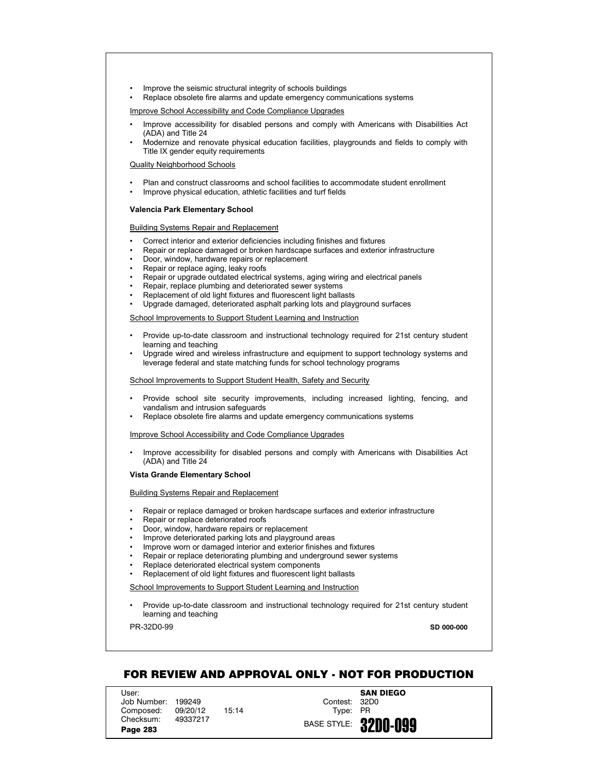- Improve the seismic structural integrity of schools buildings
- Replace obsolete fire alarms and update emergency communications systems

Improve School Accessibility and Code Compliance Upgrades

- Improve accessibility for disabled persons and comply with Americans with Disabilities Act (ADA) and Title 24
- Modernize and renovate physical education facilities, playgrounds and fields to comply with Title IX gender equity requirements

## Quality Neighborhood Schools

- Plan and construct classrooms and school facilities to accommodate student enrollment
- Improve physical education, athletic facilities and turf fields

### **Valencia Park Elementary School**

## Building Systems Repair and Replacement

- Correct interior and exterior deficiencies including finishes and fixtures
- Repair or replace damaged or broken hardscape surfaces and exterior infrastructure
- Door, window, hardware repairs or replacement
- Repair or replace aging, leaky roofs
- Repair or upgrade outdated electrical systems, aging wiring and electrical panels
- Repair, replace plumbing and deteriorated sewer systems
- Replacement of old light fixtures and fluorescent light ballasts
- Upgrade damaged, deteriorated asphalt parking lots and playground surfaces

## School Improvements to Support Student Learning and Instruction

- Provide up-to-date classroom and instructional technology required for 21st century student learning and teaching
- Upgrade wired and wireless infrastructure and equipment to support technology systems and leverage federal and state matching funds for school technology programs

#### School Improvements to Support Student Health, Safety and Security

- Provide school site security improvements, including increased lighting, fencing, and vandalism and intrusion safeguards
- Replace obsolete fire alarms and update emergency communications systems

#### Improve School Accessibility and Code Compliance Upgrades

• Improve accessibility for disabled persons and comply with Americans with Disabilities Act (ADA) and Title 24

### **Vista Grande Elementary School**

## Building Systems Repair and Replacement

- Repair or replace damaged or broken hardscape surfaces and exterior infrastructure
- Repair or replace deteriorated roofs
- Door, window, hardware repairs or replacement
- Improve deteriorated parking lots and playground areas
- Improve worn or damaged interior and exterior finishes and fixtures
- Repair or replace deteriorating plumbing and underground sewer systems
- Replace deteriorated electrical system components
- Replacement of old light fixtures and fluorescent light ballasts

## School Improvements to Support Student Learning and Instruction

• Provide up-to-date classroom and instructional technology required for 21st century student learning and teaching

PR-32D0-99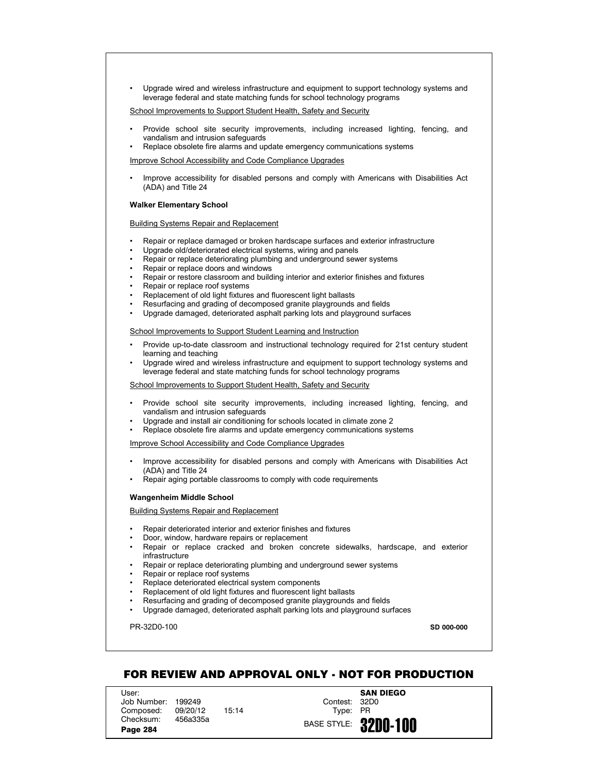• Upgrade wired and wireless infrastructure and equipment to support technology systems and leverage federal and state matching funds for school technology programs

School Improvements to Support Student Health, Safety and Security

- Provide school site security improvements, including increased lighting, fencing, and vandalism and intrusion safeguards
- Replace obsolete fire alarms and update emergency communications systems

Improve School Accessibility and Code Compliance Upgrades

• Improve accessibility for disabled persons and comply with Americans with Disabilities Act (ADA) and Title 24

#### **Walker Elementary School**

Building Systems Repair and Replacement

- Repair or replace damaged or broken hardscape surfaces and exterior infrastructure
- Upgrade old/deteriorated electrical systems, wiring and panels
- Repair or replace deteriorating plumbing and underground sewer systems
- Repair or replace doors and windows
- Repair or restore classroom and building interior and exterior finishes and fixtures
- Repair or replace roof systems
- Replacement of old light fixtures and fluorescent light ballasts
- Resurfacing and grading of decomposed granite playgrounds and fields
- Upgrade damaged, deteriorated asphalt parking lots and playground surfaces

School Improvements to Support Student Learning and Instruction

- Provide up-to-date classroom and instructional technology required for 21st century student learning and teaching
- Upgrade wired and wireless infrastructure and equipment to support technology systems and leverage federal and state matching funds for school technology programs

School Improvements to Support Student Health, Safety and Security

- Provide school site security improvements, including increased lighting, fencing, and vandalism and intrusion safeguards
- Upgrade and install air conditioning for schools located in climate zone 2
- Replace obsolete fire alarms and update emergency communications systems

Improve School Accessibility and Code Compliance Upgrades

- Improve accessibility for disabled persons and comply with Americans with Disabilities Act (ADA) and Title 24
- Repair aging portable classrooms to comply with code requirements

#### **Wangenheim Middle School**

Building Systems Repair and Replacement

- Repair deteriorated interior and exterior finishes and fixtures
- Door, window, hardware repairs or replacement
- Repair or replace cracked and broken concrete sidewalks, hardscape, and exterior infrastructure
- Repair or replace deteriorating plumbing and underground sewer systems
- Repair or replace roof systems
- Replace deteriorated electrical system components
- Replacement of old light fixtures and fluorescent light ballasts
- Resurfacing and grading of decomposed granite playgrounds and fields
- Upgrade damaged, deteriorated asphalt parking lots and playground surfaces

PR-32D0-100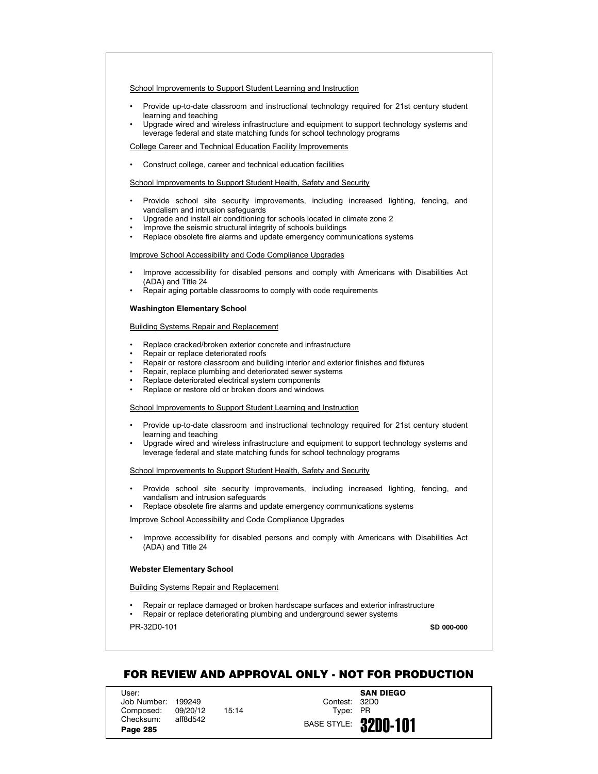- Provide up-to-date classroom and instructional technology required for 21st century student learning and teaching
- Upgrade wired and wireless infrastructure and equipment to support technology systems and leverage federal and state matching funds for school technology programs

College Career and Technical Education Facility Improvements

• Construct college, career and technical education facilities

School Improvements to Support Student Health, Safety and Security

- Provide school site security improvements, including increased lighting, fencing, and vandalism and intrusion safeguards
- Upgrade and install air conditioning for schools located in climate zone 2
- Improve the seismic structural integrity of schools buildings
- Replace obsolete fire alarms and update emergency communications systems

Improve School Accessibility and Code Compliance Upgrades

- Improve accessibility for disabled persons and comply with Americans with Disabilities Act (ADA) and Title 24
- Repair aging portable classrooms to comply with code requirements

### **Washington Elementary Schoo**l

Building Systems Repair and Replacement

- Replace cracked/broken exterior concrete and infrastructure
- Repair or replace deteriorated roofs
- Repair or restore classroom and building interior and exterior finishes and fixtures
- Repair, replace plumbing and deteriorated sewer systems
- Replace deteriorated electrical system components
- Replace or restore old or broken doors and windows

School Improvements to Support Student Learning and Instruction

- Provide up-to-date classroom and instructional technology required for 21st century student learning and teaching
- Upgrade wired and wireless infrastructure and equipment to support technology systems and leverage federal and state matching funds for school technology programs

School Improvements to Support Student Health, Safety and Security

- Provide school site security improvements, including increased lighting, fencing, and vandalism and intrusion safeguards
- Replace obsolete fire alarms and update emergency communications systems

Improve School Accessibility and Code Compliance Upgrades

• Improve accessibility for disabled persons and comply with Americans with Disabilities Act (ADA) and Title 24

## **Webster Elementary School**

Building Systems Repair and Replacement

- Repair or replace damaged or broken hardscape surfaces and exterior infrastructure
- Repair or replace deteriorating plumbing and underground sewer systems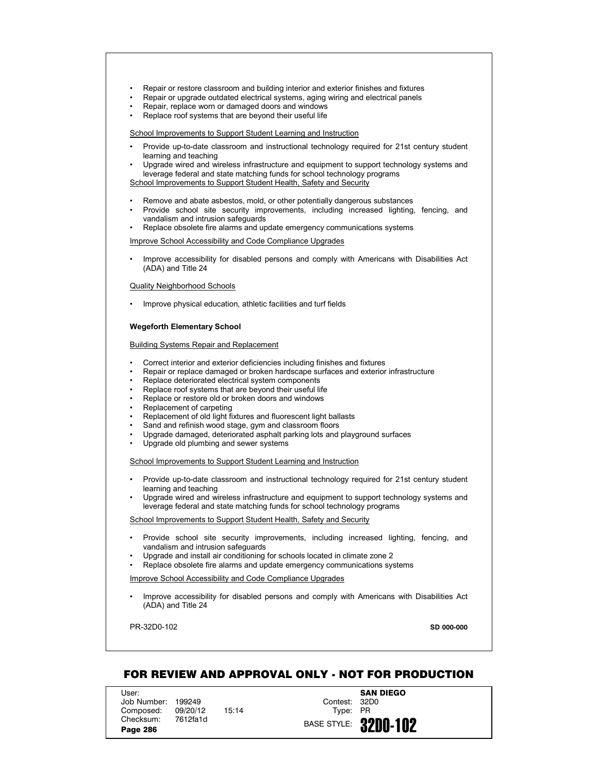- Repair or restore classroom and building interior and exterior finishes and fixtures
- Repair or upgrade outdated electrical systems, aging wiring and electrical panels
- Repair, replace worn or damaged doors and windows
- Replace roof systems that are beyond their useful life

- Provide up-to-date classroom and instructional technology required for 21st century student learning and teaching
- Upgrade wired and wireless infrastructure and equipment to support technology systems and leverage federal and state matching funds for school technology programs School Improvements to Support Student Health, Safety and Security
- Remove and abate asbestos, mold, or other potentially dangerous substances
- Provide school site security improvements, including increased lighting, fencing, and vandalism and intrusion safeguards
- Replace obsolete fire alarms and update emergency communications systems

Improve School Accessibility and Code Compliance Upgrades

• Improve accessibility for disabled persons and comply with Americans with Disabilities Act (ADA) and Title 24

### Quality Neighborhood Schools

• Improve physical education, athletic facilities and turf fields

#### **Wegeforth Elementary School**

#### Building Systems Repair and Replacement

- Correct interior and exterior deficiencies including finishes and fixtures
- Repair or replace damaged or broken hardscape surfaces and exterior infrastructure
- Replace deteriorated electrical system components
- Replace roof systems that are beyond their useful life
- Replace or restore old or broken doors and windows
- Replacement of carpeting
- Replacement of old light fixtures and fluorescent light ballasts
- Sand and refinish wood stage, gym and classroom floors
- Upgrade damaged, deteriorated asphalt parking lots and playground surfaces
- Upgrade old plumbing and sewer systems

School Improvements to Support Student Learning and Instruction

- Provide up-to-date classroom and instructional technology required for 21st century student learning and teaching
- Upgrade wired and wireless infrastructure and equipment to support technology systems and leverage federal and state matching funds for school technology programs

School Improvements to Support Student Health, Safety and Security

- Provide school site security improvements, including increased lighting, fencing, and vandalism and intrusion safeguards
- Upgrade and install air conditioning for schools located in climate zone 2
- Replace obsolete fire alarms and update emergency communications systems

Improve School Accessibility and Code Compliance Upgrades

• Improve accessibility for disabled persons and comply with Americans with Disabilities Act (ADA) and Title 24

PR-32D0-102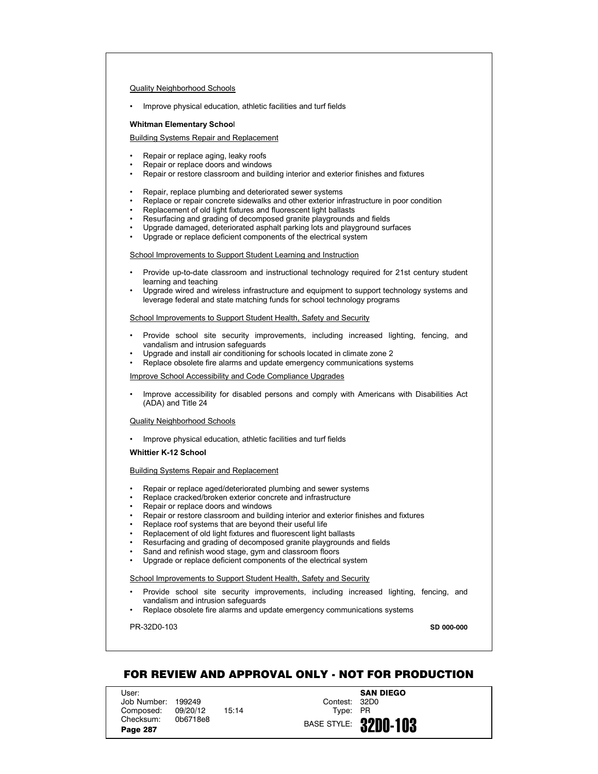## Quality Neighborhood Schools

• Improve physical education, athletic facilities and turf fields

# **Whitman Elementary Schoo**l

## Building Systems Repair and Replacement

- Repair or replace aging, leaky roofs
- Repair or replace doors and windows
- Repair or restore classroom and building interior and exterior finishes and fixtures
- Repair, replace plumbing and deteriorated sewer systems
- Replace or repair concrete sidewalks and other exterior infrastructure in poor condition
- Replacement of old light fixtures and fluorescent light ballasts
- Resurfacing and grading of decomposed granite playgrounds and fields
- Upgrade damaged, deteriorated asphalt parking lots and playground surfaces
- Upgrade or replace deficient components of the electrical system

## School Improvements to Support Student Learning and Instruction

- Provide up-to-date classroom and instructional technology required for 21st century student learning and teaching
- Upgrade wired and wireless infrastructure and equipment to support technology systems and leverage federal and state matching funds for school technology programs

### School Improvements to Support Student Health, Safety and Security

- Provide school site security improvements, including increased lighting, fencing, and vandalism and intrusion safeguards
- Upgrade and install air conditioning for schools located in climate zone 2
- Replace obsolete fire alarms and update emergency communications systems

## Improve School Accessibility and Code Compliance Upgrades

• Improve accessibility for disabled persons and comply with Americans with Disabilities Act (ADA) and Title 24

#### Quality Neighborhood Schools

• Improve physical education, athletic facilities and turf fields

## **Whittier K-12 School**

## Building Systems Repair and Replacement

- Repair or replace aged/deteriorated plumbing and sewer systems
- Replace cracked/broken exterior concrete and infrastructure
- Repair or replace doors and windows
- Repair or restore classroom and building interior and exterior finishes and fixtures
- Replace roof systems that are beyond their useful life
- Replacement of old light fixtures and fluorescent light ballasts
- Resurfacing and grading of decomposed granite playgrounds and fields
- Sand and refinish wood stage, gym and classroom floors
- Upgrade or replace deficient components of the electrical system

## School Improvements to Support Student Health, Safety and Security

- Provide school site security improvements, including increased lighting, fencing, and vandalism and intrusion safeguards
- Replace obsolete fire alarms and update emergency communications systems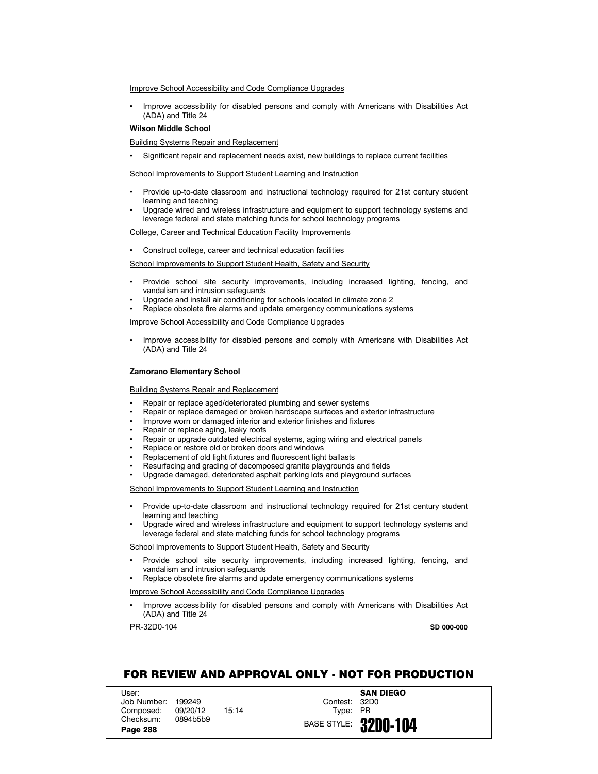## Improve School Accessibility and Code Compliance Upgrades

• Improve accessibility for disabled persons and comply with Americans with Disabilities Act (ADA) and Title 24

## **Wilson Middle School**

Building Systems Repair and Replacement

• Significant repair and replacement needs exist, new buildings to replace current facilities

School Improvements to Support Student Learning and Instruction

- Provide up-to-date classroom and instructional technology required for 21st century student learning and teaching
- Upgrade wired and wireless infrastructure and equipment to support technology systems and leverage federal and state matching funds for school technology programs

College, Career and Technical Education Facility Improvements

• Construct college, career and technical education facilities

School Improvements to Support Student Health, Safety and Security

- Provide school site security improvements, including increased lighting, fencing, and vandalism and intrusion safeguards
- Upgrade and install air conditioning for schools located in climate zone 2
- Replace obsolete fire alarms and update emergency communications systems

Improve School Accessibility and Code Compliance Upgrades

• Improve accessibility for disabled persons and comply with Americans with Disabilities Act (ADA) and Title 24

#### **Zamorano Elementary School**

Building Systems Repair and Replacement

- Repair or replace aged/deteriorated plumbing and sewer systems
- Repair or replace damaged or broken hardscape surfaces and exterior infrastructure
- Improve worn or damaged interior and exterior finishes and fixtures
- Repair or replace aging, leaky roofs
- Repair or upgrade outdated electrical systems, aging wiring and electrical panels
- Replace or restore old or broken doors and windows
- Replacement of old light fixtures and fluorescent light ballasts
- Resurfacing and grading of decomposed granite playgrounds and fields
- Upgrade damaged, deteriorated asphalt parking lots and playground surfaces

School Improvements to Support Student Learning and Instruction

- Provide up-to-date classroom and instructional technology required for 21st century student learning and teaching
- Upgrade wired and wireless infrastructure and equipment to support technology systems and leverage federal and state matching funds for school technology programs

School Improvements to Support Student Health, Safety and Security

- Provide school site security improvements, including increased lighting, fencing, and vandalism and intrusion safeguards
- Replace obsolete fire alarms and update emergency communications systems

Improve School Accessibility and Code Compliance Upgrades

• Improve accessibility for disabled persons and comply with Americans with Disabilities Act (ADA) and Title 24

PR-32D0-104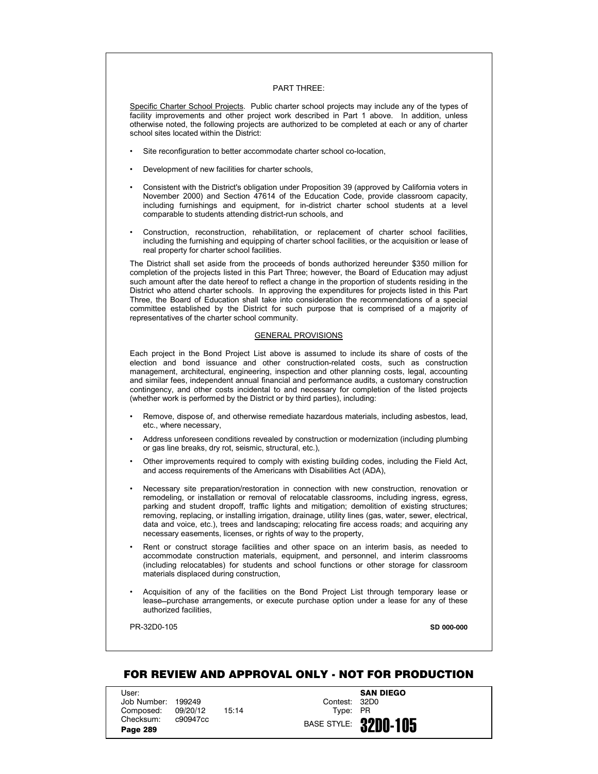## PART THREE:

Specific Charter School Projects. Public charter school projects may include any of the types of facility improvements and other project work described in Part 1 above. In addition, unless otherwise noted, the following projects are authorized to be completed at each or any of charter school sites located within the District:

- Site reconfiguration to better accommodate charter school co-location,
- Development of new facilities for charter schools,
- Consistent with the District's obligation under Proposition 39 (approved by California voters in November 2000) and Section 47614 of the Education Code, provide classroom capacity, including furnishings and equipment, for in-district charter school students at a level comparable to students attending district-run schools, and
- Construction, reconstruction, rehabilitation, or replacement of charter school facilities, including the furnishing and equipping of charter school facilities, or the acquisition or lease of real property for charter school facilities.

The District shall set aside from the proceeds of bonds authorized hereunder \$350 million for completion of the projects listed in this Part Three; however, the Board of Education may adjust such amount after the date hereof to reflect a change in the proportion of students residing in the District who attend charter schools. In approving the expenditures for projects listed in this Part Three, the Board of Education shall take into consideration the recommendations of a special committee established by the District for such purpose that is comprised of a majority of representatives of the charter school community.

## GENERAL PROVISIONS

Each project in the Bond Project List above is assumed to include its share of costs of the election and bond issuance and other construction-related costs, such as construction management, architectural, engineering, inspection and other planning costs, legal, accounting and similar fees, independent annual financial and performance audits, a customary construction contingency, and other costs incidental to and necessary for completion of the listed projects (whether work is performed by the District or by third parties), including:

- Remove, dispose of, and otherwise remediate hazardous materials, including asbestos, lead, etc., where necessary,
- Address unforeseen conditions revealed by construction or modernization (including plumbing or gas line breaks, dry rot, seismic, structural, etc.),
- Other improvements required to comply with existing building codes, including the Field Act, and access requirements of the Americans with Disabilities Act (ADA),
- Necessary site preparation/restoration in connection with new construction, renovation or remodeling, or installation or removal of relocatable classrooms, including ingress, egress, parking and student dropoff, traffic lights and mitigation; demolition of existing structures; removing, replacing, or installing irrigation, drainage, utility lines (gas, water, sewer, electrical, data and voice, etc.), trees and landscaping; relocating fire access roads; and acquiring any necessary easements, licenses, or rights of way to the property,
- Rent or construct storage facilities and other space on an interim basis, as needed to accommodate construction materials, equipment, and personnel, and interim classrooms (including relocatables) for students and school functions or other storage for classroom materials displaced during construction,
- Acquisition of any of the facilities on the Bond Project List through temporary lease or lease-purchase arrangements, or execute purchase option under a lease for any of these authorized facilities,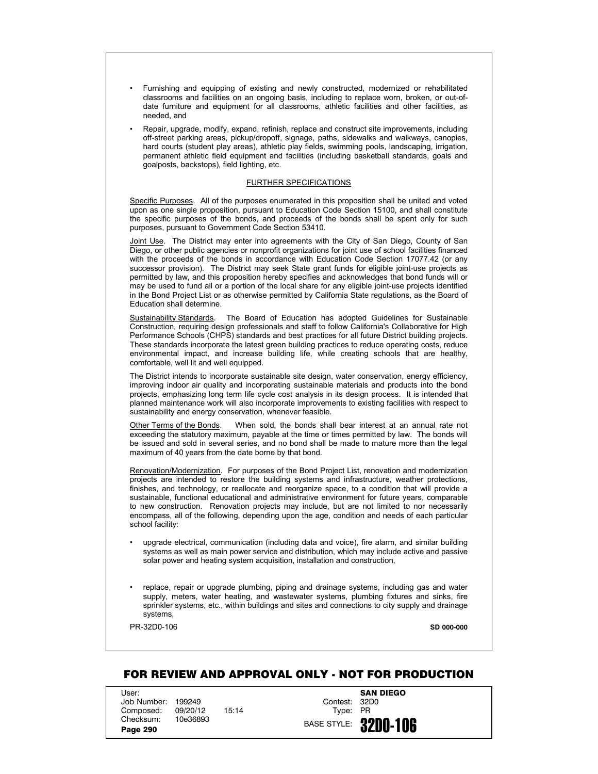- Furnishing and equipping of existing and newly constructed, modernized or rehabilitated classrooms and facilities on an ongoing basis, including to replace worn, broken, or out-ofdate furniture and equipment for all classrooms, athletic facilities and other facilities, as needed, and
- Repair, upgrade, modify, expand, refinish, replace and construct site improvements, including off-street parking areas, pickup/dropoff, signage, paths, sidewalks and walkways, canopies, hard courts (student play areas), athletic play fields, swimming pools, landscaping, irrigation, permanent athletic field equipment and facilities (including basketball standards, goals and goalposts, backstops), field lighting, etc.

## FURTHER SPECIFICATIONS

Specific Purposes. All of the purposes enumerated in this proposition shall be united and voted upon as one single proposition, pursuant to Education Code Section 15100, and shall constitute the specific purposes of the bonds, and proceeds of the bonds shall be spent only for such purposes, pursuant to Government Code Section 53410.

Joint Use. The District may enter into agreements with the City of San Diego, County of San Diego, or other public agencies or nonprofit organizations for joint use of school facilities financed with the proceeds of the bonds in accordance with Education Code Section 17077.42 (or any successor provision). The District may seek State grant funds for eligible joint-use projects as permitted by law, and this proposition hereby specifies and acknowledges that bond funds will or may be used to fund all or a portion of the local share for any eligible joint-use projects identified in the Bond Project List or as otherwise permitted by California State regulations, as the Board of Education shall determine.

Sustainability Standards. The Board of Education has adopted Guidelines for Sustainable Construction, requiring design professionals and staff to follow California's Collaborative for High Performance Schools (CHPS) standards and best practices for all future District building projects. These standards incorporate the latest green building practices to reduce operating costs, reduce environmental impact, and increase building life, while creating schools that are healthy, comfortable, well lit and well equipped.

The District intends to incorporate sustainable site design, water conservation, energy efficiency, improving indoor air quality and incorporating sustainable materials and products into the bond projects, emphasizing long term life cycle cost analysis in its design process. It is intended that planned maintenance work will also incorporate improvements to existing facilities with respect to sustainability and energy conservation, whenever feasible.

Other Terms of the Bonds. When sold, the bonds shall bear interest at an annual rate not exceeding the statutory maximum, payable at the time or times permitted by law. The bonds will be issued and sold in several series, and no bond shall be made to mature more than the legal maximum of 40 years from the date borne by that bond.

Renovation/Modernization. For purposes of the Bond Project List, renovation and modernization projects are intended to restore the building systems and infrastructure, weather protections, finishes, and technology, or reallocate and reorganize space, to a condition that will provide a sustainable, functional educational and administrative environment for future years, comparable to new construction. Renovation projects may include, but are not limited to nor necessarily encompass, all of the following, depending upon the age, condition and needs of each particular school facility:

- upgrade electrical, communication (including data and voice), fire alarm, and similar building systems as well as main power service and distribution, which may include active and passive solar power and heating system acquisition, installation and construction,
- replace, repair or upgrade plumbing, piping and drainage systems, including gas and water supply, meters, water heating, and wastewater systems, plumbing fixtures and sinks, fire sprinkler systems, etc., within buildings and sites and connections to city supply and drainage systems,